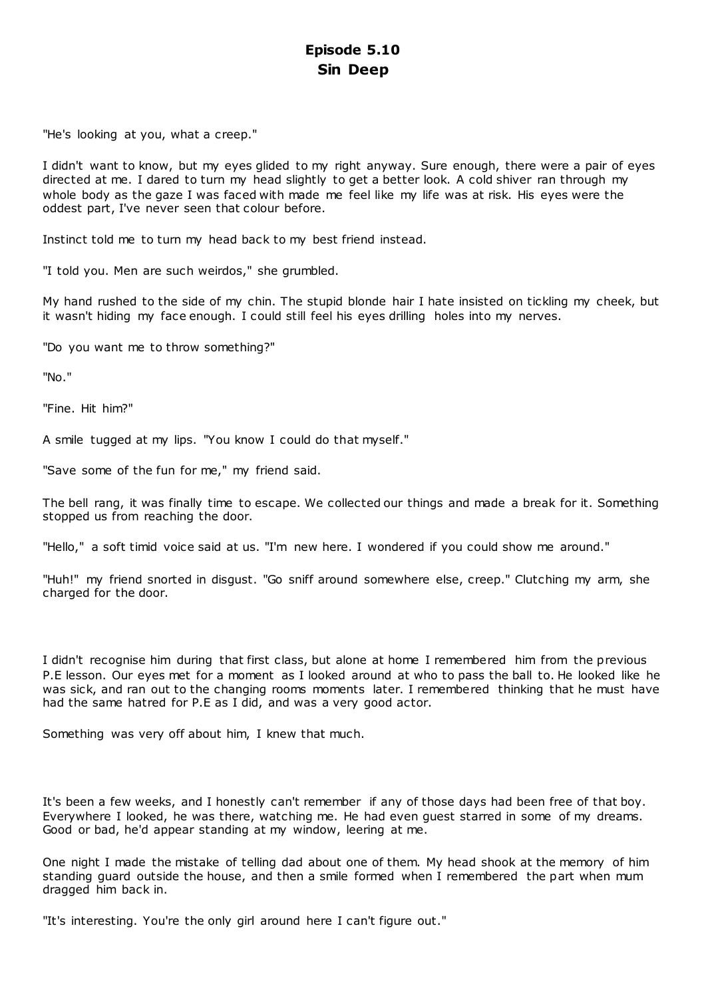# **Episode 5.10 Sin Deep**

"He's looking at you, what a creep."

I didn't want to know, but my eyes glided to my right anyway. Sure enough, there were a pair of eyes directed at me. I dared to turn my head slightly to get a better look. A cold shiver ran through my whole body as the gaze I was faced with made me feel like my life was at risk. His eyes were the oddest part, I've never seen that colour before.

Instinct told me to turn my head back to my best friend instead.

"I told you. Men are such weirdos," she grumbled.

My hand rushed to the side of my chin. The stupid blonde hair I hate insisted on tickling my cheek, but it wasn't hiding my face enough. I could still feel his eyes drilling holes into my nerves.

"Do you want me to throw something?"

"No."

"Fine. Hit him?"

A smile tugged at my lips. "You know I could do that myself."

"Save some of the fun for me," my friend said.

The bell rang, it was finally time to escape. We collected our things and made a break for it. Something stopped us from reaching the door.

"Hello," a soft timid voice said at us. "I'm new here. I wondered if you could show me around."

"Huh!" my friend snorted in disgust. "Go sniff around somewhere else, creep." Clutching my arm, she charged for the door.

I didn't recognise him during that first class, but alone at home I remembered him from the previous P.E lesson. Our eyes met for a moment as I looked around at who to pass the ball to. He looked like he was sick, and ran out to the changing rooms moments later. I remembered thinking that he must have had the same hatred for P.E as I did, and was a very good actor.

Something was very off about him, I knew that much.

It's been a few weeks, and I honestly can't remember if any of those days had been free of that boy. Everywhere I looked, he was there, watching me. He had even guest starred in some of my dreams. Good or bad, he'd appear standing at my window, leering at me.

One night I made the mistake of telling dad about one of them. My head shook at the memory of him standing guard outside the house, and then a smile formed when I remembered the part when mum dragged him back in.

"It's interesting. You're the only girl around here I can't figure out."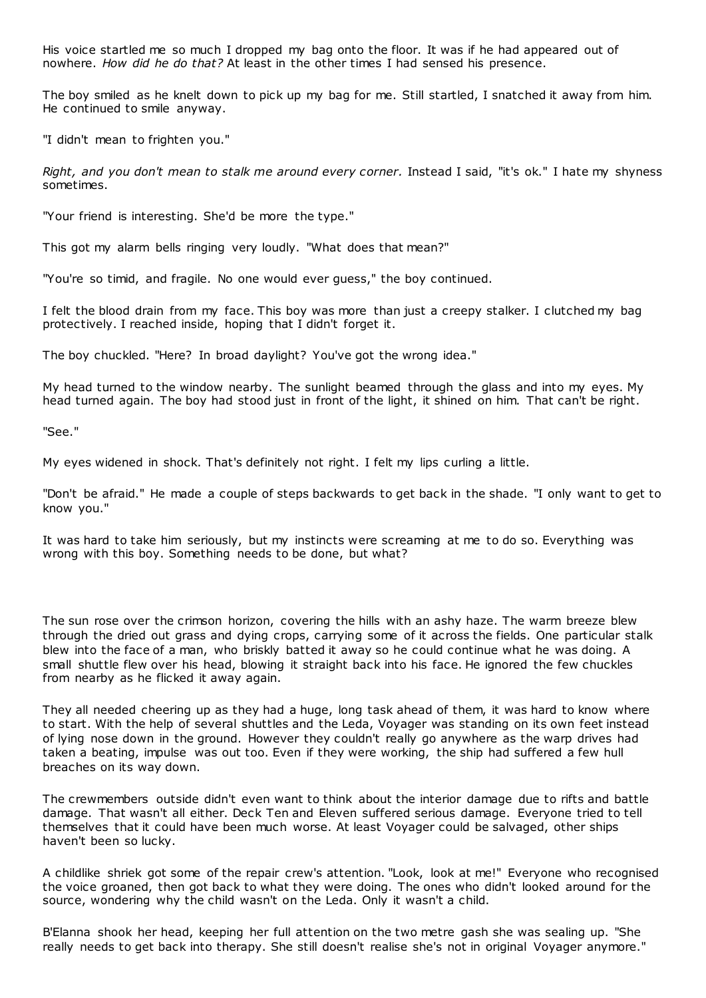His voice startled me so much I dropped my bag onto the floor. It was if he had appeared out of nowhere. *How did he do that?* At least in the other times I had sensed his presence.

The boy smiled as he knelt down to pick up my bag for me. Still startled, I snatched it away from him. He continued to smile anyway.

"I didn't mean to frighten you."

*Right, and you don't mean to stalk me around every corner.* Instead I said, "it's ok." I hate my shyness sometimes.

"Your friend is interesting. She'd be more the type."

This got my alarm bells ringing very loudly. "What does that mean?"

"You're so timid, and fragile. No one would ever guess," the boy continued.

I felt the blood drain from my face. This boy was more than just a creepy stalker. I clutched my bag protectively. I reached inside, hoping that I didn't forget it.

The boy chuckled. "Here? In broad daylight? You've got the wrong idea."

My head turned to the window nearby. The sunlight beamed through the glass and into my eyes. My head turned again. The boy had stood just in front of the light, it shined on him. That can't be right.

"See."

My eyes widened in shock. That's definitely not right. I felt my lips curling a little.

"Don't be afraid." He made a couple of steps backwards to get back in the shade. "I only want to get to know you."

It was hard to take him seriously, but my instincts were screaming at me to do so. Everything was wrong with this boy. Something needs to be done, but what?

The sun rose over the crimson horizon, covering the hills with an ashy haze. The warm breeze blew through the dried out grass and dying crops, carrying some of it across the fields. One particular stalk blew into the face of a man, who briskly batted it away so he could continue what he was doing. A small shuttle flew over his head, blowing it straight back into his face. He ignored the few chuckles from nearby as he flicked it away again.

They all needed cheering up as they had a huge, long task ahead of them, it was hard to know where to start. With the help of several shuttles and the Leda, Voyager was standing on its own feet instead of lying nose down in the ground. However they couldn't really go anywhere as the warp drives had taken a beating, impulse was out too. Even if they were working, the ship had suffered a few hull breaches on its way down.

The crewmembers outside didn't even want to think about the interior damage due to rifts and battle damage. That wasn't all either. Deck Ten and Eleven suffered serious damage. Everyone tried to tell themselves that it could have been much worse. At least Voyager could be salvaged, other ships haven't been so lucky.

A childlike shriek got some of the repair crew's attention. "Look, look at me!" Everyone who recognised the voice groaned, then got back to what they were doing. The ones who didn't looked around for the source, wondering why the child wasn't on the Leda. Only it wasn't a child.

B'Elanna shook her head, keeping her full attention on the two metre gash she was sealing up. "She really needs to get back into therapy. She still doesn't realise she's not in original Voyager anymore."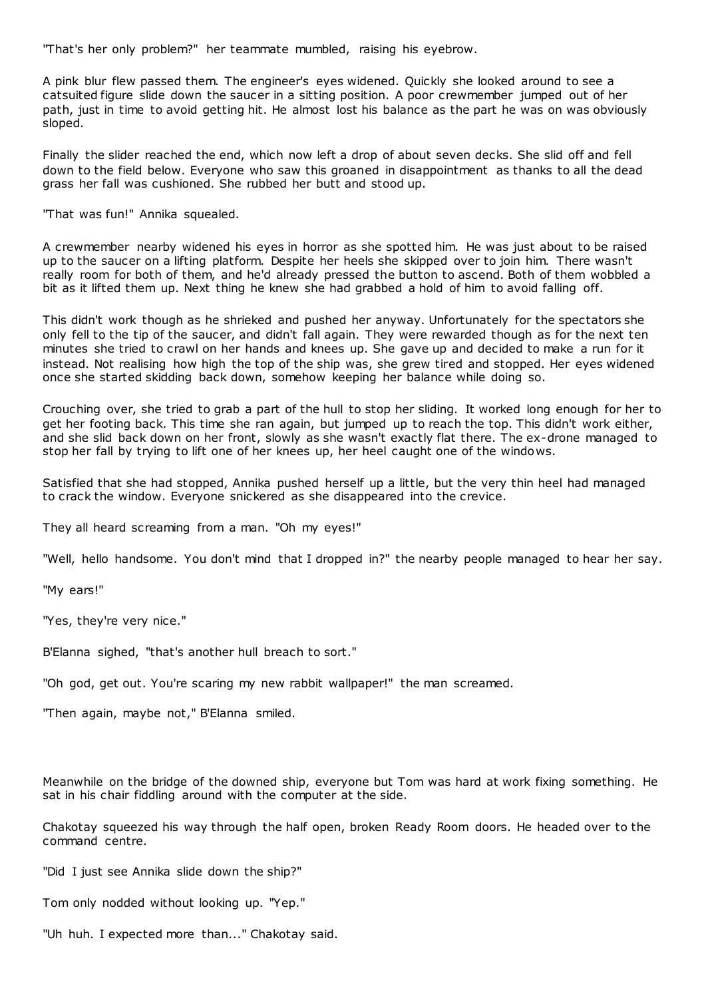"That's her only problem?" her teammate mumbled, raising his eyebrow.

A pink blur flew passed them. The engineer's eyes widened. Quickly she looked around to see a catsuited figure slide down the saucer in a sitting position. A poor crewmember jumped out of her path, just in time to avoid getting hit. He almost lost his balance as the part he was on was obviously sloped.

Finally the slider reached the end, which now left a drop of about seven decks. She slid off and fell down to the field below. Everyone who saw this groaned in disappointment as thanks to all the dead grass her fall was cushioned. She rubbed her butt and stood up.

"That was fun!" Annika squealed.

A crewmember nearby widened his eyes in horror as she spotted him. He was just about to be raised up to the saucer on a lifting platform. Despite her heels she skipped over to join him. There wasn't really room for both of them, and he'd already pressed the button to ascend. Both of them wobbled a bit as it lifted them up. Next thing he knew she had grabbed a hold of him to avoid falling off.

This didn't work though as he shrieked and pushed her anyway. Unfortunately for the spectators she only fell to the tip of the saucer, and didn't fall again. They were rewarded though as for the next ten minutes she tried to crawl on her hands and knees up. She gave up and decided to make a run for it instead. Not realising how high the top of the ship was, she grew tired and stopped. Her eyes widened once she started skidding back down, somehow keeping her balance while doing so.

Crouching over, she tried to grab a part of the hull to stop her sliding. It worked long enough for her to get her footing back. This time she ran again, but jumped up to reach the top. This didn't work either, and she slid back down on her front, slowly as she wasn't exactly flat there. The ex-drone managed to stop her fall by trying to lift one of her knees up, her heel caught one of the windows.

Satisfied that she had stopped, Annika pushed herself up a little, but the very thin heel had managed to crack the window. Everyone snickered as she disappeared into the crevice.

They all heard screaming from a man. "Oh my eyes!"

"Well, hello handsome. You don't mind that I dropped in?" the nearby people managed to hear her say.

"My ears!"

"Yes, they're very nice."

B'Elanna sighed, "that's another hull breach to sort."

"Oh god, get out. You're scaring my new rabbit wallpaper!" the man screamed.

"Then again, maybe not," B'Elanna smiled.

Meanwhile on the bridge of the downed ship, everyone but Tom was hard at work fixing something. He sat in his chair fiddling around with the computer at the side.

Chakotay squeezed his way through the half open, broken Ready Room doors. He headed over to the command centre.

"Did I just see Annika slide down the ship?"

Tom only nodded without looking up. "Yep."

"Uh huh. I expected more than..." Chakotay said.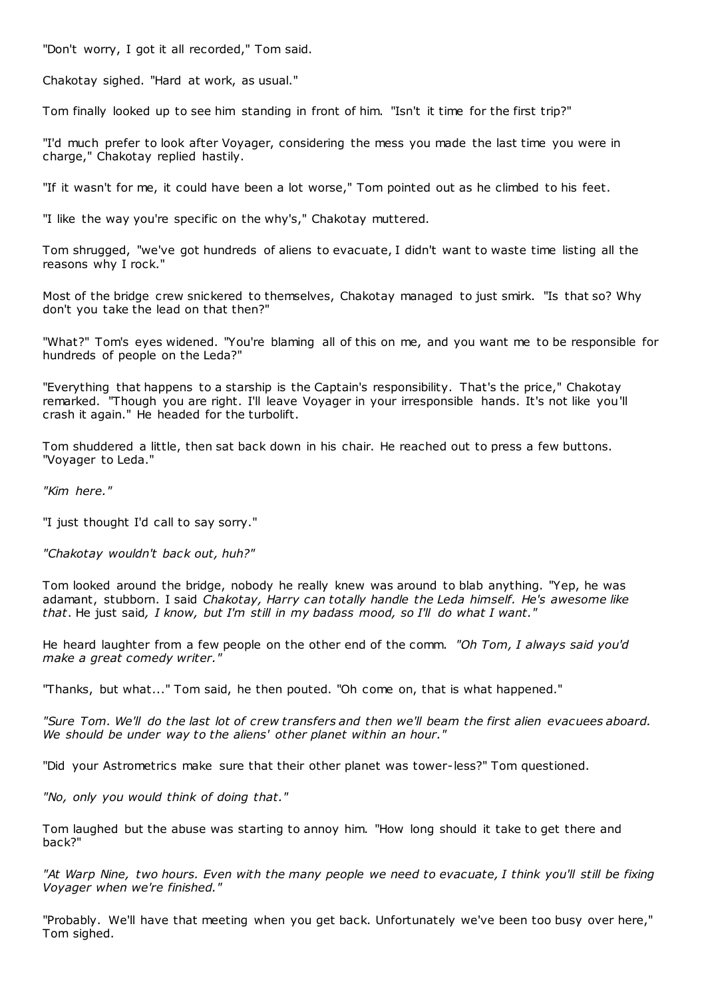"Don't worry, I got it all recorded," Tom said.

Chakotay sighed. "Hard at work, as usual."

Tom finally looked up to see him standing in front of him. "Isn't it time for the first trip?"

"I'd much prefer to look after Voyager, considering the mess you made the last time you were in charge," Chakotay replied hastily.

"If it wasn't for me, it could have been a lot worse," Tom pointed out as he climbed to his feet.

"I like the way you're specific on the why's," Chakotay muttered.

Tom shrugged, "we've got hundreds of aliens to evacuate, I didn't want to waste time listing all the reasons why I rock."

Most of the bridge crew snickered to themselves, Chakotay managed to just smirk. "Is that so? Why don't you take the lead on that then?"

"What?" Tom's eyes widened. "You're blaming all of this on me, and you want me to be responsible for hundreds of people on the Leda?"

"Everything that happens to a starship is the Captain's responsibility. That's the price," Chakotay remarked. "Though you are right. I'll leave Voyager in your irresponsible hands. It's not like you'll crash it again." He headed for the turbolift.

Tom shuddered a little, then sat back down in his chair. He reached out to press a few buttons. "Voyager to Leda."

*"Kim here."*

"I just thought I'd call to say sorry."

*"Chakotay wouldn't back out, huh?"*

Tom looked around the bridge, nobody he really knew was around to blab anything. "Yep, he was adamant, stubborn. I said *Chakotay, Harry can totally handle the Leda himself. He's awesome like that*. He just said*, I know, but I'm still in my badass mood, so I'll do what I want."*

He heard laughter from a few people on the other end of the comm. *"Oh Tom, I always said you'd make a great comedy writer."*

"Thanks, but what..." Tom said, he then pouted. "Oh come on, that is what happened."

*"Sure Tom. We'll do the last lot of crew transfers and then we'll beam the first alien evacuees aboard. We should be under way to the aliens' other planet within an hour."*

"Did your Astrometrics make sure that their other planet was tower-less?" Tom questioned.

*"No, only you would think of doing that."*

Tom laughed but the abuse was starting to annoy him. "How long should it take to get there and back?"

*"At Warp Nine, two hours. Even with the many people we need to evacuate, I think you'll still be fixing Voyager when we're finished."*

"Probably. We'll have that meeting when you get back. Unfortunately we've been too busy over here," Tom sighed.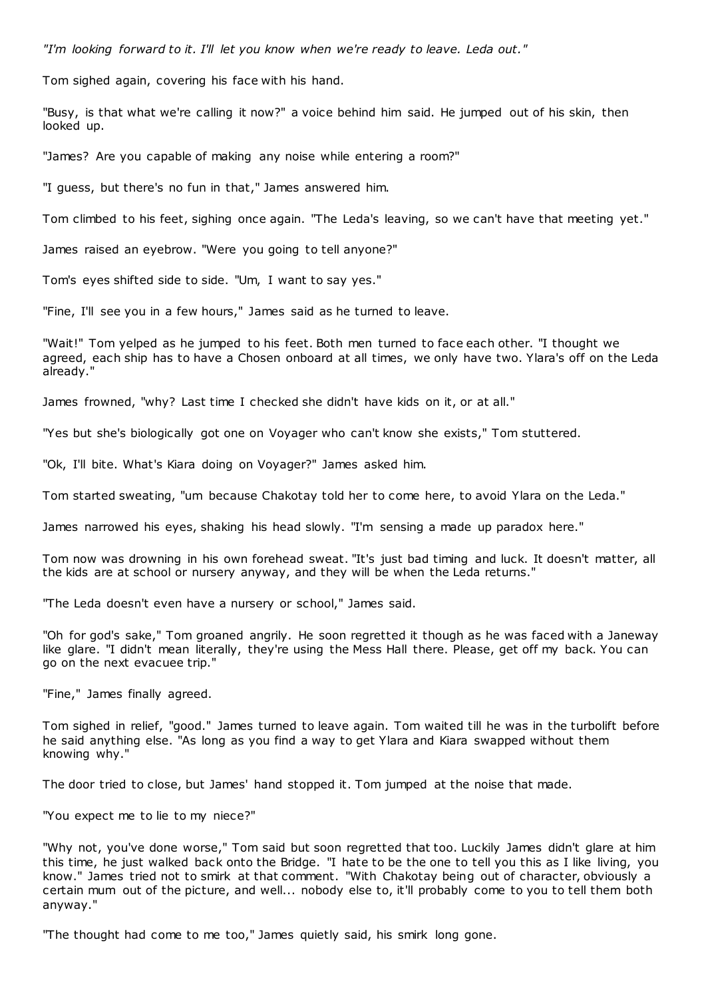*"I'm looking forward to it. I'll let you know when we're ready to leave. Leda out."*

Tom sighed again, covering his face with his hand.

"Busy, is that what we're calling it now?" a voice behind him said. He jumped out of his skin, then looked up.

"James? Are you capable of making any noise while entering a room?"

"I guess, but there's no fun in that," James answered him.

Tom climbed to his feet, sighing once again. "The Leda's leaving, so we can't have that meeting yet."

James raised an eyebrow. "Were you going to tell anyone?"

Tom's eyes shifted side to side. "Um, I want to say yes."

"Fine, I'll see you in a few hours," James said as he turned to leave.

"Wait!" Tom yelped as he jumped to his feet. Both men turned to face each other. "I thought we agreed, each ship has to have a Chosen onboard at all times, we only have two. Ylara's off on the Leda already."

James frowned, "why? Last time I checked she didn't have kids on it, or at all."

"Yes but she's biologically got one on Voyager who can't know she exists," Tom stuttered.

"Ok, I'll bite. What's Kiara doing on Voyager?" James asked him.

Tom started sweating, "um because Chakotay told her to come here, to avoid Ylara on the Leda."

James narrowed his eyes, shaking his head slowly. "I'm sensing a made up paradox here."

Tom now was drowning in his own forehead sweat. "It's just bad timing and luck. It doesn't matter, all the kids are at school or nursery anyway, and they will be when the Leda returns."

"The Leda doesn't even have a nursery or school," James said.

"Oh for god's sake," Tom groaned angrily. He soon regretted it though as he was faced with a Janeway like glare. "I didn't mean literally, they're using the Mess Hall there. Please, get off my back. You can go on the next evacuee trip."

"Fine," James finally agreed.

Tom sighed in relief, "good." James turned to leave again. Tom waited till he was in the turbolift before he said anything else. "As long as you find a way to get Ylara and Kiara swapped without them knowing why."

The door tried to close, but James' hand stopped it. Tom jumped at the noise that made.

"You expect me to lie to my niece?"

"Why not, you've done worse," Tom said but soon regretted that too. Luckily James didn't glare at him this time, he just walked back onto the Bridge. "I hate to be the one to tell you this as I like living, you know." James tried not to smirk at that comment. "With Chakotay being out of character, obviously a certain mum out of the picture, and well... nobody else to, it'll probably come to you to tell them both anyway."

"The thought had come to me too," James quietly said, his smirk long gone.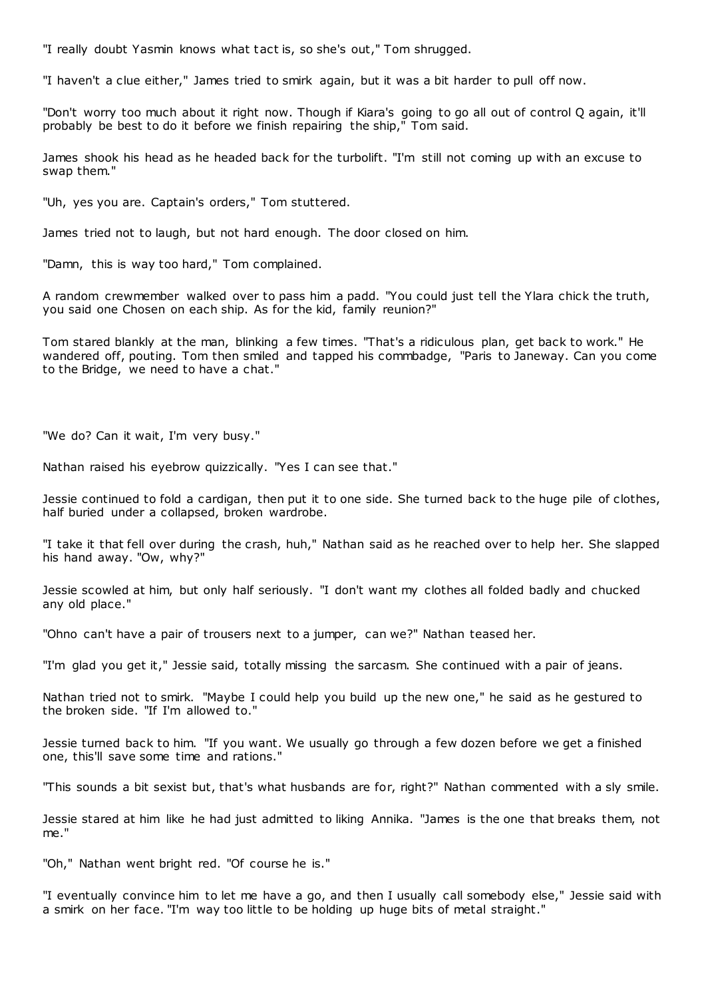"I really doubt Yasmin knows what tact is, so she's out," Tom shrugged.

"I haven't a clue either," James tried to smirk again, but it was a bit harder to pull off now.

"Don't worry too much about it right now. Though if Kiara's going to go all out of control Q again, it'll probably be best to do it before we finish repairing the ship," Tom said.

James shook his head as he headed back for the turbolift. "I'm still not coming up with an excuse to swap them."

"Uh, yes you are. Captain's orders," Tom stuttered.

James tried not to laugh, but not hard enough. The door closed on him.

"Damn, this is way too hard," Tom complained.

A random crewmember walked over to pass him a padd. "You could just tell the Ylara chick the truth, you said one Chosen on each ship. As for the kid, family reunion?"

Tom stared blankly at the man, blinking a few times. "That's a ridiculous plan, get back to work." He wandered off, pouting. Tom then smiled and tapped his commbadge, "Paris to Janeway. Can you come to the Bridge, we need to have a chat."

"We do? Can it wait, I'm very busy."

Nathan raised his eyebrow quizzically. "Yes I can see that."

Jessie continued to fold a cardigan, then put it to one side. She turned back to the huge pile of clothes, half buried under a collapsed, broken wardrobe.

"I take it that fell over during the crash, huh," Nathan said as he reached over to help her. She slapped his hand away. "Ow, why?"

Jessie scowled at him, but only half seriously. "I don't want my clothes all folded badly and chucked any old place."

"Ohno can't have a pair of trousers next to a jumper, can we?" Nathan teased her.

"I'm glad you get it," Jessie said, totally missing the sarcasm. She continued with a pair of jeans.

Nathan tried not to smirk. "Maybe I could help you build up the new one," he said as he gestured to the broken side. "If I'm allowed to."

Jessie turned back to him. "If you want. We usually go through a few dozen before we get a finished one, this'll save some time and rations."

"This sounds a bit sexist but, that's what husbands are for, right?" Nathan commented with a sly smile.

Jessie stared at him like he had just admitted to liking Annika. "James is the one that breaks them, not me."

"Oh," Nathan went bright red. "Of course he is."

"I eventually convince him to let me have a go, and then I usually call somebody else," Jessie said with a smirk on her face. "I'm way too little to be holding up huge bits of metal straight."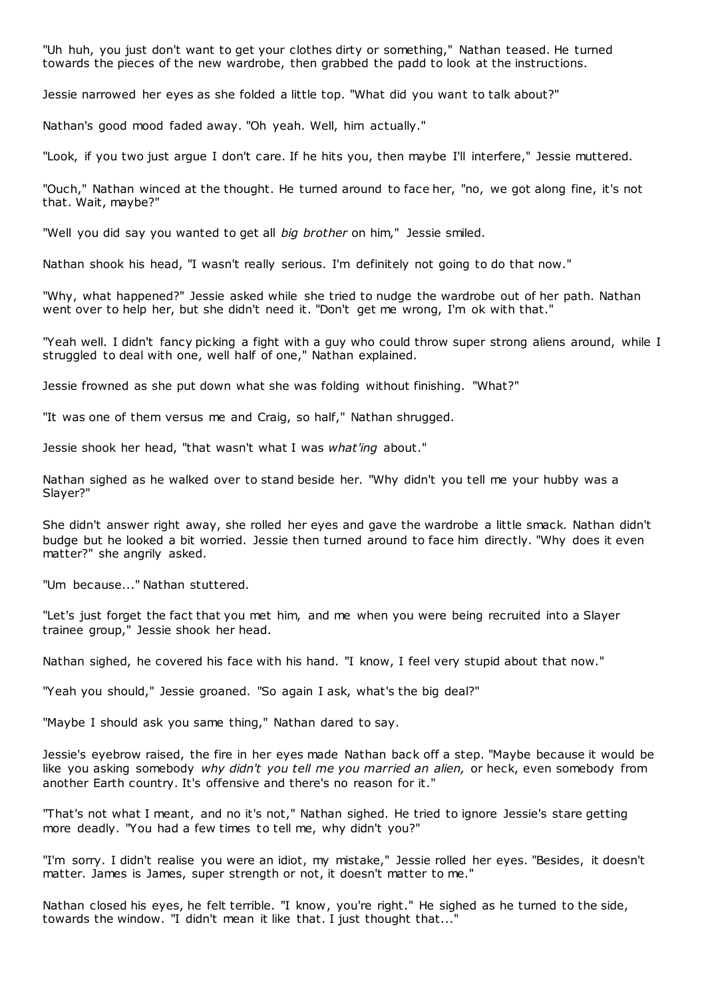"Uh huh, you just don't want to get your clothes dirty or something," Nathan teased. He turned towards the pieces of the new wardrobe, then grabbed the padd to look at the instructions.

Jessie narrowed her eyes as she folded a little top. "What did you want to talk about?"

Nathan's good mood faded away. "Oh yeah. Well, him actually."

"Look, if you two just argue I don't care. If he hits you, then maybe I'll interfere," Jessie muttered.

"Ouch," Nathan winced at the thought. He turned around to face her, "no, we got along fine, it's not that. Wait, maybe?"

"Well you did say you wanted to get all *big brother* on him," Jessie smiled.

Nathan shook his head, "I wasn't really serious. I'm definitely not going to do that now."

"Why, what happened?" Jessie asked while she tried to nudge the wardrobe out of her path. Nathan went over to help her, but she didn't need it. "Don't get me wrong, I'm ok with that."

"Yeah well. I didn't fancy picking a fight with a guy who could throw super strong aliens around, while I struggled to deal with one, well half of one," Nathan explained.

Jessie frowned as she put down what she was folding without finishing. "What?"

"It was one of them versus me and Craig, so half," Nathan shrugged.

Jessie shook her head, "that wasn't what I was *what'ing* about."

Nathan sighed as he walked over to stand beside her. "Why didn't you tell me your hubby was a Slayer?"

She didn't answer right away, she rolled her eyes and gave the wardrobe a little smack. Nathan didn't budge but he looked a bit worried. Jessie then turned around to face him directly. "Why does it even matter?" she angrily asked.

"Um because..." Nathan stuttered.

"Let's just forget the fact that you met him, and me when you were being recruited into a Slayer trainee group," Jessie shook her head.

Nathan sighed, he covered his face with his hand. "I know, I feel very stupid about that now."

"Yeah you should," Jessie groaned. "So again I ask, what's the big deal?"

"Maybe I should ask you same thing," Nathan dared to say.

Jessie's eyebrow raised, the fire in her eyes made Nathan back off a step. "Maybe because it would be like you asking somebody *why didn't you tell me you married an alien,* or heck, even somebody from another Earth country. It's offensive and there's no reason for it."

"That's not what I meant, and no it's not," Nathan sighed. He tried to ignore Jessie's stare getting more deadly. "You had a few times to tell me, why didn't you?"

"I'm sorry. I didn't realise you were an idiot, my mistake," Jessie rolled her eyes. "Besides, it doesn't matter. James is James, super strength or not, it doesn't matter to me."

Nathan closed his eyes, he felt terrible. "I know, you're right." He sighed as he turned to the side, towards the window. "I didn't mean it like that. I just thought that..."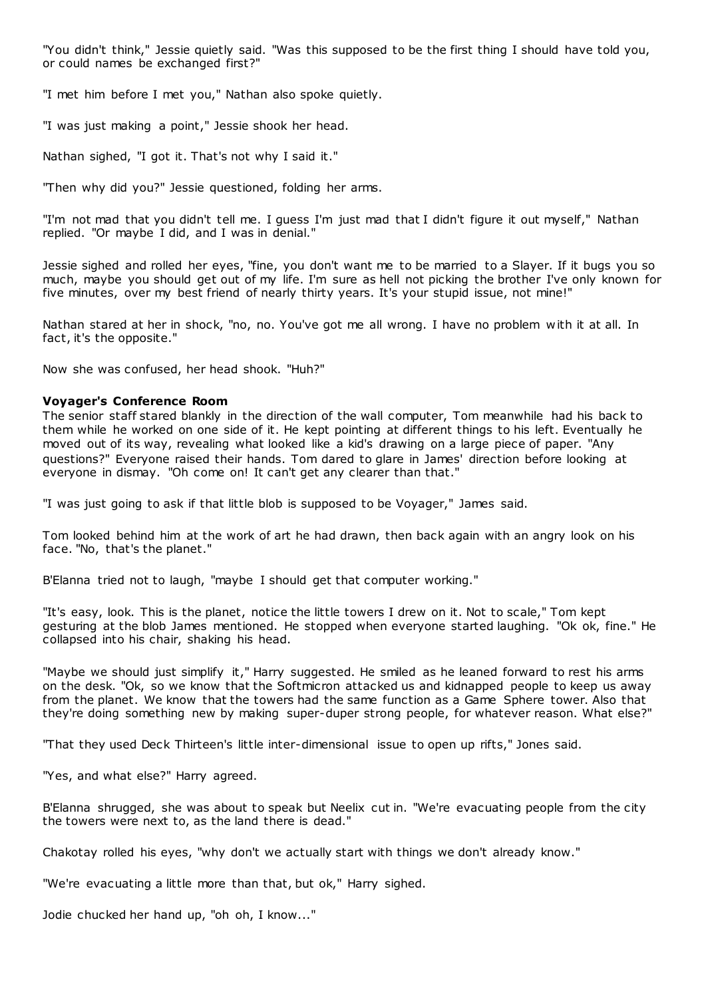"You didn't think," Jessie quietly said. "Was this supposed to be the first thing I should have told you, or could names be exchanged first?"

"I met him before I met you," Nathan also spoke quietly.

"I was just making a point," Jessie shook her head.

Nathan sighed, "I got it. That's not why I said it."

"Then why did you?" Jessie questioned, folding her arms.

"I'm not mad that you didn't tell me. I guess I'm just mad that I didn't figure it out myself," Nathan replied. "Or maybe I did, and I was in denial."

Jessie sighed and rolled her eyes, "fine, you don't want me to be married to a Slayer. If it bugs you so much, maybe you should get out of my life. I'm sure as hell not picking the brother I've only known for five minutes, over my best friend of nearly thirty years. It's your stupid issue, not mine!"

Nathan stared at her in shock, "no, no. You've got me all wrong. I have no problem w ith it at all. In fact, it's the opposite."

Now she was confused, her head shook. "Huh?"

# **Voyager's Conference Room**

The senior staff stared blankly in the direction of the wall computer, Tom meanwhile had his back to them while he worked on one side of it. He kept pointing at different things to his left. Eventually he moved out of its way, revealing what looked like a kid's drawing on a large piece of paper. "Any questions?" Everyone raised their hands. Tom dared to glare in James' direction before looking at everyone in dismay. "Oh come on! It can't get any clearer than that."

"I was just going to ask if that little blob is supposed to be Voyager," James said.

Tom looked behind him at the work of art he had drawn, then back again with an angry look on his face. "No, that's the planet."

B'Elanna tried not to laugh, "maybe I should get that computer working."

"It's easy, look. This is the planet, notice the little towers I drew on it. Not to scale," Tom kept gesturing at the blob James mentioned. He stopped when everyone started laughing. "Ok ok, fine." He collapsed into his chair, shaking his head.

"Maybe we should just simplify it," Harry suggested. He smiled as he leaned forward to rest his arms on the desk. "Ok, so we know that the Softmicron attacked us and kidnapped people to keep us away from the planet. We know that the towers had the same function as a Game Sphere tower. Also that they're doing something new by making super-duper strong people, for whatever reason. What else?"

"That they used Deck Thirteen's little inter-dimensional issue to open up rifts," Jones said.

"Yes, and what else?" Harry agreed.

B'Elanna shrugged, she was about to speak but Neelix cut in. "We're evacuating people from the city the towers were next to, as the land there is dead."

Chakotay rolled his eyes, "why don't we actually start with things we don't already know."

"We're evacuating a little more than that, but ok," Harry sighed.

Jodie chucked her hand up, "oh oh, I know..."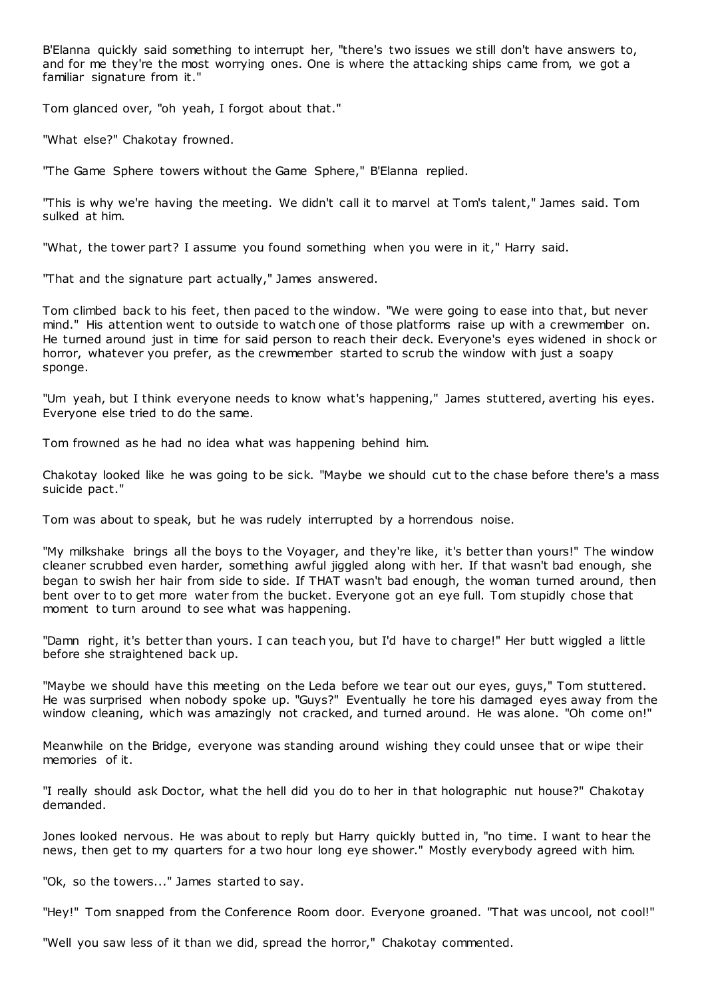B'Elanna quickly said something to interrupt her, "there's two issues we still don't have answers to, and for me they're the most worrying ones. One is where the attacking ships came from, we got a familiar signature from it."

Tom glanced over, "oh yeah, I forgot about that."

"What else?" Chakotay frowned.

"The Game Sphere towers without the Game Sphere," B'Elanna replied.

"This is why we're having the meeting. We didn't call it to marvel at Tom's talent," James said. Tom sulked at him.

"What, the tower part? I assume you found something when you were in it," Harry said.

"That and the signature part actually," James answered.

Tom climbed back to his feet, then paced to the window. "We were going to ease into that, but never mind." His attention went to outside to watch one of those platforms raise up with a crewmember on. He turned around just in time for said person to reach their deck. Everyone's eyes widened in shock or horror, whatever you prefer, as the crewmember started to scrub the window with just a soapy sponge.

"Um yeah, but I think everyone needs to know what's happening," James stuttered, averting his eyes. Everyone else tried to do the same.

Tom frowned as he had no idea what was happening behind him.

Chakotay looked like he was going to be sick. "Maybe we should cut to the chase before there's a mass suicide pact."

Tom was about to speak, but he was rudely interrupted by a horrendous noise.

"My milkshake brings all the boys to the Voyager, and they're like, it's better than yours!" The window cleaner scrubbed even harder, something awful jiggled along with her. If that wasn't bad enough, she began to swish her hair from side to side. If THAT wasn't bad enough, the woman turned around, then bent over to to get more water from the bucket. Everyone got an eye full. Tom stupidly chose that moment to turn around to see what was happening.

"Damn right, it's better than yours. I can teach you, but I'd have to charge!" Her butt wiggled a little before she straightened back up.

"Maybe we should have this meeting on the Leda before we tear out our eyes, guys," Tom stuttered. He was surprised when nobody spoke up. "Guys?" Eventually he tore his damaged eyes away from the window cleaning, which was amazingly not cracked, and turned around. He was alone. "Oh come on!"

Meanwhile on the Bridge, everyone was standing around wishing they could unsee that or wipe their memories of it.

"I really should ask Doctor, what the hell did you do to her in that holographic nut house?" Chakotay demanded.

Jones looked nervous. He was about to reply but Harry quickly butted in, "no time. I want to hear the news, then get to my quarters for a two hour long eye shower." Mostly everybody agreed with him.

"Ok, so the towers..." James started to say.

"Hey!" Tom snapped from the Conference Room door. Everyone groaned. "That was uncool, not cool!"

"Well you saw less of it than we did, spread the horror," Chakotay commented.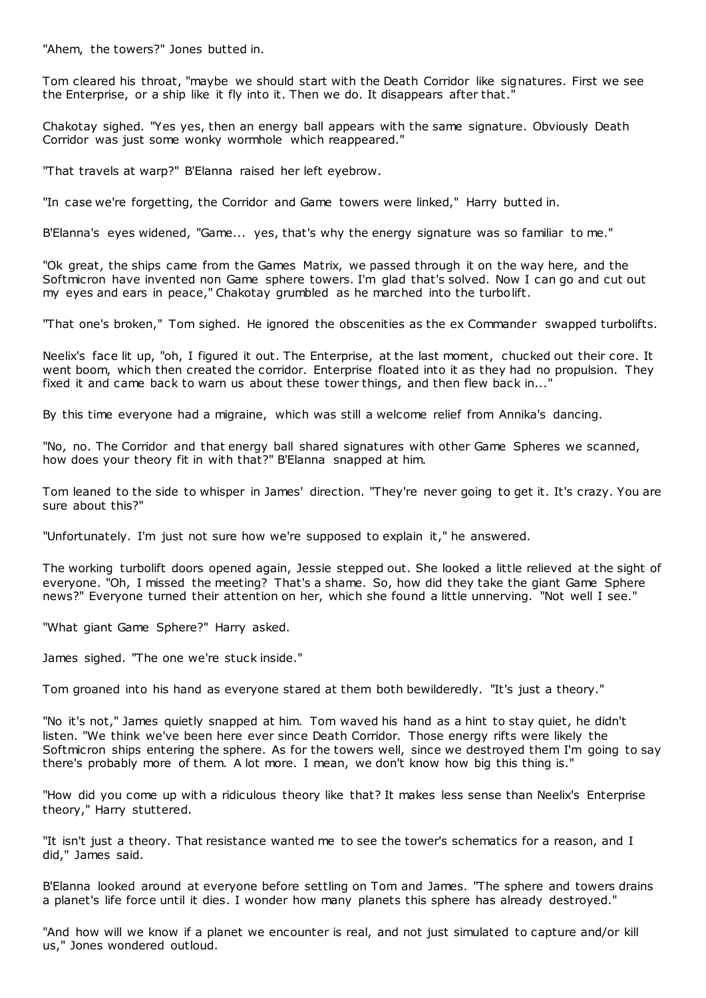"Ahem, the towers?" Jones butted in.

Tom cleared his throat, "maybe we should start with the Death Corridor like signatures. First we see the Enterprise, or a ship like it fly into it. Then we do. It disappears after that."

Chakotay sighed. "Yes yes, then an energy ball appears with the same signature. Obviously Death Corridor was just some wonky wormhole which reappeared."

"That travels at warp?" B'Elanna raised her left eyebrow.

"In case we're forgetting, the Corridor and Game towers were linked," Harry butted in.

B'Elanna's eyes widened, "Game... yes, that's why the energy signature was so familiar to me."

"Ok great, the ships came from the Games Matrix, we passed through it on the way here, and the Softmicron have invented non Game sphere towers. I'm glad that's solved. Now I can go and cut out my eyes and ears in peace," Chakotay grumbled as he marched into the turbolift.

"That one's broken," Tom sighed. He ignored the obscenities as the ex Commander swapped turbolifts.

Neelix's face lit up, "oh, I figured it out. The Enterprise, at the last moment, chucked out their core. It went boom, which then created the corridor. Enterprise floated into it as they had no propulsion. They fixed it and came back to warn us about these tower things, and then flew back in..."

By this time everyone had a migraine, which was still a welcome relief from Annika's dancing.

"No, no. The Corridor and that energy ball shared signatures with other Game Spheres we scanned, how does your theory fit in with that?" B'Elanna snapped at him.

Tom leaned to the side to whisper in James' direction. "They're never going to get it. It's crazy. You are sure about this?"

"Unfortunately. I'm just not sure how we're supposed to explain it," he answered.

The working turbolift doors opened again, Jessie stepped out. She looked a little relieved at the sight of everyone. "Oh, I missed the meeting? That's a shame. So, how did they take the giant Game Sphere news?" Everyone turned their attention on her, which she found a little unnerving. "Not well I see."

"What giant Game Sphere?" Harry asked.

James sighed. "The one we're stuck inside."

Tom groaned into his hand as everyone stared at them both bewilderedly. "It's just a theory."

"No it's not," James quietly snapped at him. Tom waved his hand as a hint to stay quiet, he didn't listen. "We think we've been here ever since Death Corridor. Those energy rifts were likely the Softmicron ships entering the sphere. As for the towers well, since we destroyed them I'm going to say there's probably more of them. A lot more. I mean, we don't know how big this thing is."

"How did you come up with a ridiculous theory like that? It makes less sense than Neelix's Enterprise theory," Harry stuttered.

"It isn't just a theory. That resistance wanted me to see the tower's schematics for a reason, and I did," James said.

B'Elanna looked around at everyone before settling on Tom and James. "The sphere and towers drains a planet's life force until it dies. I wonder how many planets this sphere has already destroyed."

"And how will we know if a planet we encounter is real, and not just simulated to capture and/or kill us," Jones wondered outloud.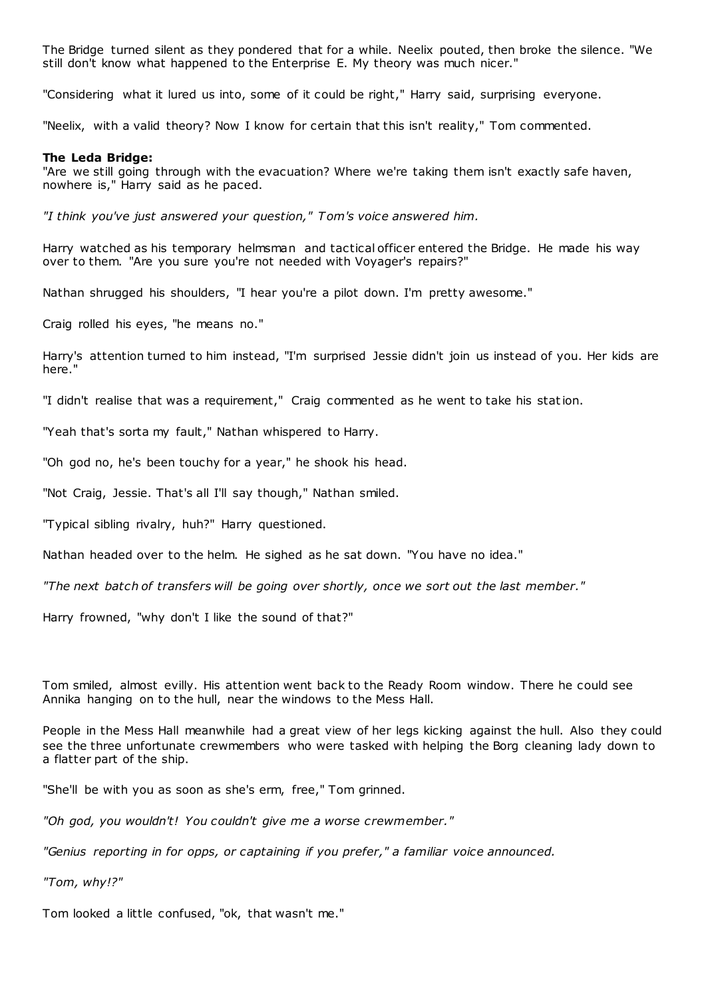The Bridge turned silent as they pondered that for a while. Neelix pouted, then broke the silence. "We still don't know what happened to the Enterprise E. My theory was much nicer."

"Considering what it lured us into, some of it could be right," Harry said, surprising everyone.

"Neelix, with a valid theory? Now I know for certain that this isn't reality," Tom commented.

#### **The Leda Bridge:**

"Are we still going through with the evacuation? Where we're taking them isn't exactly safe haven, nowhere is," Harry said as he paced.

*"I think you've just answered your question," Tom's voice answered him.*

Harry watched as his temporary helmsman and tactical officer entered the Bridge. He made his way over to them. "Are you sure you're not needed with Voyager's repairs?"

Nathan shrugged his shoulders, "I hear you're a pilot down. I'm pretty awesome."

Craig rolled his eyes, "he means no."

Harry's attention turned to him instead, "I'm surprised Jessie didn't join us instead of you. Her kids are here."

"I didn't realise that was a requirement," Craig commented as he went to take his station.

"Yeah that's sorta my fault," Nathan whispered to Harry.

"Oh god no, he's been touchy for a year," he shook his head.

"Not Craig, Jessie. That's all I'll say though," Nathan smiled.

"Typical sibling rivalry, huh?" Harry questioned.

Nathan headed over to the helm. He sighed as he sat down. "You have no idea."

*"The next batch of transfers will be going over shortly, once we sort out the last member."*

Harry frowned, "why don't I like the sound of that?"

Tom smiled, almost evilly. His attention went back to the Ready Room window. There he could see Annika hanging on to the hull, near the windows to the Mess Hall.

People in the Mess Hall meanwhile had a great view of her legs kicking against the hull. Also they could see the three unfortunate crewmembers who were tasked with helping the Borg cleaning lady down to a flatter part of the ship.

"She'll be with you as soon as she's erm, free," Tom grinned.

*"Oh god, you wouldn't! You couldn't give me a worse crewmember."*

*"Genius reporting in for opps, or captaining if you prefer," a familiar voice announced.*

*"Tom, why!?"*

Tom looked a little confused, "ok, that wasn't me."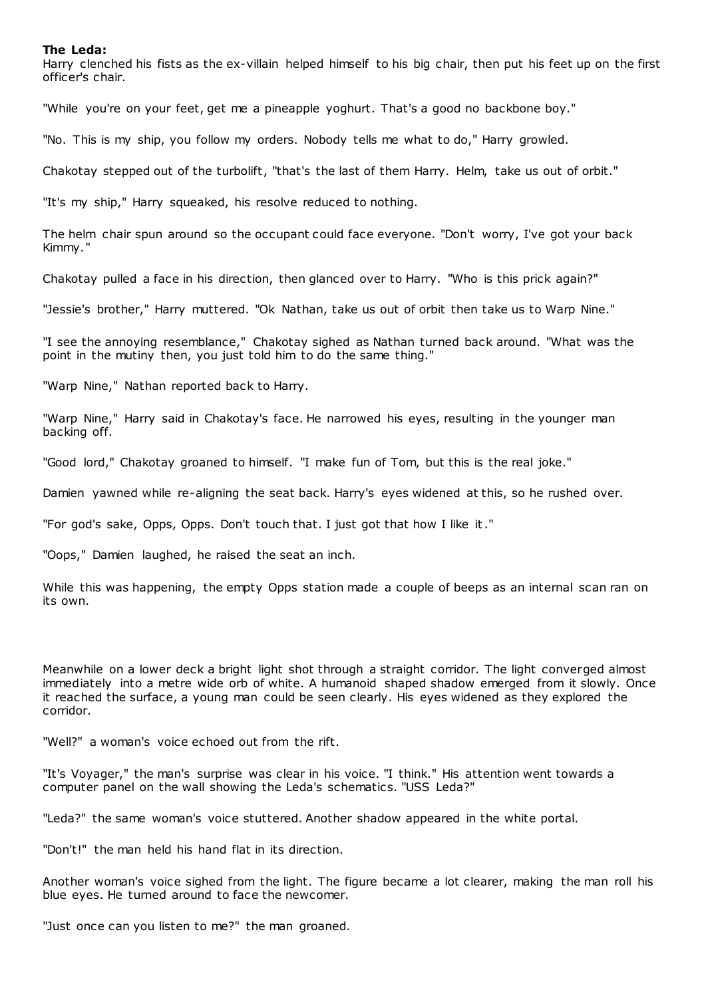### **The Leda:**

Harry clenched his fists as the ex-villain helped himself to his big chair, then put his feet up on the first officer's chair.

"While you're on your feet, get me a pineapple yoghurt. That's a good no backbone boy."

"No. This is my ship, you follow my orders. Nobody tells me what to do," Harry growled.

Chakotay stepped out of the turbolift, "that's the last of them Harry. Helm, take us out of orbit."

"It's my ship," Harry squeaked, his resolve reduced to nothing.

The helm chair spun around so the occupant could face everyone. "Don't worry, I've got your back Kimmy."

Chakotay pulled a face in his direction, then glanced over to Harry. "Who is this prick again?"

"Jessie's brother," Harry muttered. "Ok Nathan, take us out of orbit then take us to Warp Nine."

"I see the annoying resemblance," Chakotay sighed as Nathan turned back around. "What was the point in the mutiny then, you just told him to do the same thing."

"Warp Nine," Nathan reported back to Harry.

"Warp Nine," Harry said in Chakotay's face. He narrowed his eyes, resulting in the younger man backing off.

"Good lord," Chakotay groaned to himself. "I make fun of Tom, but this is the real joke."

Damien yawned while re-aligning the seat back. Harry's eyes widened at this, so he rushed over.

"For god's sake, Opps, Opps. Don't touch that. I just got that how I like it."

"Oops," Damien laughed, he raised the seat an inch.

While this was happening, the empty Opps station made a couple of beeps as an internal scan ran on its own.

Meanwhile on a lower deck a bright light shot through a straight corridor. The light converged almost immediately into a metre wide orb of white. A humanoid shaped shadow emerged from it slowly. Once it reached the surface, a young man could be seen clearly. His eyes widened as they explored the corridor.

"Well?" a woman's voice echoed out from the rift.

"It's Voyager," the man's surprise was clear in his voice. "I think." His attention went towards a computer panel on the wall showing the Leda's schematics. "USS Leda?"

"Leda?" the same woman's voice stuttered. Another shadow appeared in the white portal.

"Don't!" the man held his hand flat in its direction.

Another woman's voice sighed from the light. The figure became a lot clearer, making the man roll his blue eyes. He turned around to face the newcomer.

"Just once can you listen to me?" the man groaned.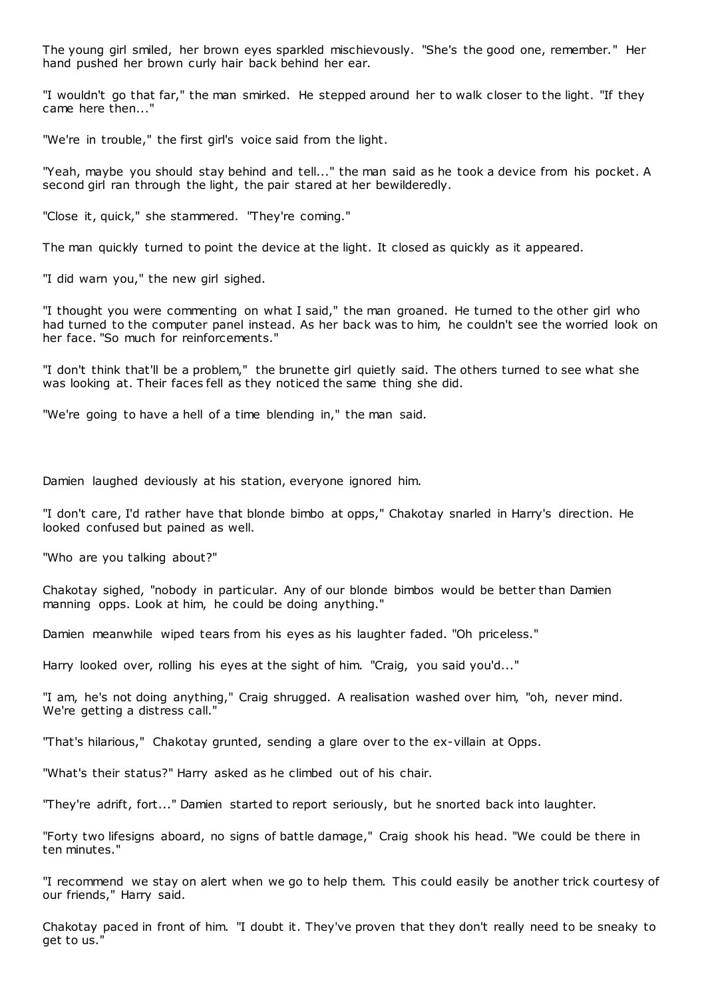The young girl smiled, her brown eyes sparkled mischievously. "She's the good one, remember." Her hand pushed her brown curly hair back behind her ear.

"I wouldn't go that far," the man smirked. He stepped around her to walk closer to the light. "If they came here then..."

"We're in trouble," the first girl's voice said from the light.

"Yeah, maybe you should stay behind and tell..." the man said as he took a device from his pocket. A second girl ran through the light, the pair stared at her bewilderedly.

"Close it, quick," she stammered. "They're coming."

The man quickly turned to point the device at the light. It closed as quickly as it appeared.

"I did warn you," the new girl sighed.

"I thought you were commenting on what I said," the man groaned. He turned to the other girl who had turned to the computer panel instead. As her back was to him, he couldn't see the worried look on her face. "So much for reinforcements."

"I don't think that'll be a problem," the brunette girl quietly said. The others turned to see what she was looking at. Their faces fell as they noticed the same thing she did.

"We're going to have a hell of a time blending in," the man said.

Damien laughed deviously at his station, everyone ignored him.

"I don't care, I'd rather have that blonde bimbo at opps," Chakotay snarled in Harry's direction. He looked confused but pained as well.

"Who are you talking about?"

Chakotay sighed, "nobody in particular. Any of our blonde bimbos would be better than Damien manning opps. Look at him, he could be doing anything."

Damien meanwhile wiped tears from his eyes as his laughter faded. "Oh priceless."

Harry looked over, rolling his eyes at the sight of him. "Craig, you said you'd..."

"I am, he's not doing anything," Craig shrugged. A realisation washed over him, "oh, never mind. We're getting a distress call."

"That's hilarious," Chakotay grunted, sending a glare over to the ex-villain at Opps.

"What's their status?" Harry asked as he climbed out of his chair.

"They're adrift, fort..." Damien started to report seriously, but he snorted back into laughter.

"Forty two lifesigns aboard, no signs of battle damage," Craig shook his head. "We could be there in ten minutes."

"I recommend we stay on alert when we go to help them. This could easily be another trick courtesy of our friends," Harry said.

Chakotay paced in front of him. "I doubt it. They've proven that they don't really need to be sneaky to get to us."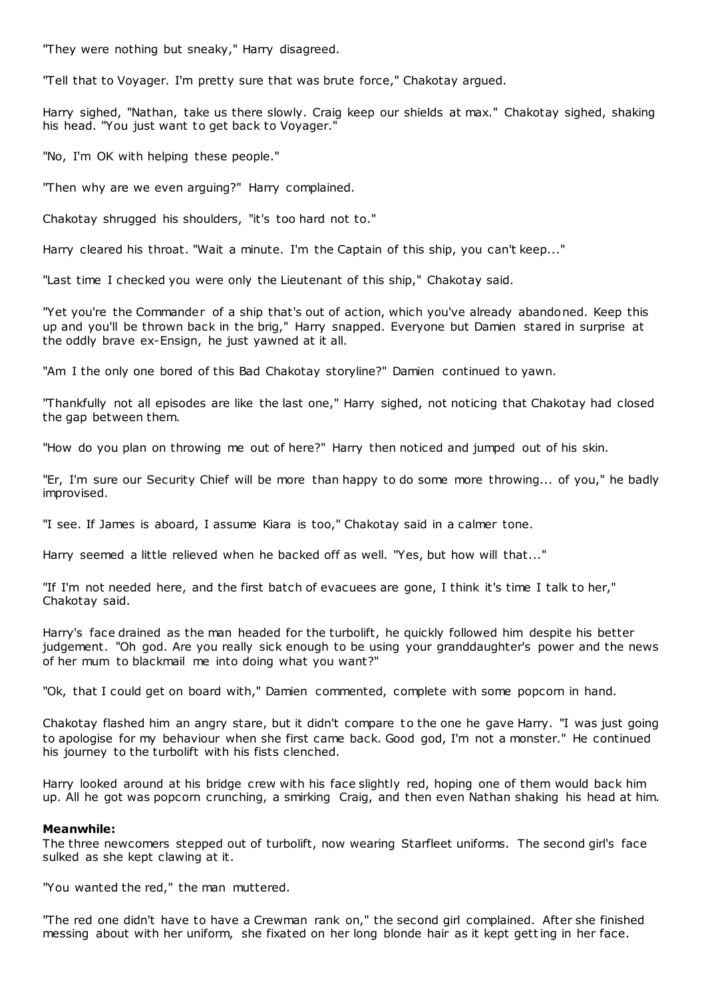"They were nothing but sneaky," Harry disagreed.

"Tell that to Voyager. I'm pretty sure that was brute force," Chakotay argued.

Harry sighed, "Nathan, take us there slowly. Craig keep our shields at max." Chakotay sighed, shaking his head. "You just want to get back to Voyager."

"No, I'm OK with helping these people."

"Then why are we even arguing?" Harry complained.

Chakotay shrugged his shoulders, "it's too hard not to."

Harry cleared his throat. "Wait a minute. I'm the Captain of this ship, you can't keep..."

"Last time I checked you were only the Lieutenant of this ship," Chakotay said.

"Yet you're the Commander of a ship that's out of action, which you've already abandoned. Keep this up and you'll be thrown back in the brig," Harry snapped. Everyone but Damien stared in surprise at the oddly brave ex-Ensign, he just yawned at it all.

"Am I the only one bored of this Bad Chakotay storyline?" Damien continued to yawn.

"Thankfully not all episodes are like the last one," Harry sighed, not noticing that Chakotay had closed the gap between them.

"How do you plan on throwing me out of here?" Harry then noticed and jumped out of his skin.

"Er, I'm sure our Security Chief will be more than happy to do some more throwing... of you," he badly improvised.

"I see. If James is aboard, I assume Kiara is too," Chakotay said in a calmer tone.

Harry seemed a little relieved when he backed off as well. "Yes, but how will that..."

"If I'm not needed here, and the first batch of evacuees are gone, I think it's time I talk to her," Chakotay said.

Harry's face drained as the man headed for the turbolift, he quickly followed him despite his better judgement. "Oh god. Are you really sick enough to be using your granddaughter's power and the news of her mum to blackmail me into doing what you want?"

"Ok, that I could get on board with," Damien commented, complete with some popcorn in hand.

Chakotay flashed him an angry stare, but it didn't compare to the one he gave Harry. "I was just going to apologise for my behaviour when she first came back. Good god, I'm not a monster." He continued his journey to the turbolift with his fists clenched.

Harry looked around at his bridge crew with his face slightly red, hoping one of them would back him up. All he got was popcorn crunching, a smirking Craig, and then even Nathan shaking his head at him.

# **Meanwhile:**

The three newcomers stepped out of turbolift, now wearing Starfleet uniforms. The second girl's face sulked as she kept clawing at it.

"You wanted the red," the man muttered.

"The red one didn't have to have a Crewman rank on," the second girl complained. After she finished messing about with her uniform, she fixated on her long blonde hair as it kept getting in her face.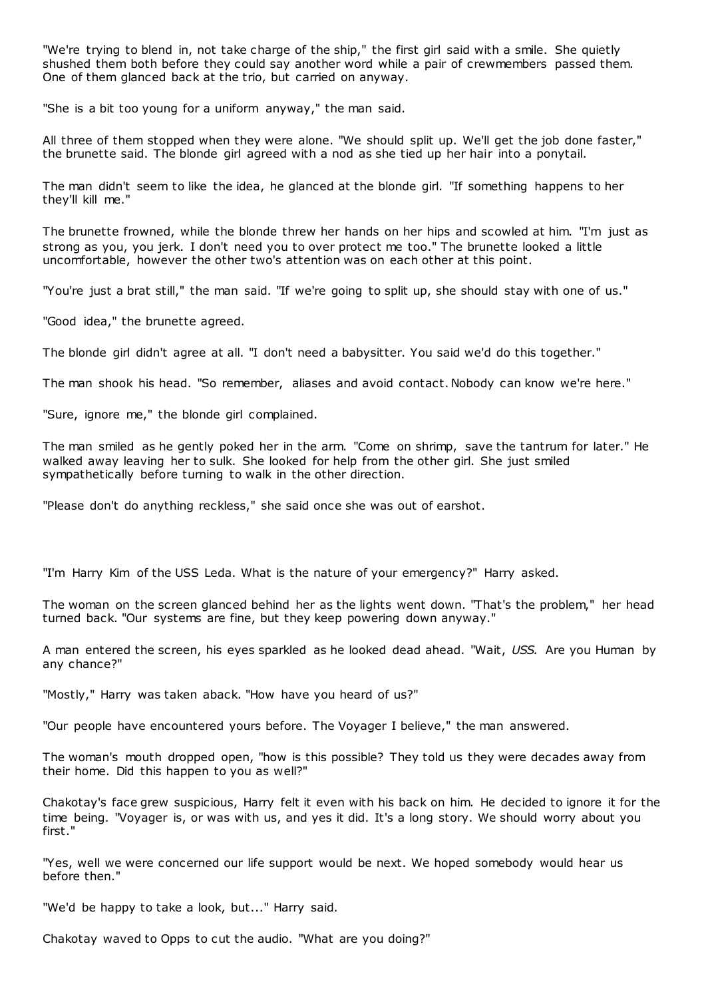"We're trying to blend in, not take charge of the ship," the first girl said with a smile. She quietly shushed them both before they could say another word while a pair of crewmembers passed them. One of them glanced back at the trio, but carried on anyway.

"She is a bit too young for a uniform anyway," the man said.

All three of them stopped when they were alone. "We should split up. We'll get the job done faster," the brunette said. The blonde girl agreed with a nod as she tied up her hair into a ponytail.

The man didn't seem to like the idea, he glanced at the blonde girl. "If something happens to her they'll kill me."

The brunette frowned, while the blonde threw her hands on her hips and scowled at him. "I'm just as strong as you, you jerk. I don't need you to over protect me too." The brunette looked a little uncomfortable, however the other two's attention was on each other at this point.

"You're just a brat still," the man said. "If we're going to split up, she should stay with one of us."

"Good idea," the brunette agreed.

The blonde girl didn't agree at all. "I don't need a babysitter. You said we'd do this together."

The man shook his head. "So remember, aliases and avoid contact. Nobody can know we're here."

"Sure, ignore me," the blonde girl complained.

The man smiled as he gently poked her in the arm. "Come on shrimp, save the tantrum for later." He walked away leaving her to sulk. She looked for help from the other girl. She just smiled sympathetically before turning to walk in the other direction.

"Please don't do anything reckless," she said once she was out of earshot.

"I'm Harry Kim of the USS Leda. What is the nature of your emergency?" Harry asked.

The woman on the screen glanced behind her as the lights went down. "That's the problem," her head turned back. "Our systems are fine, but they keep powering down anyway."

A man entered the screen, his eyes sparkled as he looked dead ahead. "Wait, *USS.* Are you Human by any chance?"

"Mostly," Harry was taken aback. "How have you heard of us?"

"Our people have encountered yours before. The Voyager I believe," the man answered.

The woman's mouth dropped open, "how is this possible? They told us they were decades away from their home. Did this happen to you as well?"

Chakotay's face grew suspicious, Harry felt it even with his back on him. He decided to ignore it for the time being. "Voyager is, or was with us, and yes it did. It's a long story. We should worry about you first."

"Yes, well we were concerned our life support would be next. We hoped somebody would hear us before then."

"We'd be happy to take a look, but..." Harry said.

Chakotay waved to Opps to cut the audio. "What are you doing?"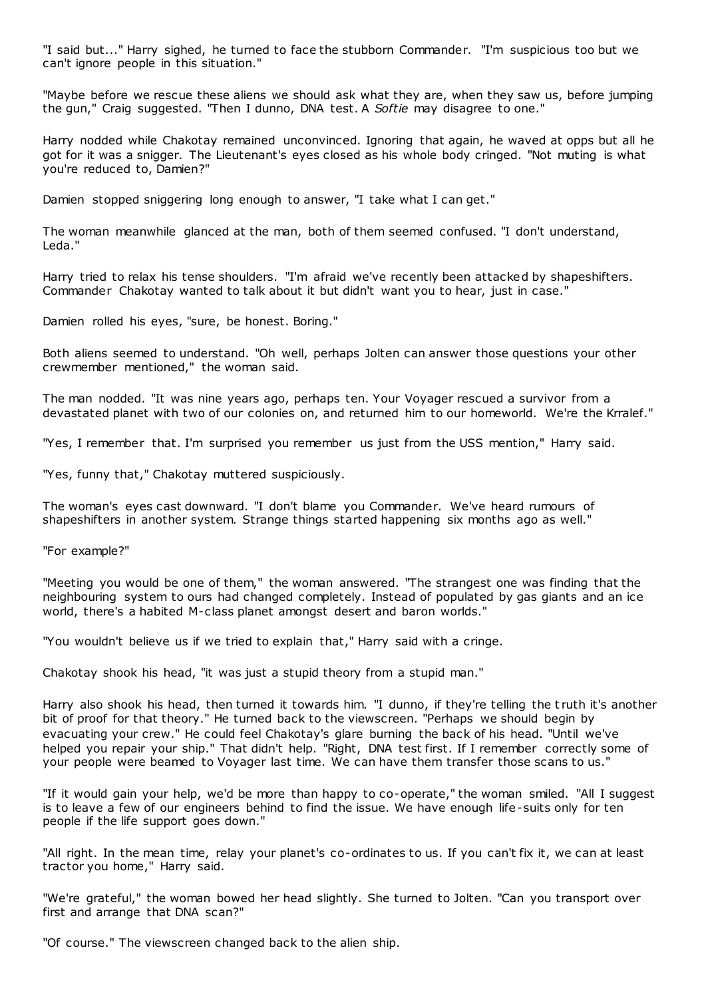"I said but..." Harry sighed, he turned to face the stubborn Commander. "I'm suspicious too but we can't ignore people in this situation."

"Maybe before we rescue these aliens we should ask what they are, when they saw us, before jumping the gun," Craig suggested. "Then I dunno, DNA test. A *Softie* may disagree to one."

Harry nodded while Chakotay remained unconvinced. Ignoring that again, he waved at opps but all he got for it was a snigger. The Lieutenant's eyes closed as his whole body cringed. "Not muting is what you're reduced to, Damien?"

Damien stopped sniggering long enough to answer, "I take what I can get."

The woman meanwhile glanced at the man, both of them seemed confused. "I don't understand, Leda."

Harry tried to relax his tense shoulders. "I'm afraid we've recently been attacked by shapeshifters. Commander Chakotay wanted to talk about it but didn't want you to hear, just in case."

Damien rolled his eyes, "sure, be honest. Boring."

Both aliens seemed to understand. "Oh well, perhaps Jolten can answer those questions your other crewmember mentioned," the woman said.

The man nodded. "It was nine years ago, perhaps ten. Your Voyager rescued a survivor from a devastated planet with two of our colonies on, and returned him to our homeworld. We're the Krralef."

"Yes, I remember that. I'm surprised you remember us just from the USS mention," Harry said.

"Yes, funny that," Chakotay muttered suspiciously.

The woman's eyes cast downward. "I don't blame you Commander. We've heard rumours of shapeshifters in another system. Strange things started happening six months ago as well."

"For example?"

"Meeting you would be one of them," the woman answered. "The strangest one was finding that the neighbouring system to ours had changed completely. Instead of populated by gas giants and an ice world, there's a habited M-class planet amongst desert and baron worlds."

"You wouldn't believe us if we tried to explain that," Harry said with a cringe.

Chakotay shook his head, "it was just a stupid theory from a stupid man."

Harry also shook his head, then turned it towards him. "I dunno, if they're telling the t ruth it's another bit of proof for that theory." He turned back to the viewscreen. "Perhaps we should begin by evacuating your crew." He could feel Chakotay's glare burning the back of his head. "Until we've helped you repair your ship." That didn't help. "Right, DNA test first. If I remember correctly some of your people were beamed to Voyager last time. We can have them transfer those scans to us."

"If it would gain your help, we'd be more than happy to co-operate," the woman smiled. "All I suggest is to leave a few of our engineers behind to find the issue. We have enough life-suits only for ten people if the life support goes down."

"All right. In the mean time, relay your planet's co-ordinates to us. If you can't fix it, we can at least tractor you home," Harry said.

"We're grateful," the woman bowed her head slightly. She turned to Jolten. "Can you transport over first and arrange that DNA scan?"

"Of course." The viewscreen changed back to the alien ship.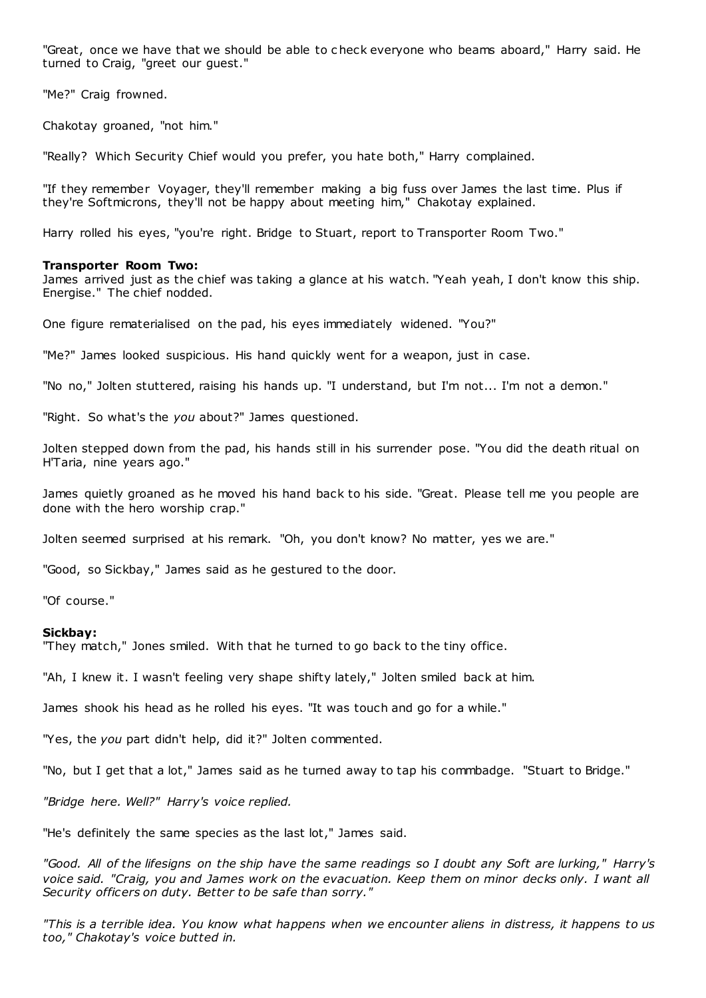"Great, once we have that we should be able to c heck everyone who beams aboard," Harry said. He turned to Craig, "greet our guest."

"Me?" Craig frowned.

Chakotay groaned, "not him."

"Really? Which Security Chief would you prefer, you hate both," Harry complained.

"If they remember Voyager, they'll remember making a big fuss over James the last time. Plus if they're Softmicrons, they'll not be happy about meeting him," Chakotay explained.

Harry rolled his eyes, "you're right. Bridge to Stuart, report to Transporter Room Two."

## **Transporter Room Two:**

James arrived just as the chief was taking a glance at his watch. "Yeah yeah, I don't know this ship. Energise." The chief nodded.

One figure rematerialised on the pad, his eyes immediately widened. "You?"

"Me?" James looked suspicious. His hand quickly went for a weapon, just in case.

"No no," Jolten stuttered, raising his hands up. "I understand, but I'm not... I'm not a demon."

"Right. So what's the *you* about?" James questioned.

Jolten stepped down from the pad, his hands still in his surrender pose. "You did the death ritual on H'Taria, nine years ago."

James quietly groaned as he moved his hand back to his side. "Great. Please tell me you people are done with the hero worship crap."

Jolten seemed surprised at his remark. "Oh, you don't know? No matter, yes we are."

"Good, so Sickbay," James said as he gestured to the door.

"Of course."

#### **Sickbay:**

"They match," Jones smiled. With that he turned to go back to the tiny office.

"Ah, I knew it. I wasn't feeling very shape shifty lately," Jolten smiled back at him.

James shook his head as he rolled his eyes. "It was touch and go for a while."

"Yes, the *you* part didn't help, did it?" Jolten commented.

"No, but I get that a lot," James said as he turned away to tap his commbadge. "Stuart to Bridge."

*"Bridge here. Well?" Harry's voice replied.*

"He's definitely the same species as the last lot," James said.

*"Good. All of the lifesigns on the ship have the same readings so I doubt any Soft are lurking," Harry's voice said. "Craig, you and James work on the evacuation. Keep them on minor decks only. I want all Security officers on duty. Better to be safe than sorry."*

*"This is a terrible idea. You know what happens when we encounter aliens in distress, it happens to us too," Chakotay's voice butted in.*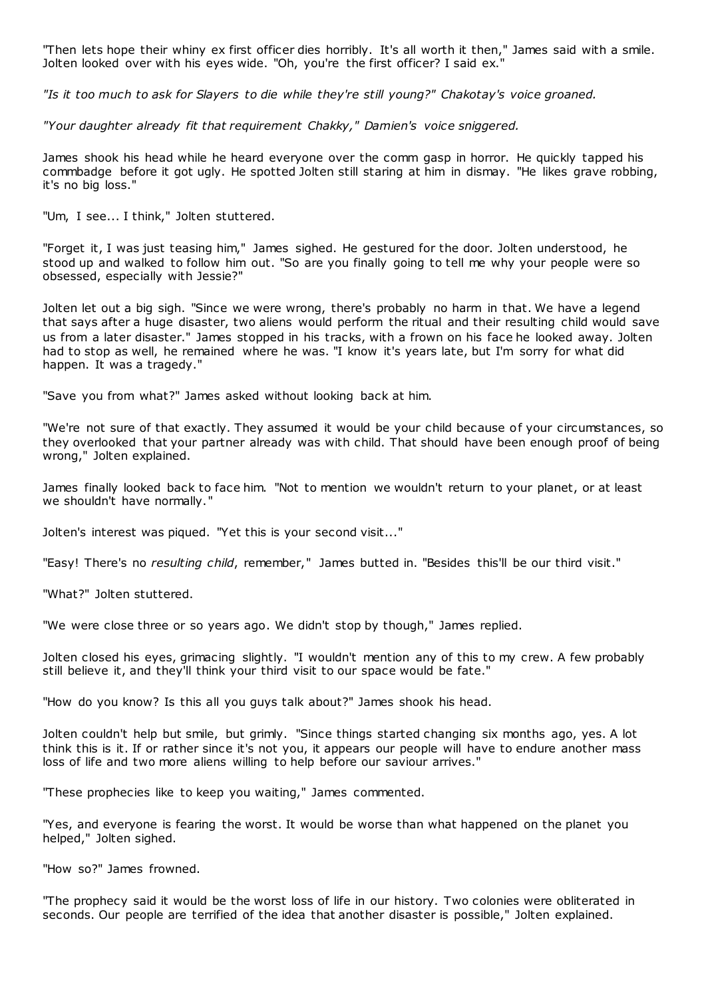"Then lets hope their whiny ex first officer dies horribly. It's all worth it then," James said with a smile. Jolten looked over with his eyes wide. "Oh, you're the first officer? I said ex."

*"Is it too much to ask for Slayers to die while they're still young?" Chakotay's voice groaned.*

*"Your daughter already fit that requirement Chakky," Damien's voice sniggered.*

James shook his head while he heard everyone over the comm gasp in horror. He quickly tapped his commbadge before it got ugly. He spotted Jolten still staring at him in dismay. "He likes grave robbing, it's no big loss."

"Um, I see... I think," Jolten stuttered.

"Forget it, I was just teasing him," James sighed. He gestured for the door. Jolten understood, he stood up and walked to follow him out. "So are you finally going to tell me why your people were so obsessed, especially with Jessie?"

Jolten let out a big sigh. "Since we were wrong, there's probably no harm in that. We have a legend that says after a huge disaster, two aliens would perform the ritual and their resulting child would save us from a later disaster." James stopped in his tracks, with a frown on his face he looked away. Jolten had to stop as well, he remained where he was. "I know it's years late, but I'm sorry for what did happen. It was a tragedy."

"Save you from what?" James asked without looking back at him.

"We're not sure of that exactly. They assumed it would be your child because of your circumstances, so they overlooked that your partner already was with child. That should have been enough proof of being wrong," Jolten explained.

James finally looked back to face him. "Not to mention we wouldn't return to your planet, or at least we shouldn't have normally."

Jolten's interest was piqued. "Yet this is your second visit..."

"Easy! There's no *resulting child*, remember," James butted in. "Besides this'll be our third visit."

"What?" Jolten stuttered.

"We were close three or so years ago. We didn't stop by though," James replied.

Jolten closed his eyes, grimacing slightly. "I wouldn't mention any of this to my crew. A few probably still believe it, and they'll think your third visit to our space would be fate."

"How do you know? Is this all you guys talk about?" James shook his head.

Jolten couldn't help but smile, but grimly. "Since things started changing six months ago, yes. A lot think this is it. If or rather since it's not you, it appears our people will have to endure another mass loss of life and two more aliens willing to help before our saviour arrives."

"These prophecies like to keep you waiting," James commented.

"Yes, and everyone is fearing the worst. It would be worse than what happened on the planet you helped," Jolten sighed.

"How so?" James frowned.

"The prophecy said it would be the worst loss of life in our history. Two colonies were obliterated in seconds. Our people are terrified of the idea that another disaster is possible," Jolten explained.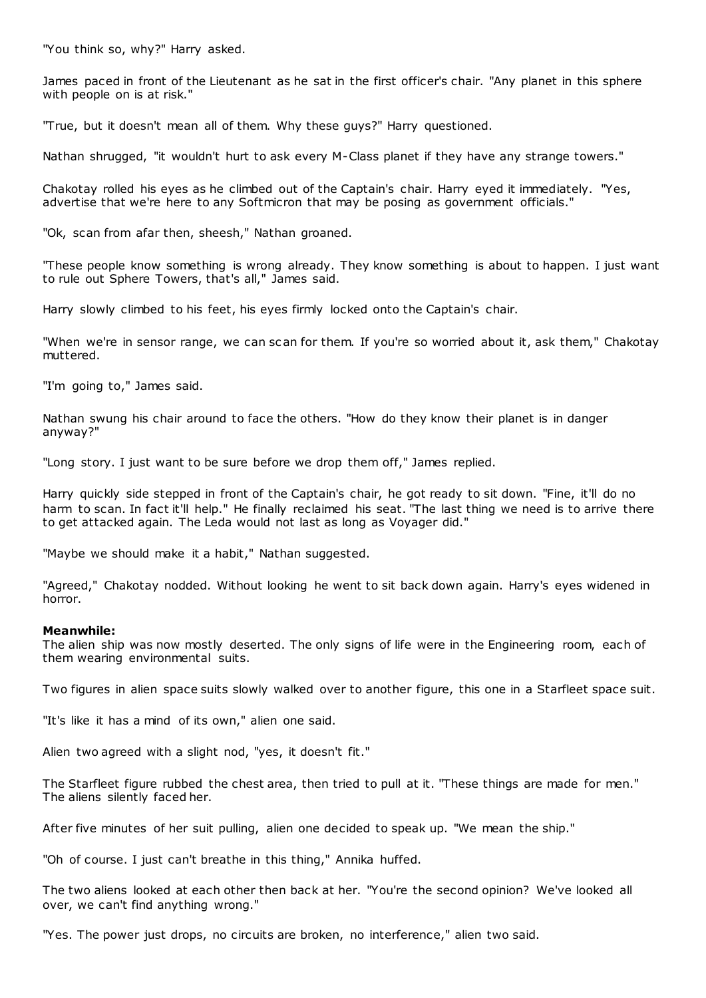"You think so, why?" Harry asked.

James paced in front of the Lieutenant as he sat in the first officer's chair. "Any planet in this sphere with people on is at risk."

"True, but it doesn't mean all of them. Why these guys?" Harry questioned.

Nathan shrugged, "it wouldn't hurt to ask every M-Class planet if they have any strange towers."

Chakotay rolled his eyes as he climbed out of the Captain's chair. Harry eyed it immediately. "Yes, advertise that we're here to any Softmicron that may be posing as government officials."

"Ok, scan from afar then, sheesh," Nathan groaned.

"These people know something is wrong already. They know something is about to happen. I just want to rule out Sphere Towers, that's all," James said.

Harry slowly climbed to his feet, his eyes firmly locked onto the Captain's chair.

"When we're in sensor range, we can scan for them. If you're so worried about it, ask them," Chakotay muttered.

"I'm going to," James said.

Nathan swung his chair around to face the others. "How do they know their planet is in danger anyway?"

"Long story. I just want to be sure before we drop them off," James replied.

Harry quickly side stepped in front of the Captain's chair, he got ready to sit down. "Fine, it'll do no harm to scan. In fact it'll help." He finally reclaimed his seat. "The last thing we need is to arrive there to get attacked again. The Leda would not last as long as Voyager did."

"Maybe we should make it a habit," Nathan suggested.

"Agreed," Chakotay nodded. Without looking he went to sit back down again. Harry's eyes widened in horror.

# **Meanwhile:**

The alien ship was now mostly deserted. The only signs of life were in the Engineering room, each of them wearing environmental suits.

Two figures in alien space suits slowly walked over to another figure, this one in a Starfleet space suit.

"It's like it has a mind of its own," alien one said.

Alien two agreed with a slight nod, "yes, it doesn't fit."

The Starfleet figure rubbed the chest area, then tried to pull at it. "These things are made for men." The aliens silently faced her.

After five minutes of her suit pulling, alien one decided to speak up. "We mean the ship."

"Oh of course. I just can't breathe in this thing," Annika huffed.

The two aliens looked at each other then back at her. "You're the second opinion? We've looked all over, we can't find anything wrong."

"Yes. The power just drops, no circuits are broken, no interference," alien two said.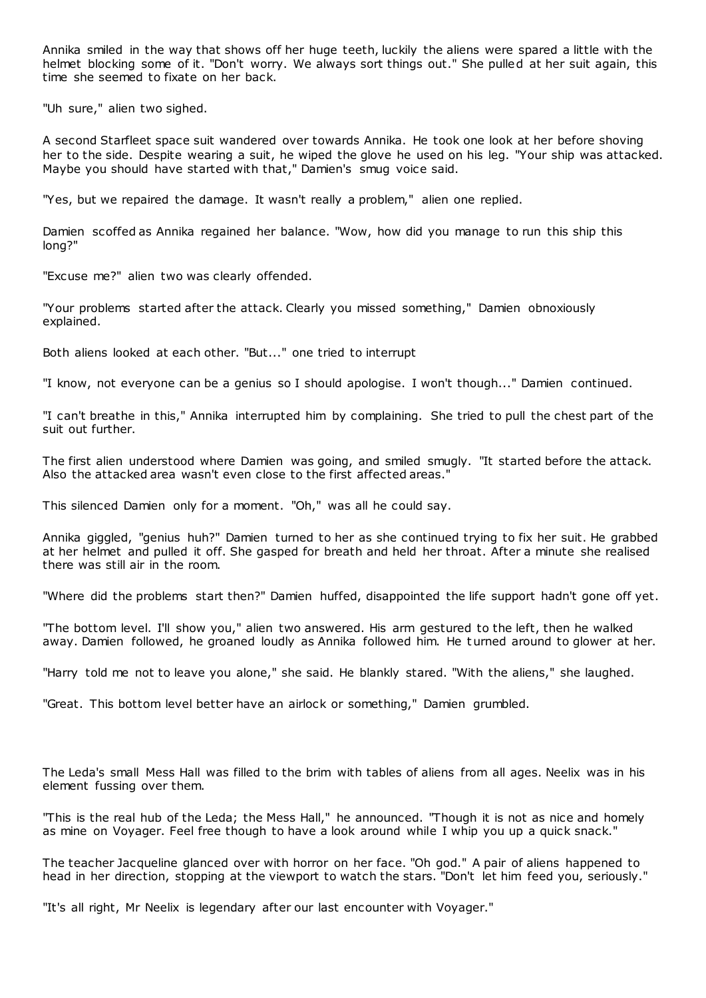Annika smiled in the way that shows off her huge teeth, luckily the aliens were spared a little with the helmet blocking some of it. "Don't worry. We always sort things out." She pulled at her suit again, this time she seemed to fixate on her back.

"Uh sure," alien two sighed.

A second Starfleet space suit wandered over towards Annika. He took one look at her before shoving her to the side. Despite wearing a suit, he wiped the glove he used on his leg. "Your ship was attacked. Maybe you should have started with that," Damien's smug voice said.

"Yes, but we repaired the damage. It wasn't really a problem," alien one replied.

Damien scoffed as Annika regained her balance. "Wow, how did you manage to run this ship this long?"

"Excuse me?" alien two was clearly offended.

"Your problems started after the attack. Clearly you missed something," Damien obnoxiously explained.

Both aliens looked at each other. "But..." one tried to interrupt

"I know, not everyone can be a genius so I should apologise. I won't though..." Damien continued.

"I can't breathe in this," Annika interrupted him by complaining. She tried to pull the chest part of the suit out further.

The first alien understood where Damien was going, and smiled smugly. "It started before the attack. Also the attacked area wasn't even close to the first affected areas."

This silenced Damien only for a moment. "Oh," was all he could say.

Annika giggled, "genius huh?" Damien turned to her as she continued trying to fix her suit. He grabbed at her helmet and pulled it off. She gasped for breath and held her throat. After a minute she realised there was still air in the room.

"Where did the problems start then?" Damien huffed, disappointed the life support hadn't gone off yet.

"The bottom level. I'll show you," alien two answered. His arm gestured to the left, then he walked away. Damien followed, he groaned loudly as Annika followed him. He t urned around to glower at her.

"Harry told me not to leave you alone," she said. He blankly stared. "With the aliens," she laughed.

"Great. This bottom level better have an airlock or something," Damien grumbled.

The Leda's small Mess Hall was filled to the brim with tables of aliens from all ages. Neelix was in his element fussing over them.

"This is the real hub of the Leda; the Mess Hall," he announced. "Though it is not as nice and homely as mine on Voyager. Feel free though to have a look around while I whip you up a quick snack."

The teacher Jacqueline glanced over with horror on her face. "Oh god." A pair of aliens happened to head in her direction, stopping at the viewport to watch the stars. "Don't let him feed you, seriously."

"It's all right, Mr Neelix is legendary after our last encounter with Voyager."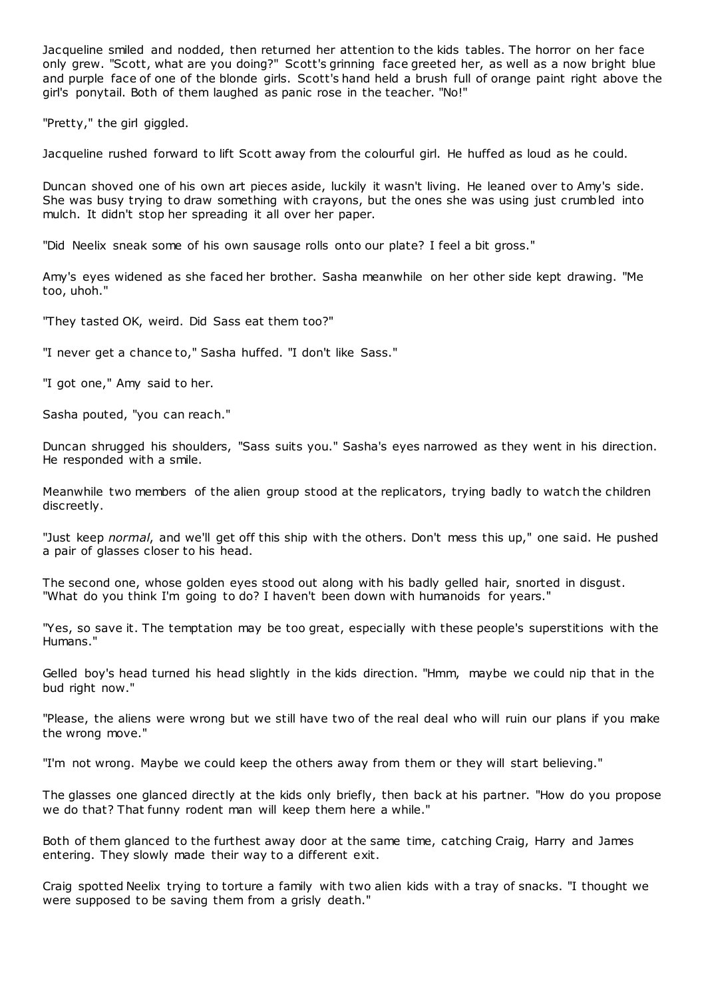Jacqueline smiled and nodded, then returned her attention to the kids tables. The horror on her face only grew. "Scott, what are you doing?" Scott's grinning face greeted her, as well as a now bright blue and purple face of one of the blonde girls. Scott's hand held a brush full of orange paint right above the girl's ponytail. Both of them laughed as panic rose in the teacher. "No!"

"Pretty," the girl giggled.

Jacqueline rushed forward to lift Scott away from the colourful girl. He huffed as loud as he could.

Duncan shoved one of his own art pieces aside, luckily it wasn't living. He leaned over to Amy's side. She was busy trying to draw something with crayons, but the ones she was using just crumbled into mulch. It didn't stop her spreading it all over her paper.

"Did Neelix sneak some of his own sausage rolls onto our plate? I feel a bit gross."

Amy's eyes widened as she faced her brother. Sasha meanwhile on her other side kept drawing. "Me too, uhoh."

"They tasted OK, weird. Did Sass eat them too?"

"I never get a chance to," Sasha huffed. "I don't like Sass."

"I got one," Amy said to her.

Sasha pouted, "you can reach."

Duncan shrugged his shoulders, "Sass suits you." Sasha's eyes narrowed as they went in his direction. He responded with a smile.

Meanwhile two members of the alien group stood at the replicators, trying badly to watch the children discreetly.

"Just keep *normal*, and we'll get off this ship with the others. Don't mess this up," one said. He pushed a pair of glasses closer to his head.

The second one, whose golden eyes stood out along with his badly gelled hair, snorted in disgust. "What do you think I'm going to do? I haven't been down with humanoids for years."

"Yes, so save it. The temptation may be too great, especially with these people's superstitions with the Humans."

Gelled boy's head turned his head slightly in the kids direction. "Hmm, maybe we could nip that in the bud right now."

"Please, the aliens were wrong but we still have two of the real deal who will ruin our plans if you make the wrong move."

"I'm not wrong. Maybe we could keep the others away from them or they will start believing."

The glasses one glanced directly at the kids only briefly, then back at his partner. "How do you propose we do that? That funny rodent man will keep them here a while."

Both of them glanced to the furthest away door at the same time, catching Craig, Harry and James entering. They slowly made their way to a different exit.

Craig spotted Neelix trying to torture a family with two alien kids with a tray of snacks. "I thought we were supposed to be saving them from a grisly death."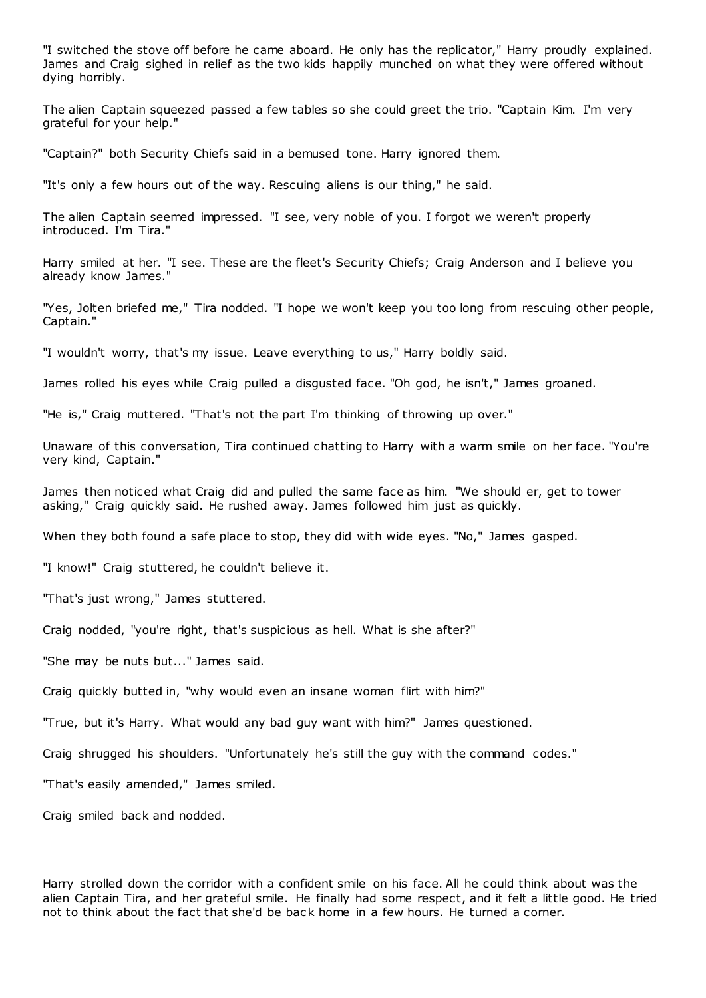"I switched the stove off before he came aboard. He only has the replicator," Harry proudly explained. James and Craig sighed in relief as the two kids happily munched on what they were offered without dying horribly.

The alien Captain squeezed passed a few tables so she could greet the trio. "Captain Kim. I'm very grateful for your help."

"Captain?" both Security Chiefs said in a bemused tone. Harry ignored them.

"It's only a few hours out of the way. Rescuing aliens is our thing," he said.

The alien Captain seemed impressed. "I see, very noble of you. I forgot we weren't properly introduced. I'm Tira."

Harry smiled at her. "I see. These are the fleet's Security Chiefs; Craig Anderson and I believe you already know James."

"Yes, Jolten briefed me," Tira nodded. "I hope we won't keep you too long from rescuing other people, Captain."

"I wouldn't worry, that's my issue. Leave everything to us," Harry boldly said.

James rolled his eyes while Craig pulled a disgusted face. "Oh god, he isn't," James groaned.

"He is," Craig muttered. "That's not the part I'm thinking of throwing up over."

Unaware of this conversation, Tira continued chatting to Harry with a warm smile on her face. "You're very kind, Captain."

James then noticed what Craig did and pulled the same face as him. "We should er, get to tower asking," Craig quickly said. He rushed away. James followed him just as quickly.

When they both found a safe place to stop, they did with wide eyes. "No," James gasped.

"I know!" Craig stuttered, he couldn't believe it.

"That's just wrong," James stuttered.

Craig nodded, "you're right, that's suspicious as hell. What is she after?"

"She may be nuts but..." James said.

Craig quickly butted in, "why would even an insane woman flirt with him?"

"True, but it's Harry. What would any bad guy want with him?" James questioned.

Craig shrugged his shoulders. "Unfortunately he's still the guy with the command codes."

"That's easily amended," James smiled.

Craig smiled back and nodded.

Harry strolled down the corridor with a confident smile on his face. All he could think about was the alien Captain Tira, and her grateful smile. He finally had some respect, and it felt a little good. He tried not to think about the fact that she'd be bac k home in a few hours. He turned a corner.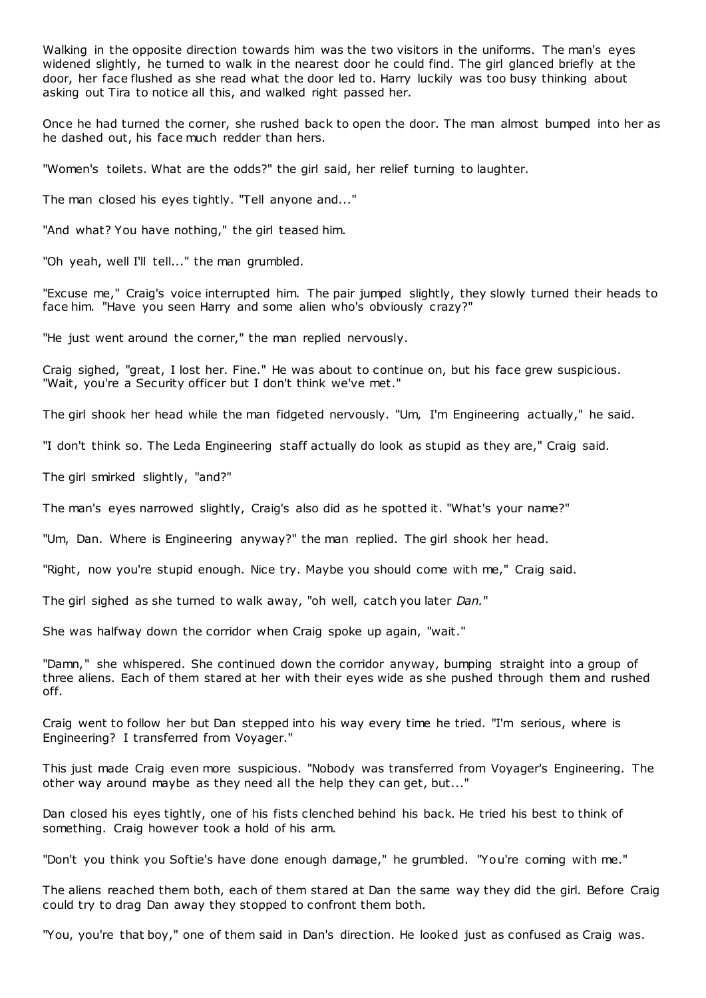Walking in the opposite direction towards him was the two visitors in the uniforms. The man's eyes widened slightly, he turned to walk in the nearest door he could find. The girl glanced briefly at the door, her face flushed as she read what the door led to. Harry luckily was too busy thinking about asking out Tira to notice all this, and walked right passed her.

Once he had turned the corner, she rushed back to open the door. The man almost bumped into her as he dashed out, his face much redder than hers.

"Women's toilets. What are the odds?" the girl said, her relief turning to laughter.

The man closed his eyes tightly. "Tell anyone and..."

"And what? You have nothing," the girl teased him.

"Oh yeah, well I'll tell..." the man grumbled.

"Excuse me," Craig's voice interrupted him. The pair jumped slightly, they slowly turned their heads to face him. "Have you seen Harry and some alien who's obviously crazy?"

"He just went around the corner," the man replied nervously.

Craig sighed, "great, I lost her. Fine." He was about to continue on, but his face grew suspicious. "Wait, you're a Security officer but I don't think we've met."

The girl shook her head while the man fidgeted nervously. "Um, I'm Engineering actually," he said.

"I don't think so. The Leda Engineering staff actually do look as stupid as they are," Craig said.

The girl smirked slightly, "and?"

The man's eyes narrowed slightly, Craig's also did as he spotted it. "What's your name?"

"Um, Dan. Where is Engineering anyway?" the man replied. The girl shook her head.

"Right, now you're stupid enough. Nice try. Maybe you should come with me," Craig said.

The girl sighed as she turned to walk away, "oh well, catch you later *Dan.*"

She was halfway down the corridor when Craig spoke up again, "wait."

"Damn," she whispered. She continued down the corridor anyway, bumping straight into a group of three aliens. Each of them stared at her with their eyes wide as she pushed through them and rushed off.

Craig went to follow her but Dan stepped into his way every time he tried. "I'm serious, where is Engineering? I transferred from Voyager."

This just made Craig even more suspicious. "Nobody was transferred from Voyager's Engineering. The other way around maybe as they need all the help they can get, but..."

Dan closed his eyes tightly, one of his fists clenched behind his back. He tried his best to think of something. Craig however took a hold of his arm.

"Don't you think you Softie's have done enough damage," he grumbled. "You're coming with me."

The aliens reached them both, each of them stared at Dan the same way they did the girl. Before Craig could try to drag Dan away they stopped to confront them both.

"You, you're that boy," one of them said in Dan's direction. He looked just as confused as Craig was.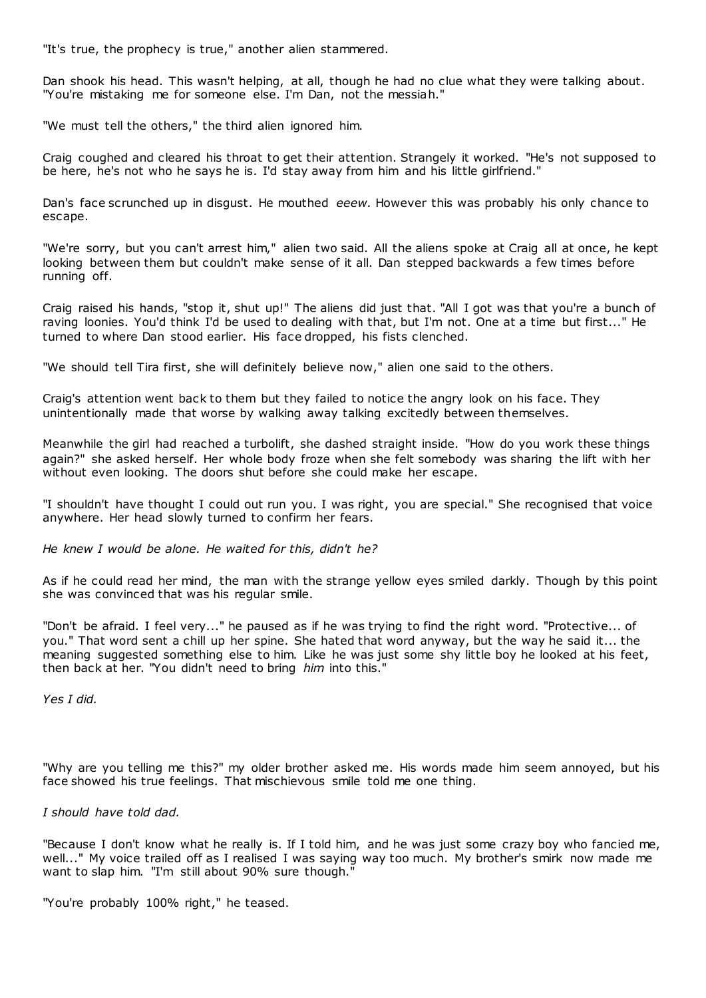"It's true, the prophecy is true," another alien stammered.

Dan shook his head. This wasn't helping, at all, though he had no clue what they were talking about. "You're mistaking me for someone else. I'm Dan, not the messiah."

"We must tell the others," the third alien ignored him.

Craig coughed and cleared his throat to get their attention. Strangely it worked. "He's not supposed to be here, he's not who he says he is. I'd stay away from him and his little girlfriend."

Dan's face scrunched up in disgust. He mouthed *eeew.* However this was probably his only chance to escape.

"We're sorry, but you can't arrest him," alien two said. All the aliens spoke at Craig all at once, he kept looking between them but couldn't make sense of it all. Dan stepped backwards a few times before running off.

Craig raised his hands, "stop it, shut up!" The aliens did just that. "All I got was that you're a bunch of raving loonies. You'd think I'd be used to dealing with that, but I'm not. One at a time but first..." He turned to where Dan stood earlier. His face dropped, his fists clenched.

"We should tell Tira first, she will definitely believe now," alien one said to the others.

Craig's attention went back to them but they failed to notice the angry look on his face. They unintentionally made that worse by walking away talking excitedly between themselves.

Meanwhile the girl had reached a turbolift, she dashed straight inside. "How do you work these things again?" she asked herself. Her whole body froze when she felt somebody was sharing the lift with her without even looking. The doors shut before she could make her escape.

"I shouldn't have thought I could out run you. I was right, you are special." She recognised that voice anywhere. Her head slowly turned to confirm her fears.

*He knew I would be alone. He waited for this, didn't he?*

As if he could read her mind, the man with the strange yellow eyes smiled darkly. Though by this point she was convinced that was his regular smile.

"Don't be afraid. I feel very..." he paused as if he was trying to find the right word. "Protective... of you." That word sent a chill up her spine. She hated that word anyway, but the way he said it... the meaning suggested something else to him. Like he was just some shy little boy he looked at his feet, then back at her. "You didn't need to bring *him* into this."

*Yes I did.*

"Why are you telling me this?" my older brother asked me. His words made him seem annoyed, but his face showed his true feelings. That mischievous smile told me one thing.

*I should have told dad.*

"Because I don't know what he really is. If I told him, and he was just some crazy boy who fancied me, well..." My voice trailed off as I realised I was saying way too much. My brother's smirk now made me want to slap him. "I'm still about 90% sure though."

"You're probably 100% right," he teased.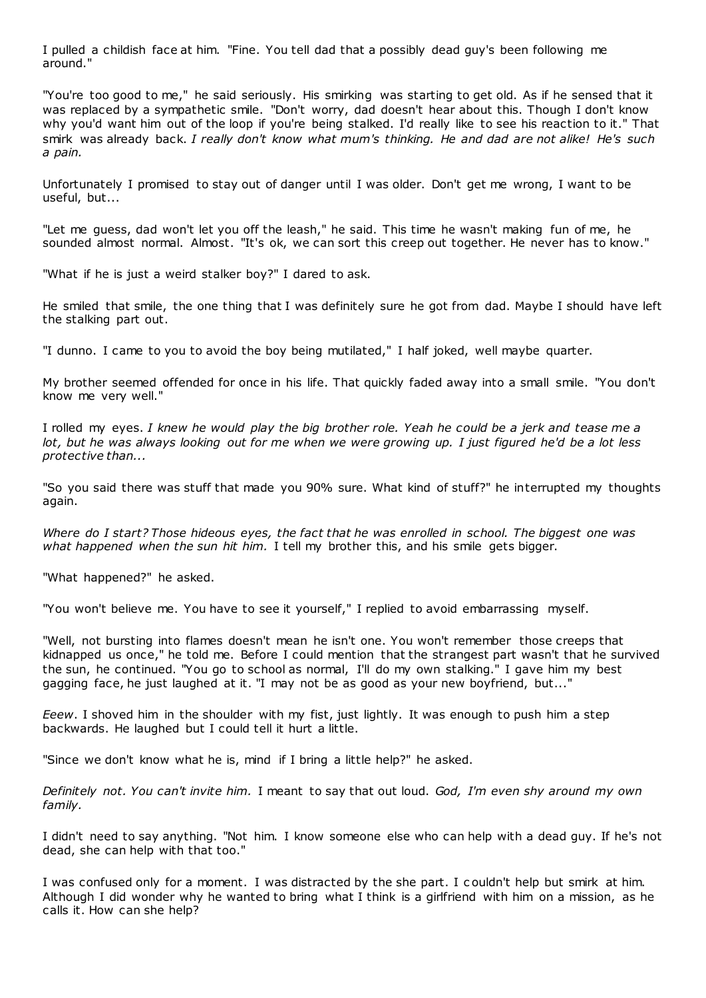I pulled a childish face at him. "Fine. You tell dad that a possibly dead guy's been following me around."

"You're too good to me," he said seriously. His smirking was starting to get old. As if he sensed that it was replaced by a sympathetic smile. "Don't worry, dad doesn't hear about this. Though I don't know why you'd want him out of the loop if you're being stalked. I'd really like to see his reaction to it." That smirk was already back. *I really don't know what mum's thinking. He and dad are not alike! He's such a pain.*

Unfortunately I promised to stay out of danger until I was older. Don't get me wrong, I want to be useful, but...

"Let me guess, dad won't let you off the leash," he said. This time he wasn't making fun of me, he sounded almost normal. Almost. "It's ok, we can sort this creep out together. He never has to know."

"What if he is just a weird stalker boy?" I dared to ask.

He smiled that smile, the one thing that I was definitely sure he got from dad. Maybe I should have left the stalking part out.

"I dunno. I came to you to avoid the boy being mutilated," I half joked, well maybe quarter.

My brother seemed offended for once in his life. That quickly faded away into a small smile. "You don't know me very well."

I rolled my eyes. *I knew he would play the big brother role. Yeah he could be a jerk and tease me a lot, but he was always looking out for me when we were growing up. I just figured he'd be a lot less protective than...*

"So you said there was stuff that made you 90% sure. What kind of stuff?" he interrupted my thoughts again.

*Where do I start? Those hideous eyes, the fact that he was enrolled in school. The biggest one was what happened when the sun hit him.* I tell my brother this, and his smile gets bigger.

"What happened?" he asked.

"You won't believe me. You have to see it yourself," I replied to avoid embarrassing myself.

"Well, not bursting into flames doesn't mean he isn't one. You won't remember those creeps that kidnapped us once," he told me. Before I could mention that the strangest part wasn't that he survived the sun, he continued. "You go to school as normal, I'll do my own stalking." I gave him my best gagging face, he just laughed at it. "I may not be as good as your new boyfriend, but..."

*Eeew*. I shoved him in the shoulder with my fist, just lightly. It was enough to push him a step backwards. He laughed but I could tell it hurt a little.

"Since we don't know what he is, mind if I bring a little help?" he asked.

*Definitely not. You can't invite him.* I meant to say that out loud. *God, I'm even shy around my own family.*

I didn't need to say anything. "Not him. I know someone else who can help with a dead guy. If he's not dead, she can help with that too."

I was confused only for a moment. I was distracted by the she part. I c ouldn't help but smirk at him. Although I did wonder why he wanted to bring what I think is a girlfriend with him on a mission, as he calls it. How can she help?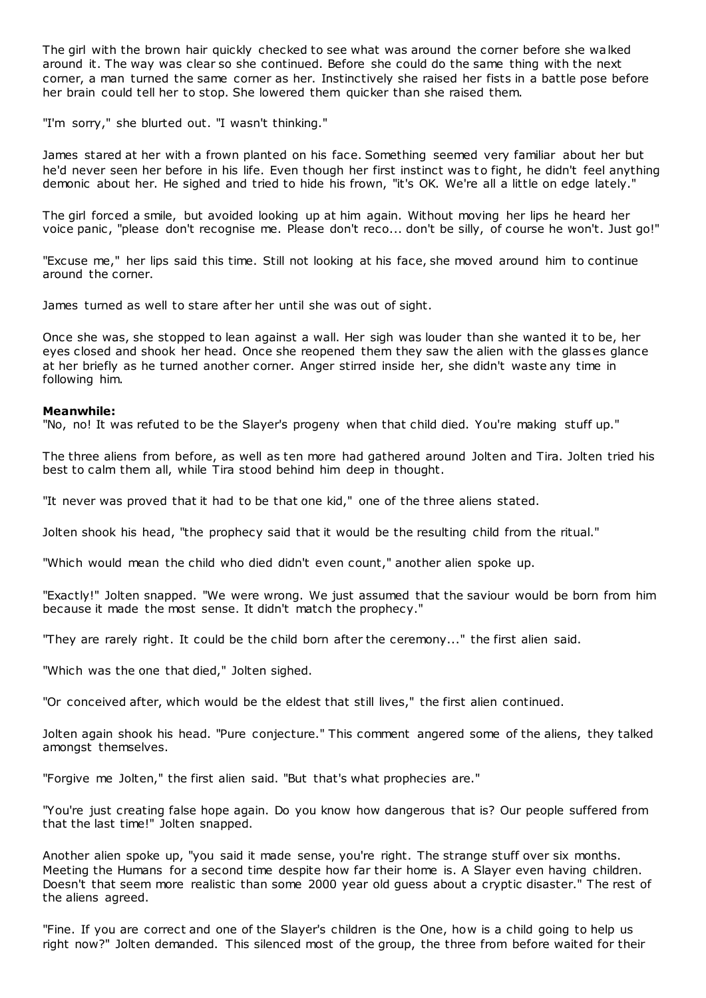The girl with the brown hair quickly checked to see what was around the corner before she walked around it. The way was clear so she continued. Before she could do the same thing with the next corner, a man turned the same corner as her. Instinctively she raised her fists in a battle pose before her brain could tell her to stop. She lowered them quicker than she raised them.

"I'm sorry," she blurted out. "I wasn't thinking."

James stared at her with a frown planted on his face. Something seemed very familiar about her but he'd never seen her before in his life. Even though her first instinct was to fight, he didn't feel anything demonic about her. He sighed and tried to hide his frown, "it's OK. We're all a little on edge lately."

The girl forced a smile, but avoided looking up at him again. Without moving her lips he heard her voice panic, "please don't recognise me. Please don't reco... don't be silly, of course he won't. Just go!"

"Excuse me," her lips said this time. Still not looking at his face, she moved around him to continue around the corner.

James turned as well to stare after her until she was out of sight.

Once she was, she stopped to lean against a wall. Her sigh was louder than she wanted it to be, her eyes closed and shook her head. Once she reopened them they saw the alien with the glasses glance at her briefly as he turned another corner. Anger stirred inside her, she didn't waste any time in following him.

## **Meanwhile:**

"No, no! It was refuted to be the Slayer's progeny when that child died. You're making stuff up."

The three aliens from before, as well as ten more had gathered around Jolten and Tira. Jolten tried his best to calm them all, while Tira stood behind him deep in thought.

"It never was proved that it had to be that one kid," one of the three aliens stated.

Jolten shook his head, "the prophecy said that it would be the resulting child from the ritual."

"Which would mean the child who died didn't even count," another alien spoke up.

"Exactly!" Jolten snapped. "We were wrong. We just assumed that the saviour would be born from him because it made the most sense. It didn't match the prophecy."

"They are rarely right. It could be the child born after the ceremony..." the first alien said.

"Which was the one that died," Jolten sighed.

"Or conceived after, which would be the eldest that still lives," the first alien continued.

Jolten again shook his head. "Pure conjecture." This comment angered some of the aliens, they talked amongst themselves.

"Forgive me Jolten," the first alien said. "But that's what prophecies are."

"You're just creating false hope again. Do you know how dangerous that is? Our people suffered from that the last time!" Jolten snapped.

Another alien spoke up, "you said it made sense, you're right. The strange stuff over six months. Meeting the Humans for a second time despite how far their home is. A Slayer even having children. Doesn't that seem more realistic than some 2000 year old guess about a cryptic disaster." The rest of the aliens agreed.

"Fine. If you are correct and one of the Slayer's children is the One, how is a child going to help us right now?" Jolten demanded. This silenced most of the group, the three from before waited for their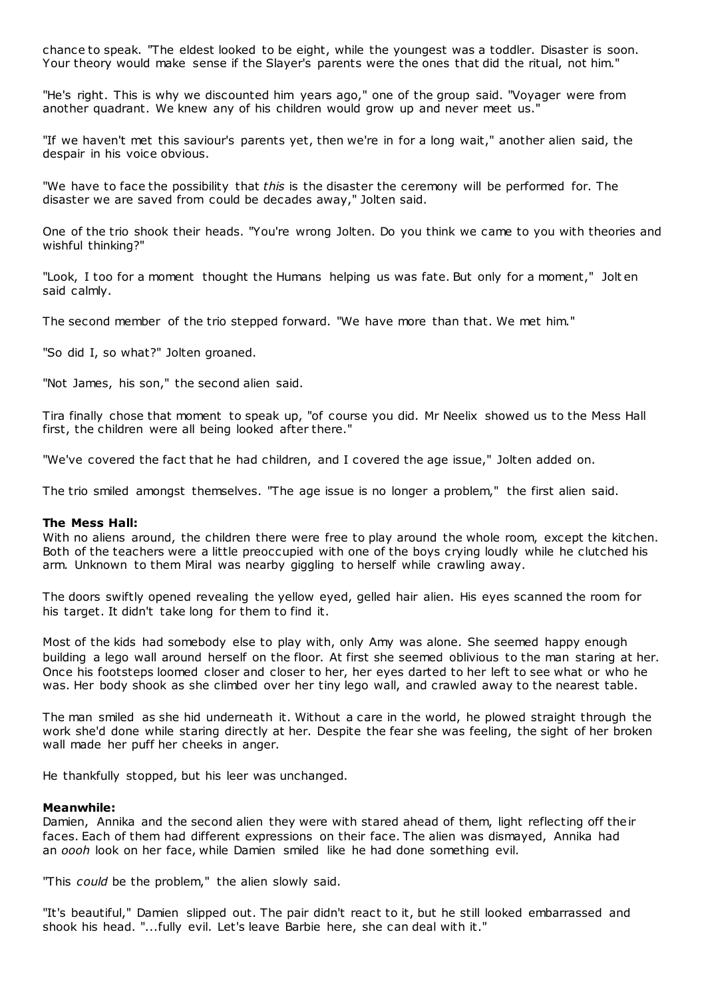chance to speak. "The eldest looked to be eight, while the youngest was a toddler. Disaster is soon. Your theory would make sense if the Slayer's parents were the ones that did the ritual, not him."

"He's right. This is why we discounted him years ago," one of the group said. "Voyager were from another quadrant. We knew any of his children would grow up and never meet us."

"If we haven't met this saviour's parents yet, then we're in for a long wait," another alien said, the despair in his voice obvious.

"We have to face the possibility that *this* is the disaster the ceremony will be performed for. The disaster we are saved from could be decades away," Jolten said.

One of the trio shook their heads. "You're wrong Jolten. Do you think we came to you with theories and wishful thinking?"

"Look, I too for a moment thought the Humans helping us was fate. But only for a moment," Jolt en said calmly.

The second member of the trio stepped forward. "We have more than that. We met him."

"So did I, so what?" Jolten groaned.

"Not James, his son," the second alien said.

Tira finally chose that moment to speak up, "of course you did. Mr Neelix showed us to the Mess Hall first, the children were all being looked after there."

"We've covered the fact that he had children, and I covered the age issue," Jolten added on.

The trio smiled amongst themselves. "The age issue is no longer a problem," the first alien said.

#### **The Mess Hall:**

With no aliens around, the children there were free to play around the whole room, except the kitchen. Both of the teachers were a little preoccupied with one of the boys crying loudly while he clutched his arm. Unknown to them Miral was nearby giggling to herself while crawling away.

The doors swiftly opened revealing the yellow eyed, gelled hair alien. His eyes scanned the room for his target. It didn't take long for them to find it.

Most of the kids had somebody else to play with, only Amy was alone. She seemed happy enough building a lego wall around herself on the floor. At first she seemed oblivious to the man staring at her. Once his footsteps loomed closer and closer to her, her eyes darted to her left to see what or who he was. Her body shook as she climbed over her tiny lego wall, and crawled away to the nearest table.

The man smiled as she hid underneath it. Without a care in the world, he plowed straight through the work she'd done while staring directly at her. Despite the fear she was feeling, the sight of her broken wall made her puff her cheeks in anger.

He thankfully stopped, but his leer was unchanged.

#### **Meanwhile:**

Damien, Annika and the second alien they were with stared ahead of them, light reflecting off their faces. Each of them had different expressions on their face. The alien was dismayed, Annika had an *oooh* look on her face, while Damien smiled like he had done something evil.

"This *could* be the problem," the alien slowly said.

"It's beautiful," Damien slipped out. The pair didn't react to it, but he still looked embarrassed and shook his head. "...fully evil. Let's leave Barbie here, she can deal with it."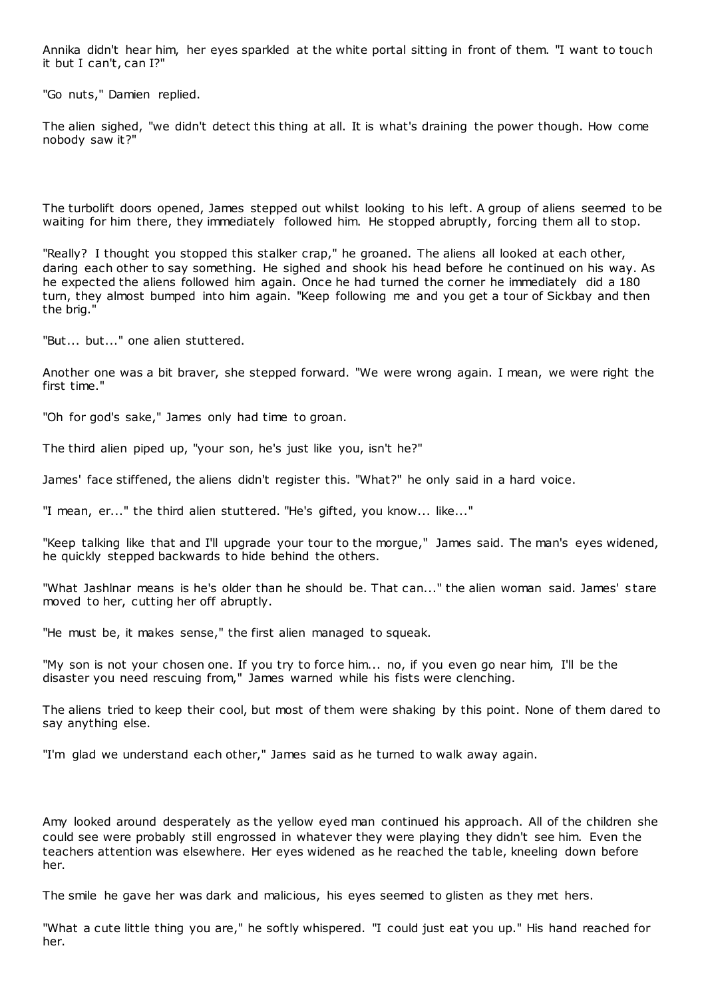Annika didn't hear him, her eyes sparkled at the white portal sitting in front of them. "I want to touch it but I can't, can I?"

"Go nuts," Damien replied.

The alien sighed, "we didn't detect this thing at all. It is what's draining the power though. How come nobody saw it?"

The turbolift doors opened, James stepped out whilst looking to his left. A group of aliens seemed to be waiting for him there, they immediately followed him. He stopped abruptly, forcing them all to stop.

"Really? I thought you stopped this stalker crap," he groaned. The aliens all looked at each other, daring each other to say something. He sighed and shook his head before he continued on his way. As he expected the aliens followed him again. Once he had turned the corner he immediately did a 180 turn, they almost bumped into him again. "Keep following me and you get a tour of Sickbay and then the brig."

"But... but..." one alien stuttered.

Another one was a bit braver, she stepped forward. "We were wrong again. I mean, we were right the first time."

"Oh for god's sake," James only had time to groan.

The third alien piped up, "your son, he's just like you, isn't he?"

James' face stiffened, the aliens didn't register this. "What?" he only said in a hard voice.

"I mean, er..." the third alien stuttered. "He's gifted, you know... like..."

"Keep talking like that and I'll upgrade your tour to the morgue," James said. The man's eyes widened, he quickly stepped backwards to hide behind the others.

"What Jashlnar means is he's older than he should be. That can..." the alien woman said. James' s tare moved to her, cutting her off abruptly.

"He must be, it makes sense," the first alien managed to squeak.

"My son is not your chosen one. If you try to force him... no, if you even go near him, I'll be the disaster you need rescuing from," James warned while his fists were clenching.

The aliens tried to keep their cool, but most of them were shaking by this point. None of them dared to say anything else.

"I'm glad we understand each other," James said as he turned to walk away again.

Amy looked around desperately as the yellow eyed man continued his approach. All of the children she could see were probably still engrossed in whatever they were playing they didn't see him. Even the teachers attention was elsewhere. Her eyes widened as he reached the table, kneeling down before her.

The smile he gave her was dark and malicious, his eyes seemed to glisten as they met hers.

"What a cute little thing you are," he softly whispered. "I could just eat you up." His hand reached for her.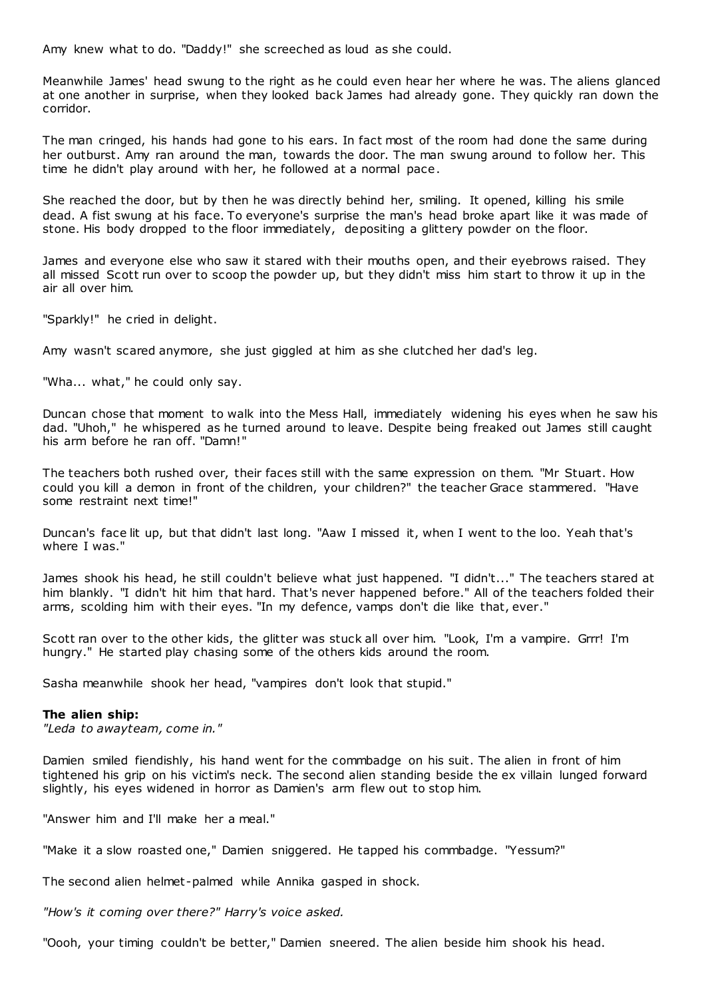Amy knew what to do. "Daddy!" she screeched as loud as she could.

Meanwhile James' head swung to the right as he could even hear her where he was. The aliens glanced at one another in surprise, when they looked back James had already gone. They quickly ran down the corridor.

The man cringed, his hands had gone to his ears. In fact most of the room had done the same during her outburst. Amy ran around the man, towards the door. The man swung around to follow her. This time he didn't play around with her, he followed at a normal pace.

She reached the door, but by then he was directly behind her, smiling. It opened, killing his smile dead. A fist swung at his face. To everyone's surprise the man's head broke apart like it was made of stone. His body dropped to the floor immediately, depositing a glittery powder on the floor.

James and everyone else who saw it stared with their mouths open, and their eyebrows raised. They all missed Scott run over to scoop the powder up, but they didn't miss him start to throw it up in the air all over him.

"Sparkly!" he cried in delight.

Amy wasn't scared anymore, she just giggled at him as she clutched her dad's leg.

"Wha... what," he could only say.

Duncan chose that moment to walk into the Mess Hall, immediately widening his eyes when he saw his dad. "Uhoh," he whispered as he turned around to leave. Despite being freaked out James still caught his arm before he ran off. "Damn!"

The teachers both rushed over, their faces still with the same expression on them. "Mr Stuart. How could you kill a demon in front of the children, your children?" the teacher Grace stammered. "Have some restraint next time!"

Duncan's face lit up, but that didn't last long. "Aaw I missed it, when I went to the loo. Yeah that's where I was."

James shook his head, he still couldn't believe what just happened. "I didn't..." The teachers stared at him blankly. "I didn't hit him that hard. That's never happened before." All of the teachers folded their arms, scolding him with their eyes. "In my defence, vamps don't die like that, ever."

Scott ran over to the other kids, the glitter was stuck all over him. "Look, I'm a vampire. Grrr! I'm hungry." He started play chasing some of the others kids around the room.

Sasha meanwhile shook her head, "vampires don't look that stupid."

# **The alien ship:**

*"Leda to awayteam, come in."*

Damien smiled fiendishly, his hand went for the commbadge on his suit. The alien in front of him tightened his grip on his victim's neck. The second alien standing beside the ex villain lunged forward slightly, his eyes widened in horror as Damien's arm flew out to stop him.

"Answer him and I'll make her a meal."

"Make it a slow roasted one," Damien sniggered. He tapped his commbadge. "Yessum?"

The second alien helmet-palmed while Annika gasped in shock.

*"How's it coming over there?" Harry's voice asked.*

"Oooh, your timing couldn't be better," Damien sneered. The alien beside him shook his head.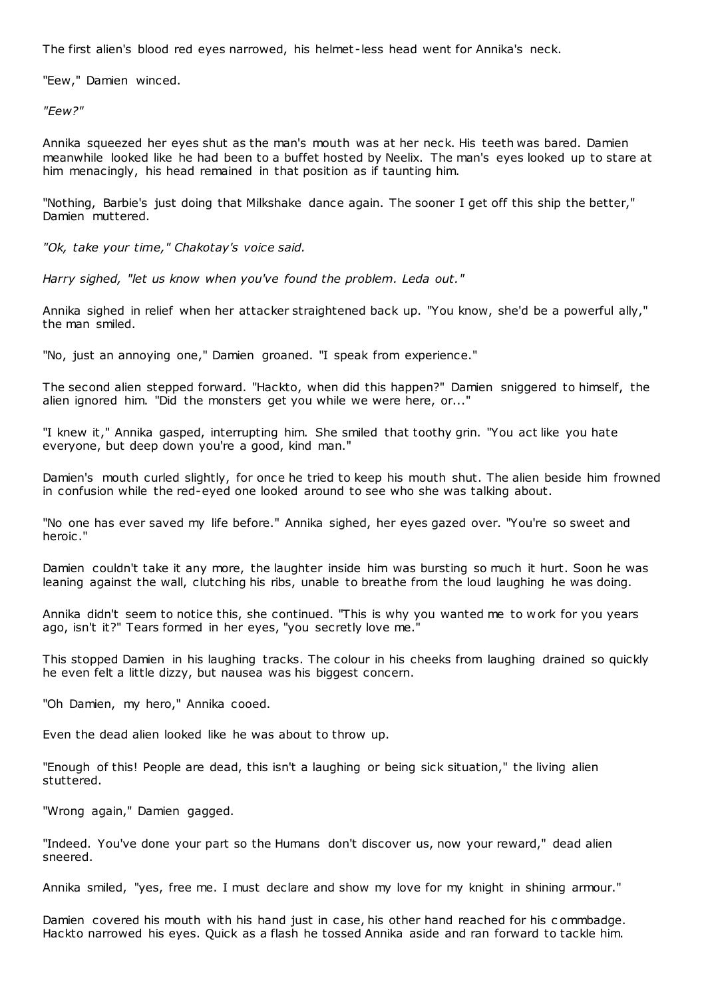The first alien's blood red eyes narrowed, his helmet -less head went for Annika's neck.

"Eew," Damien winced.

*"Eew?"*

Annika squeezed her eyes shut as the man's mouth was at her neck. His teeth was bared. Damien meanwhile looked like he had been to a buffet hosted by Neelix. The man's eyes looked up to stare at him menacingly, his head remained in that position as if taunting him.

"Nothing, Barbie's just doing that Milkshake dance again. The sooner I get off this ship the better," Damien muttered.

*"Ok, take your time," Chakotay's voice said.*

*Harry sighed, "let us know when you've found the problem. Leda out."*

Annika sighed in relief when her attacker straightened back up. "You know, she'd be a powerful ally," the man smiled.

"No, just an annoying one," Damien groaned. "I speak from experience."

The second alien stepped forward. "Hackto, when did this happen?" Damien sniggered to himself, the alien ignored him. "Did the monsters get you while we were here, or..."

"I knew it," Annika gasped, interrupting him. She smiled that toothy grin. "You act like you hate everyone, but deep down you're a good, kind man."

Damien's mouth curled slightly, for once he tried to keep his mouth shut. The alien beside him frowned in confusion while the red-eyed one looked around to see who she was talking about.

"No one has ever saved my life before." Annika sighed, her eyes gazed over. "You're so sweet and heroic ."

Damien couldn't take it any more, the laughter inside him was bursting so much it hurt. Soon he was leaning against the wall, clutching his ribs, unable to breathe from the loud laughing he was doing.

Annika didn't seem to notice this, she continued. "This is why you wanted me to w ork for you years ago, isn't it?" Tears formed in her eyes, "you secretly love me."

This stopped Damien in his laughing tracks. The colour in his cheeks from laughing drained so quickly he even felt a little dizzy, but nausea was his biggest concern.

"Oh Damien, my hero," Annika cooed.

Even the dead alien looked like he was about to throw up.

"Enough of this! People are dead, this isn't a laughing or being sick situation," the living alien stuttered.

"Wrong again," Damien gagged.

"Indeed. You've done your part so the Humans don't discover us, now your reward," dead alien sneered.

Annika smiled, "yes, free me. I must declare and show my love for my knight in shining armour."

Damien covered his mouth with his hand just in case, his other hand reached for his c ommbadge. Hackto narrowed his eyes. Quick as a flash he tossed Annika aside and ran forward to tackle him.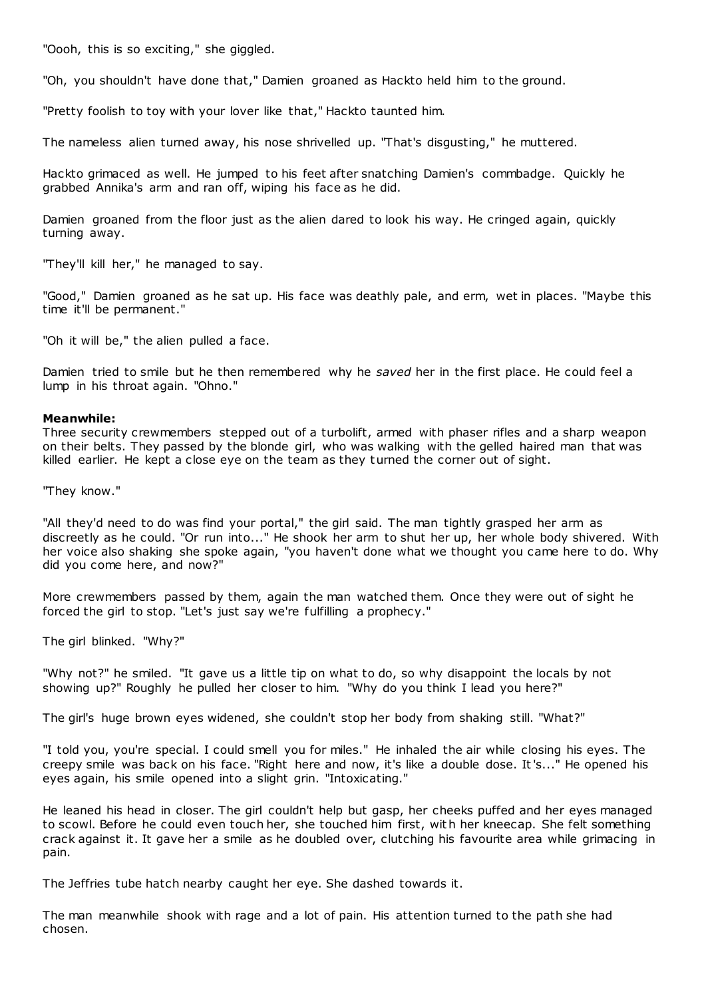"Oooh, this is so exciting," she giggled.

"Oh, you shouldn't have done that," Damien groaned as Hackto held him to the ground.

"Pretty foolish to toy with your lover like that," Hackto taunted him.

The nameless alien turned away, his nose shrivelled up. "That's disgusting," he muttered.

Hackto grimaced as well. He jumped to his feet after snatching Damien's commbadge. Quickly he grabbed Annika's arm and ran off, wiping his face as he did.

Damien groaned from the floor just as the alien dared to look his way. He cringed again, quickly turning away.

"They'll kill her," he managed to say.

"Good," Damien groaned as he sat up. His face was deathly pale, and erm, wet in places. "Maybe this time it'll be permanent."

"Oh it will be," the alien pulled a face.

Damien tried to smile but he then remembered why he *saved* her in the first place. He could feel a lump in his throat again. "Ohno."

## **Meanwhile:**

Three security crewmembers stepped out of a turbolift, armed with phaser rifles and a sharp weapon on their belts. They passed by the blonde girl, who was walking with the gelled haired man that was killed earlier. He kept a close eye on the team as they turned the corner out of sight.

"They know."

"All they'd need to do was find your portal," the girl said. The man tightly grasped her arm as discreetly as he could. "Or run into..." He shook her arm to shut her up, her whole body shivered. With her voice also shaking she spoke again, "you haven't done what we thought you came here to do. Why did you come here, and now?"

More crewmembers passed by them, again the man watched them. Once they were out of sight he forced the girl to stop. "Let's just say we're fulfilling a prophecy."

The girl blinked. "Why?"

"Why not?" he smiled. "It gave us a little tip on what to do, so why disappoint the locals by not showing up?" Roughly he pulled her closer to him. "Why do you think I lead you here?"

The girl's huge brown eyes widened, she couldn't stop her body from shaking still. "What?"

"I told you, you're special. I could smell you for miles." He inhaled the air while closing his eyes. The creepy smile was back on his face. "Right here and now, it's like a double dose. It's..." He opened his eyes again, his smile opened into a slight grin. "Intoxicating."

He leaned his head in closer. The girl couldn't help but gasp, her cheeks puffed and her eyes managed to scowl. Before he could even touch her, she touched him first, with her kneecap. She felt something crack against it. It gave her a smile as he doubled over, clutching his favourite area while grimacing in pain.

The Jeffries tube hatch nearby caught her eye. She dashed towards it.

The man meanwhile shook with rage and a lot of pain. His attention turned to the path she had chosen.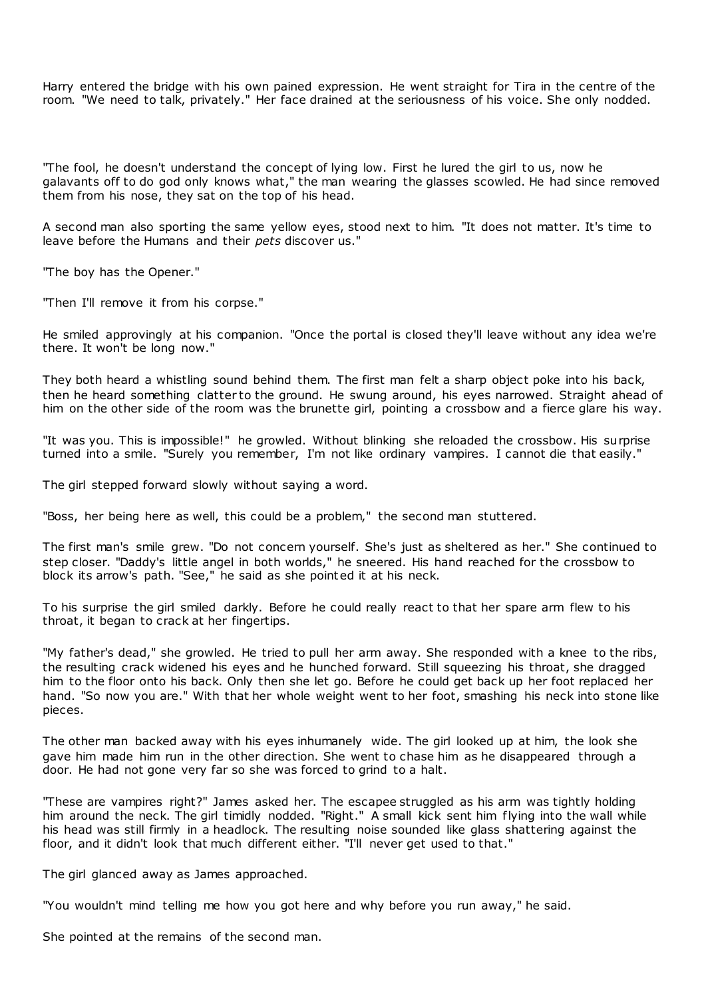Harry entered the bridge with his own pained expression. He went straight for Tira in the centre of the room. "We need to talk, privately." Her face drained at the seriousness of his voice. She only nodded.

"The fool, he doesn't understand the concept of lying low. First he lured the girl to us, now he galavants off to do god only knows what," the man wearing the glasses scowled. He had since removed them from his nose, they sat on the top of his head.

A second man also sporting the same yellow eyes, stood next to him. "It does not matter. It's time to leave before the Humans and their *pets* discover us."

"The boy has the Opener."

"Then I'll remove it from his corpse."

He smiled approvingly at his companion. "Once the portal is closed they'll leave without any idea we're there. It won't be long now."

They both heard a whistling sound behind them. The first man felt a sharp object poke into his back, then he heard something clatter to the ground. He swung around, his eyes narrowed. Straight ahead of him on the other side of the room was the brunette girl, pointing a crossbow and a fierce glare his way.

"It was you. This is impossible!" he growled. Without blinking she reloaded the crossbow. His surprise turned into a smile. "Surely you remember, I'm not like ordinary vampires. I cannot die that easily."

The girl stepped forward slowly without saying a word.

"Boss, her being here as well, this could be a problem," the second man stuttered.

The first man's smile grew. "Do not concern yourself. She's just as sheltered as her." She continued to step closer. "Daddy's little angel in both worlds," he sneered. His hand reached for the crossbow to block its arrow's path. "See," he said as she pointed it at his neck.

To his surprise the girl smiled darkly. Before he could really react to that her spare arm flew to his throat, it began to crack at her fingertips.

"My father's dead," she growled. He tried to pull her arm away. She responded with a knee to the ribs, the resulting crack widened his eyes and he hunched forward. Still squeezing his throat, she dragged him to the floor onto his back. Only then she let go. Before he could get back up her foot replaced her hand. "So now you are." With that her whole weight went to her foot, smashing his neck into stone like pieces.

The other man backed away with his eyes inhumanely wide. The girl looked up at him, the look she gave him made him run in the other direction. She went to chase him as he disappeared through a door. He had not gone very far so she was forced to grind to a halt.

"These are vampires right?" James asked her. The escapee struggled as his arm was tightly holding him around the neck. The girl timidly nodded. "Right." A small kick sent him flying into the wall while his head was still firmly in a headlock. The resulting noise sounded like glass shattering against the floor, and it didn't look that much different either. "I'll never get used to that."

The girl glanced away as James approached.

"You wouldn't mind telling me how you got here and why before you run away," he said.

She pointed at the remains of the second man.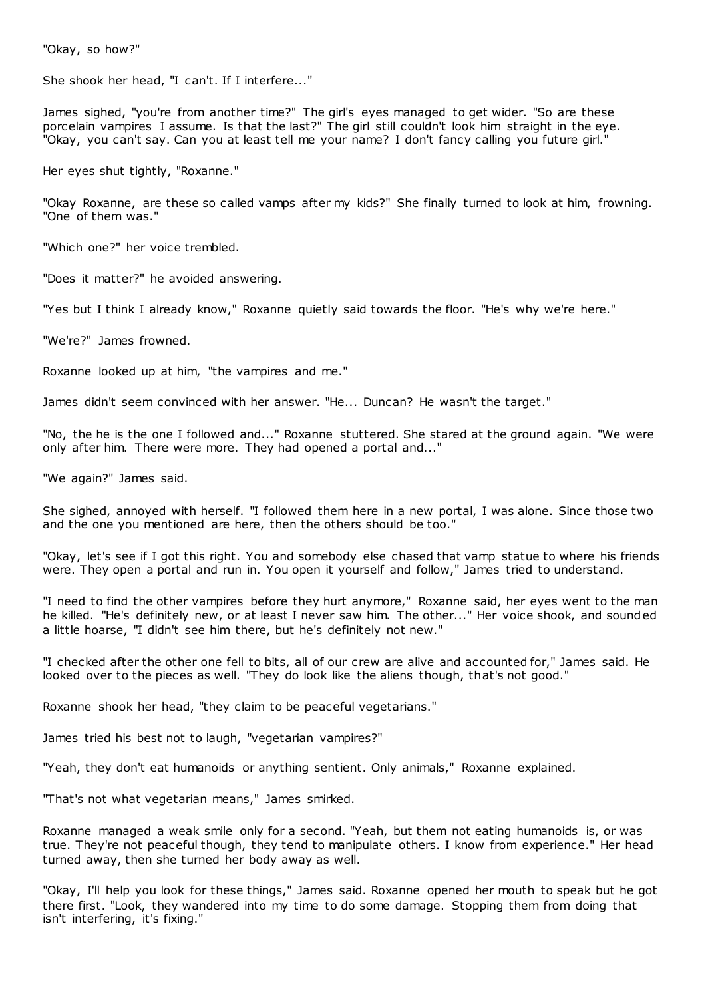"Okay, so how?"

She shook her head, "I can't. If I interfere..."

James sighed, "you're from another time?" The girl's eyes managed to get wider. "So are these porcelain vampires I assume. Is that the last?" The girl still couldn't look him straight in the eye. "Okay, you can't say. Can you at least tell me your name? I don't fancy calling you future girl."

Her eyes shut tightly, "Roxanne."

"Okay Roxanne, are these so called vamps after my kids?" She finally turned to look at him, frowning. "One of them was."

"Which one?" her voice trembled.

"Does it matter?" he avoided answering.

"Yes but I think I already know," Roxanne quietly said towards the floor. "He's why we're here."

"We're?" James frowned.

Roxanne looked up at him, "the vampires and me."

James didn't seem convinced with her answer. "He... Duncan? He wasn't the target."

"No, the he is the one I followed and..." Roxanne stuttered. She stared at the ground again. "We were only after him. There were more. They had opened a portal and..."

"We again?" James said.

She sighed, annoyed with herself. "I followed them here in a new portal, I was alone. Since those two and the one you mentioned are here, then the others should be too."

"Okay, let's see if I got this right. You and somebody else chased that vamp statue to where his friends were. They open a portal and run in. You open it yourself and follow," James tried to understand.

"I need to find the other vampires before they hurt anymore," Roxanne said, her eyes went to the man he killed. "He's definitely new, or at least I never saw him. The other..." Her voice shook, and sounded a little hoarse, "I didn't see him there, but he's definitely not new."

"I checked after the other one fell to bits, all of our crew are alive and accounted for," James said. He looked over to the pieces as well. "They do look like the aliens though, that's not good."

Roxanne shook her head, "they claim to be peaceful vegetarians."

James tried his best not to laugh, "vegetarian vampires?"

"Yeah, they don't eat humanoids or anything sentient. Only animals," Roxanne explained.

"That's not what vegetarian means," James smirked.

Roxanne managed a weak smile only for a second. "Yeah, but them not eating humanoids is, or was true. They're not peaceful though, they tend to manipulate others. I know from experience." Her head turned away, then she turned her body away as well.

"Okay, I'll help you look for these things," James said. Roxanne opened her mouth to speak but he got there first. "Look, they wandered into my time to do some damage. Stopping them from doing that isn't interfering, it's fixing."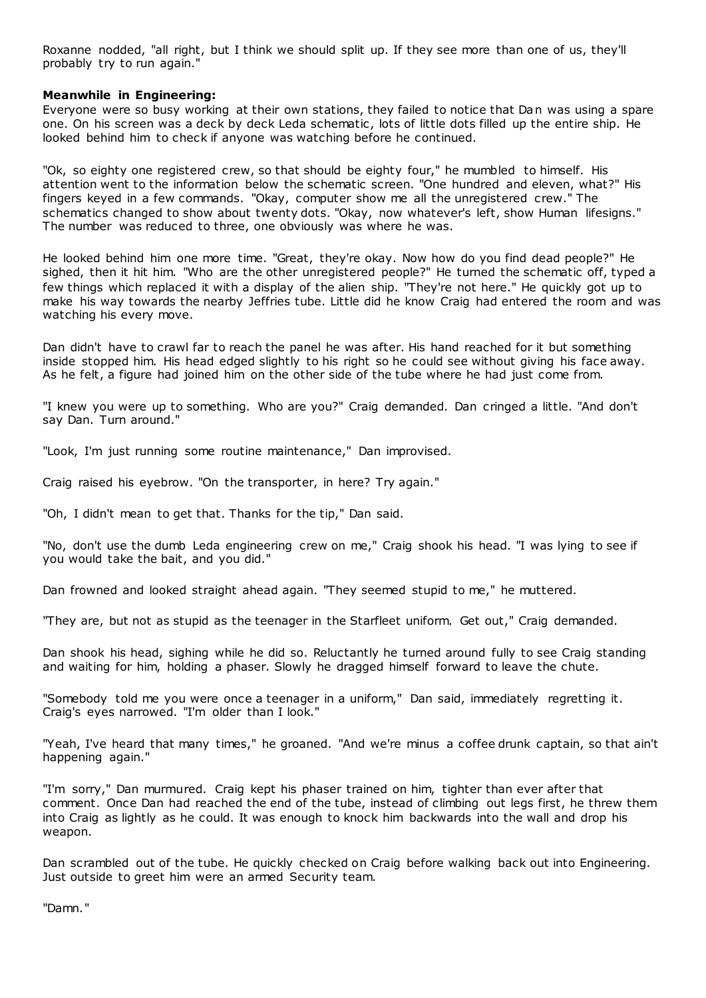Roxanne nodded, "all right, but I think we should split up. If they see more than one of us, they'll probably try to run again."

# **Meanwhile in Engineering:**

Everyone were so busy working at their own stations, they failed to notice that Dan was using a spare one. On his screen was a deck by deck Leda schematic , lots of little dots filled up the entire ship. He looked behind him to check if anyone was watching before he continued.

"Ok, so eighty one registered crew, so that should be eighty four," he mumbled to himself. His attention went to the information below the schematic screen. "One hundred and eleven, what?" His fingers keyed in a few commands. "Okay, computer show me all the unregistered crew." The schematics changed to show about twenty dots. "Okay, now whatever's left, show Human lifesigns." The number was reduced to three, one obviously was where he was.

He looked behind him one more time. "Great, they're okay. Now how do you find dead people?" He sighed, then it hit him. "Who are the other unregistered people?" He turned the schematic off, typed a few things which replaced it with a display of the alien ship. "They're not here." He quickly got up to make his way towards the nearby Jeffries tube. Little did he know Craig had entered the room and was watching his every move.

Dan didn't have to crawl far to reach the panel he was after. His hand reached for it but something inside stopped him. His head edged slightly to his right so he could see without giving his face away. As he felt, a figure had joined him on the other side of the tube where he had just come from.

"I knew you were up to something. Who are you?" Craig demanded. Dan cringed a little. "And don't say Dan. Turn around."

"Look, I'm just running some routine maintenance," Dan improvised.

Craig raised his eyebrow. "On the transporter, in here? Try again."

"Oh, I didn't mean to get that. Thanks for the tip," Dan said.

"No, don't use the dumb Leda engineering crew on me," Craig shook his head. "I was lying to see if you would take the bait, and you did."

Dan frowned and looked straight ahead again. "They seemed stupid to me," he muttered.

"They are, but not as stupid as the teenager in the Starfleet uniform. Get out," Craig demanded.

Dan shook his head, sighing while he did so. Reluctantly he turned around fully to see Craig standing and waiting for him, holding a phaser. Slowly he dragged himself forward to leave the chute.

"Somebody told me you were once a teenager in a uniform," Dan said, immediately regretting it. Craig's eyes narrowed. "I'm older than I look."

"Yeah, I've heard that many times," he groaned. "And we're minus a coffee drunk captain, so that ain't happening again."

"I'm sorry," Dan murmured. Craig kept his phaser trained on him, tighter than ever after that comment. Once Dan had reached the end of the tube, instead of climbing out legs first, he threw them into Craig as lightly as he could. It was enough to knock him backwards into the wall and drop his weapon.

Dan scrambled out of the tube. He quickly checked on Craig before walking back out into Engineering. Just outside to greet him were an armed Security team.

"Damn."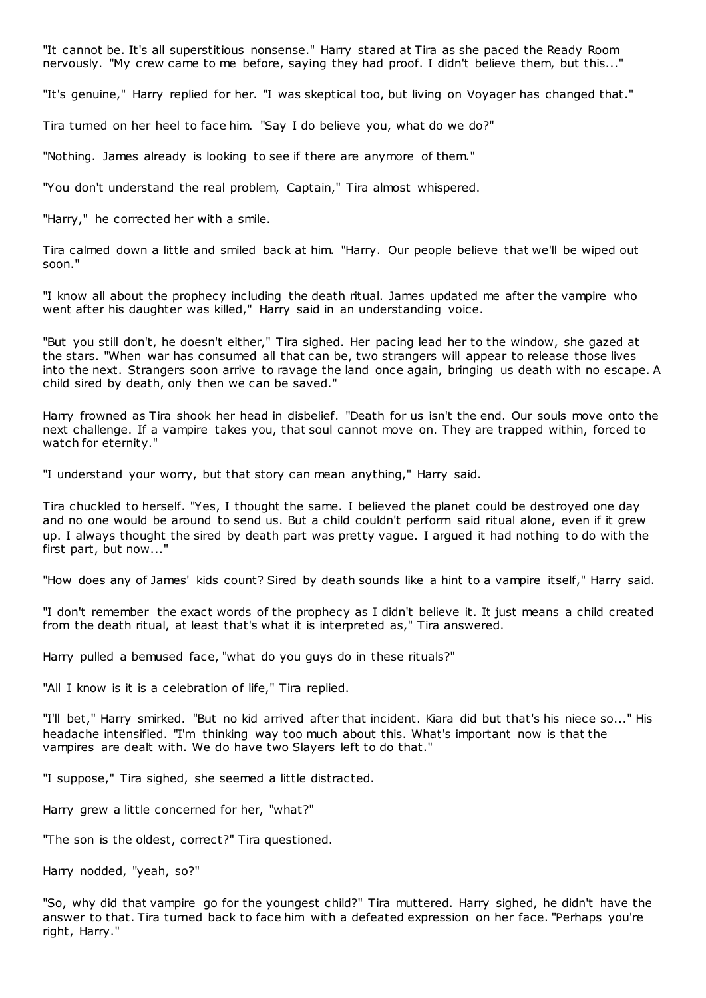"It cannot be. It's all superstitious nonsense." Harry stared at Tira as she paced the Ready Room nervously. "My crew came to me before, saying they had proof. I didn't believe them, but this..."

"It's genuine," Harry replied for her. "I was skeptical too, but living on Voyager has changed that."

Tira turned on her heel to face him. "Say I do believe you, what do we do?"

"Nothing. James already is looking to see if there are anymore of them."

"You don't understand the real problem, Captain," Tira almost whispered.

"Harry," he corrected her with a smile.

Tira calmed down a little and smiled back at him. "Harry. Our people believe that we'll be wiped out soon."

"I know all about the prophecy including the death ritual. James updated me after the vampire who went after his daughter was killed," Harry said in an understanding voice.

"But you still don't, he doesn't either," Tira sighed. Her pacing lead her to the window, she gazed at the stars. "When war has consumed all that can be, two strangers will appear to release those lives into the next. Strangers soon arrive to ravage the land once again, bringing us death with no escape. A child sired by death, only then we can be saved."

Harry frowned as Tira shook her head in disbelief. "Death for us isn't the end. Our souls move onto the next challenge. If a vampire takes you, that soul cannot move on. They are trapped within, forced to watch for eternity."

"I understand your worry, but that story can mean anything," Harry said.

Tira chuckled to herself. "Yes, I thought the same. I believed the planet could be destroyed one day and no one would be around to send us. But a child couldn't perform said ritual alone, even if it grew up. I always thought the sired by death part was pretty vague. I argued it had nothing to do with the first part, but now..."

"How does any of James' kids count? Sired by death sounds like a hint to a vampire itself," Harry said.

"I don't remember the exact words of the prophecy as I didn't believe it. It just means a child created from the death ritual, at least that's what it is interpreted as," Tira answered.

Harry pulled a bemused face, "what do you guys do in these rituals?"

"All I know is it is a celebration of life," Tira replied.

"I'll bet," Harry smirked. "But no kid arrived after that incident. Kiara did but that's his niece so..." His headache intensified. "I'm thinking way too much about this. What's important now is that the vampires are dealt with. We do have two Slayers left to do that."

"I suppose," Tira sighed, she seemed a little distracted.

Harry grew a little concerned for her, "what?"

"The son is the oldest, correct?" Tira questioned.

Harry nodded, "yeah, so?"

"So, why did that vampire go for the youngest child?" Tira muttered. Harry sighed, he didn't have the answer to that. Tira turned back to face him with a defeated expression on her face. "Perhaps you're right, Harry."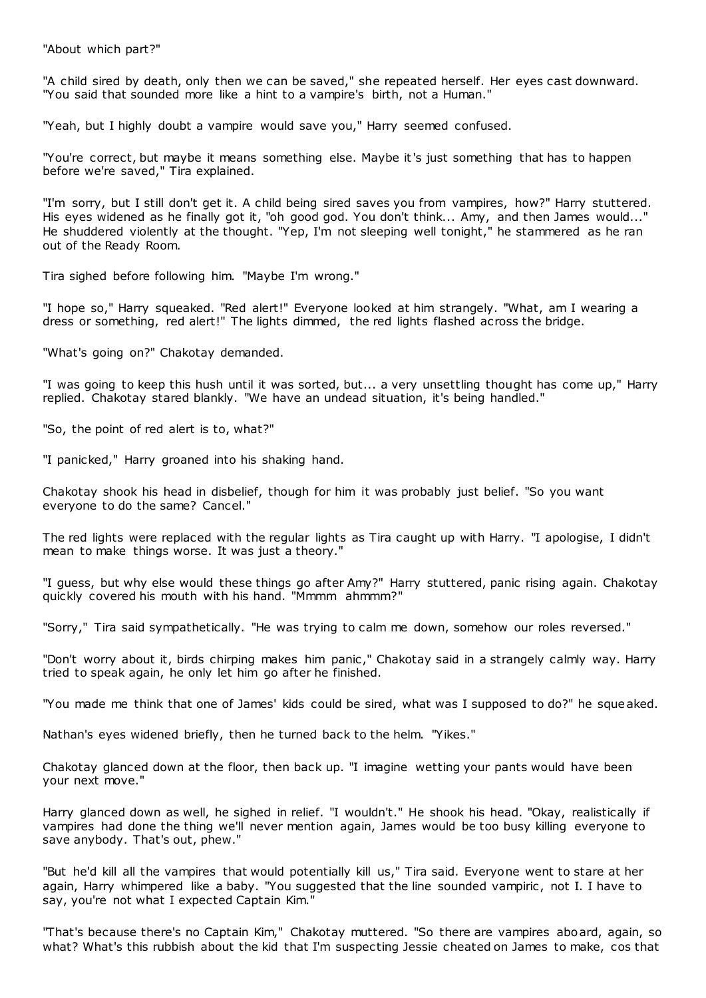"About which part?"

"A child sired by death, only then we can be saved," she repeated herself. Her eyes cast downward. "You said that sounded more like a hint to a vampire's birth, not a Human."

"Yeah, but I highly doubt a vampire would save you," Harry seemed confused.

"You're correct, but maybe it means something else. Maybe it's just something that has to happen before we're saved," Tira explained.

"I'm sorry, but I still don't get it. A child being sired saves you from vampires, how?" Harry stuttered. His eyes widened as he finally got it, "oh good god. You don't think... Amy, and then James would..." He shuddered violently at the thought. "Yep, I'm not sleeping well tonight," he stammered as he ran out of the Ready Room.

Tira sighed before following him. "Maybe I'm wrong."

"I hope so," Harry squeaked. "Red alert!" Everyone looked at him strangely. "What, am I wearing a dress or something, red alert!" The lights dimmed, the red lights flashed across the bridge.

"What's going on?" Chakotay demanded.

"I was going to keep this hush until it was sorted, but... a very unsettling thought has come up," Harry replied. Chakotay stared blankly. "We have an undead situation, it's being handled."

"So, the point of red alert is to, what?"

"I panicked," Harry groaned into his shaking hand.

Chakotay shook his head in disbelief, though for him it was probably just belief. "So you want everyone to do the same? Cancel."

The red lights were replaced with the regular lights as Tira caught up with Harry. "I apologise, I didn't mean to make things worse. It was just a theory."

"I guess, but why else would these things go after Amy?" Harry stuttered, panic rising again. Chakotay quickly covered his mouth with his hand. "Mmmm ahmmm?"

"Sorry," Tira said sympathetically. "He was trying to calm me down, somehow our roles reversed."

"Don't worry about it, birds chirping makes him panic," Chakotay said in a strangely calmly way. Harry tried to speak again, he only let him go after he finished.

"You made me think that one of James' kids could be sired, what was I supposed to do?" he squeaked.

Nathan's eyes widened briefly, then he turned back to the helm. "Yikes."

Chakotay glanced down at the floor, then back up. "I imagine wetting your pants would have been your next move."

Harry glanced down as well, he sighed in relief. "I wouldn't." He shook his head. "Okay, realistically if vampires had done the thing we'll never mention again, James would be too busy killing everyone to save anybody. That's out, phew."

"But he'd kill all the vampires that would potentially kill us," Tira said. Everyone went to stare at her again, Harry whimpered like a baby. "You suggested that the line sounded vampiric, not I. I have to say, you're not what I expected Captain Kim."

"That's because there's no Captain Kim," Chakotay muttered. "So there are vampires aboard, again, so what? What's this rubbish about the kid that I'm suspecting Jessie cheated on James to make, cos that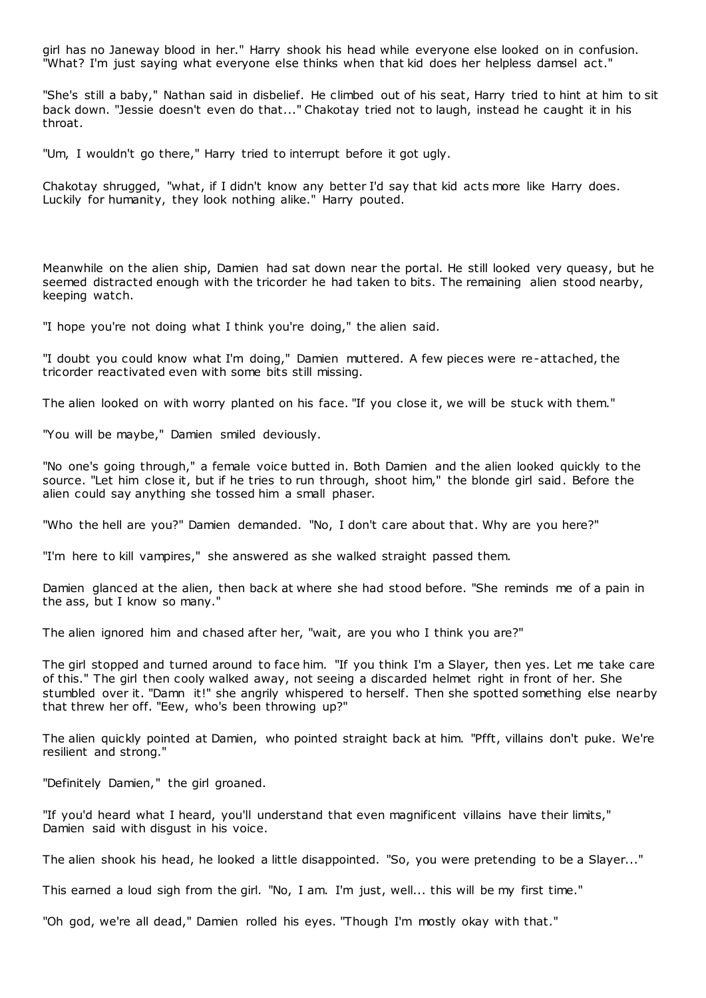girl has no Janeway blood in her." Harry shook his head while everyone else looked on in confusion. "What? I'm just saying what everyone else thinks when that kid does her helpless damsel act."

"She's still a baby," Nathan said in disbelief. He climbed out of his seat, Harry tried to hint at him to sit back down. "Jessie doesn't even do that..." Chakotay tried not to laugh, instead he caught it in his throat.

"Um, I wouldn't go there," Harry tried to interrupt before it got ugly.

Chakotay shrugged, "what, if I didn't know any better I'd say that kid acts more like Harry does. Luckily for humanity, they look nothing alike." Harry pouted.

Meanwhile on the alien ship, Damien had sat down near the portal. He still looked very queasy, but he seemed distracted enough with the tricorder he had taken to bits. The remaining alien stood nearby, keeping watch.

"I hope you're not doing what I think you're doing," the alien said.

"I doubt you could know what I'm doing," Damien muttered. A few pieces were re-attached, the tricorder reactivated even with some bits still missing.

The alien looked on with worry planted on his face. "If you close it, we will be stuck with them."

"You will be maybe," Damien smiled deviously.

"No one's going through," a female voice butted in. Both Damien and the alien looked quickly to the source. "Let him close it, but if he tries to run through, shoot him," the blonde girl said. Before the alien could say anything she tossed him a small phaser.

"Who the hell are you?" Damien demanded. "No, I don't care about that. Why are you here?"

"I'm here to kill vampires," she answered as she walked straight passed them.

Damien glanced at the alien, then back at where she had stood before. "She reminds me of a pain in the ass, but I know so many."

The alien ignored him and chased after her, "wait, are you who I think you are?"

The girl stopped and turned around to face him. "If you think I'm a Slayer, then yes. Let me take care of this." The girl then cooly walked away, not seeing a discarded helmet right in front of her. She stumbled over it. "Damn it!" she angrily whispered to herself. Then she spotted something else nearby that threw her off. "Eew, who's been throwing up?"

The alien quickly pointed at Damien, who pointed straight back at him. "Pfft, villains don't puke. We're resilient and strong."

"Definitely Damien," the girl groaned.

"If you'd heard what I heard, you'll understand that even magnificent villains have their limits," Damien said with disgust in his voice.

The alien shook his head, he looked a little disappointed. "So, you were pretending to be a Slayer..."

This earned a loud sigh from the girl. "No, I am. I'm just, well... this will be my first time."

"Oh god, we're all dead," Damien rolled his eyes. "Though I'm mostly okay with that."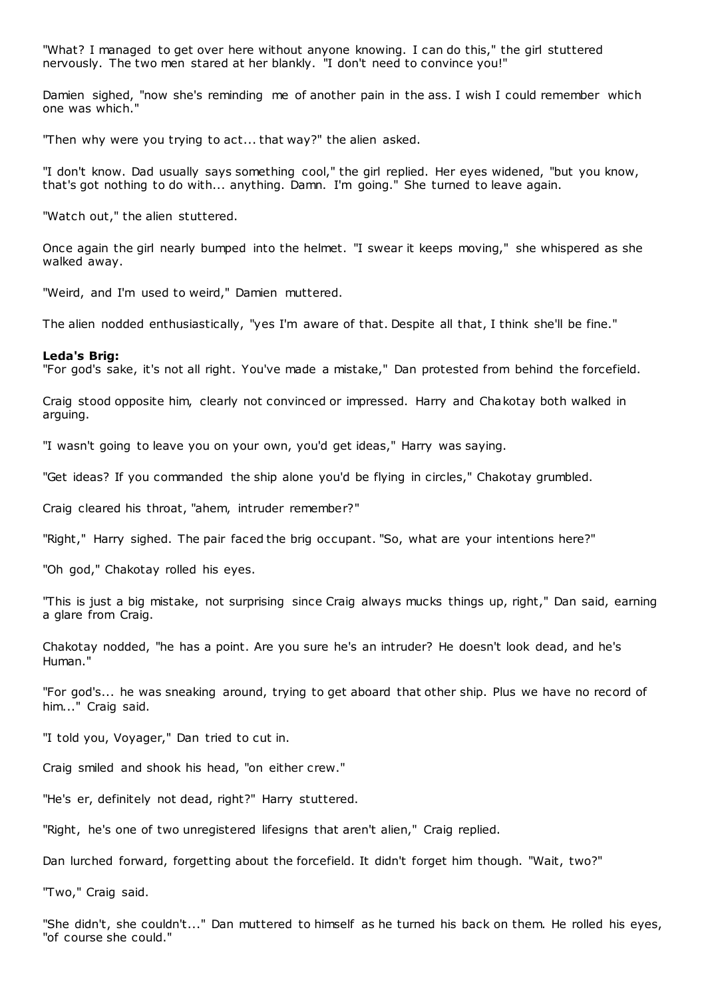"What? I managed to get over here without anyone knowing. I can do this," the girl stuttered nervously. The two men stared at her blankly. "I don't need to convince you!"

Damien sighed, "now she's reminding me of another pain in the ass. I wish I could remember which one was which."

"Then why were you trying to act... that way?" the alien asked.

"I don't know. Dad usually says something cool," the girl replied. Her eyes widened, "but you know, that's got nothing to do with... anything. Damn. I'm going." She turned to leave again.

"Watch out," the alien stuttered.

Once again the girl nearly bumped into the helmet. "I swear it keeps moving," she whispered as she walked away.

"Weird, and I'm used to weird," Damien muttered.

The alien nodded enthusiastically, "yes I'm aware of that. Despite all that, I think she'll be fine."

#### **Leda's Brig:**

"For god's sake, it's not all right. You've made a mistake," Dan protested from behind the forcefield.

Craig stood opposite him, clearly not convinced or impressed. Harry and Chakotay both walked in arguing.

"I wasn't going to leave you on your own, you'd get ideas," Harry was saying.

"Get ideas? If you commanded the ship alone you'd be flying in circles," Chakotay grumbled.

Craig cleared his throat, "ahem, intruder remember?"

"Right," Harry sighed. The pair faced the brig occupant. "So, what are your intentions here?"

"Oh god," Chakotay rolled his eyes.

"This is just a big mistake, not surprising since Craig always mucks things up, right," Dan said, earning a glare from Craig.

Chakotay nodded, "he has a point. Are you sure he's an intruder? He doesn't look dead, and he's Human."

"For god's... he was sneaking around, trying to get aboard that other ship. Plus we have no record of him..." Craig said.

"I told you, Voyager," Dan tried to cut in.

Craig smiled and shook his head, "on either crew."

"He's er, definitely not dead, right?" Harry stuttered.

"Right, he's one of two unregistered lifesigns that aren't alien," Craig replied.

Dan lurched forward, forgetting about the forcefield. It didn't forget him though. "Wait, two?"

"Two," Craig said.

"She didn't, she couldn't..." Dan muttered to himself as he turned his back on them. He rolled his eyes, "of course she could."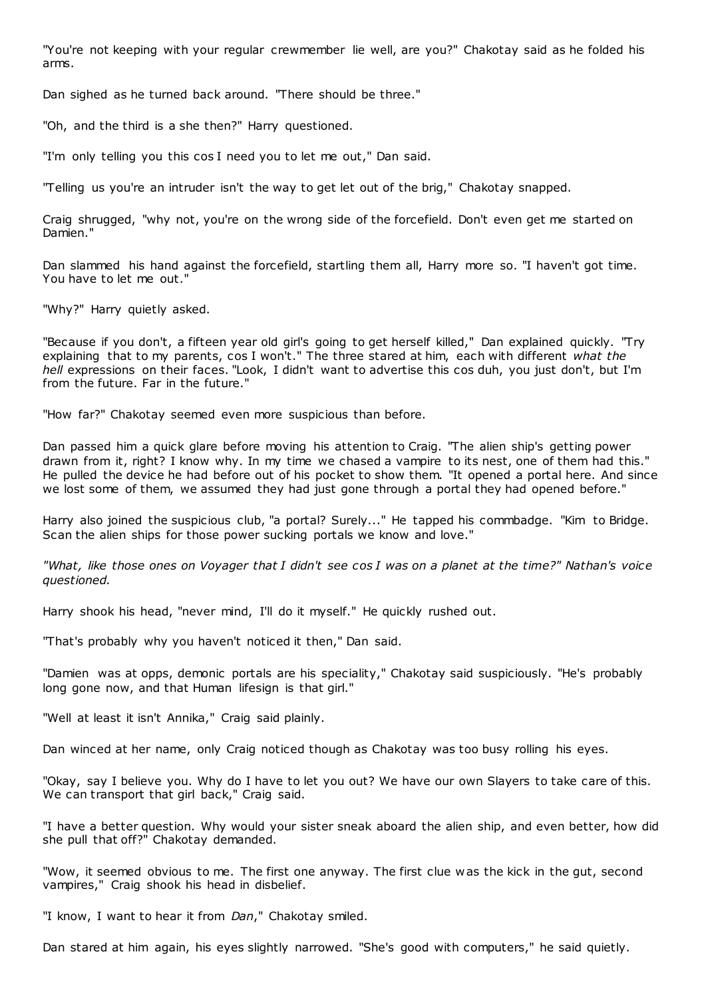"You're not keeping with your regular crewmember lie well, are you?" Chakotay said as he folded his arms.

Dan sighed as he turned back around. "There should be three."

"Oh, and the third is a she then?" Harry questioned.

"I'm only telling you this cos I need you to let me out," Dan said.

"Telling us you're an intruder isn't the way to get let out of the brig," Chakotay snapped.

Craig shrugged, "why not, you're on the wrong side of the forcefield. Don't even get me started on Damien."

Dan slammed his hand against the forcefield, startling them all, Harry more so. "I haven't got time. You have to let me out."

"Why?" Harry quietly asked.

"Because if you don't, a fifteen year old girl's going to get herself killed," Dan explained quickly. "Try explaining that to my parents, cos I won't." The three stared at him, each with different *what the hell* expressions on their faces. "Look, I didn't want to advertise this cos duh, you just don't, but I'm from the future. Far in the future."

"How far?" Chakotay seemed even more suspicious than before.

Dan passed him a quick glare before moving his attention to Craig. "The alien ship's getting power drawn from it, right? I know why. In my time we chased a vampire to its nest, one of them had this." He pulled the device he had before out of his pocket to show them. "It opened a portal here. And since we lost some of them, we assumed they had just gone through a portal they had opened before."

Harry also joined the suspicious club, "a portal? Surely..." He tapped his commbadge. "Kim to Bridge. Scan the alien ships for those power sucking portals we know and love."

*"What, like those ones on Voyager that I didn't see cos I was on a planet at the time?" Nathan's voice questioned.*

Harry shook his head, "never mind, I'll do it myself." He quickly rushed out.

"That's probably why you haven't noticed it then," Dan said.

"Damien was at opps, demonic portals are his speciality," Chakotay said suspiciously. "He's probably long gone now, and that Human lifesign is that girl."

"Well at least it isn't Annika," Craig said plainly.

Dan winced at her name, only Craig noticed though as Chakotay was too busy rolling his eyes.

"Okay, say I believe you. Why do I have to let you out? We have our own Slayers to take care of this. We can transport that girl back," Craig said.

"I have a better question. Why would your sister sneak aboard the alien ship, and even better, how did she pull that off?" Chakotay demanded.

"Wow, it seemed obvious to me. The first one anyway. The first clue was the kick in the gut, second vampires," Craig shook his head in disbelief.

"I know, I want to hear it from *Dan*," Chakotay smiled.

Dan stared at him again, his eyes slightly narrowed. "She's good with computers," he said quietly.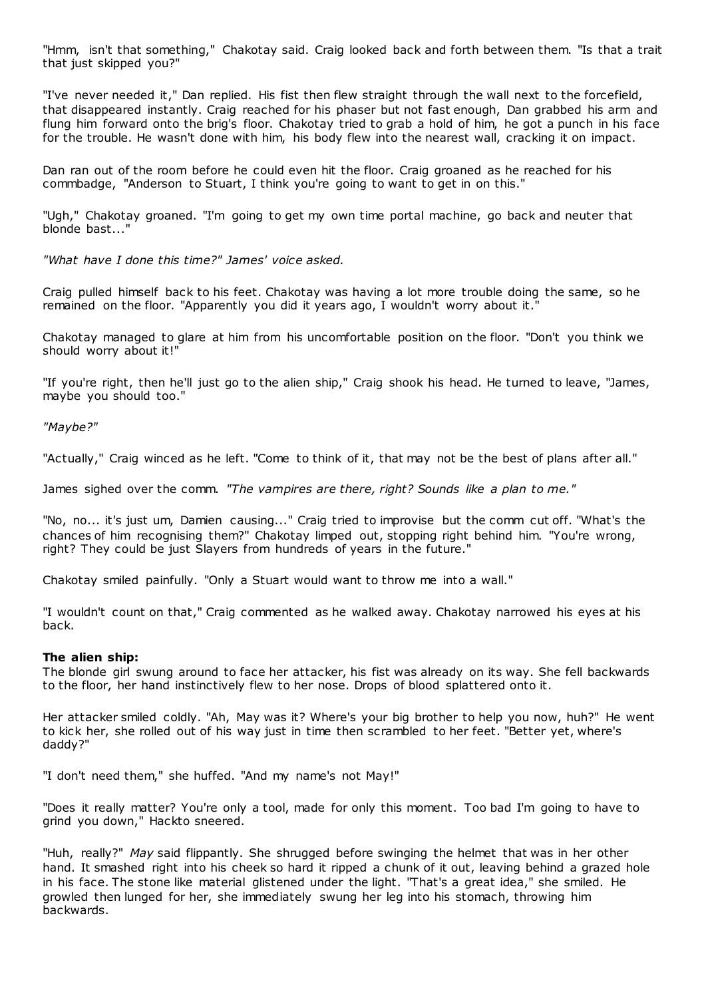"Hmm, isn't that something," Chakotay said. Craig looked back and forth between them. "Is that a trait that just skipped you?"

"I've never needed it," Dan replied. His fist then flew straight through the wall next to the forcefield, that disappeared instantly. Craig reached for his phaser but not fast enough, Dan grabbed his arm and flung him forward onto the brig's floor. Chakotay tried to grab a hold of him, he got a punch in his face for the trouble. He wasn't done with him, his body flew into the nearest wall, cracking it on impact.

Dan ran out of the room before he could even hit the floor. Craig groaned as he reached for his commbadge, "Anderson to Stuart, I think you're going to want to get in on this."

"Ugh," Chakotay groaned. "I'm going to get my own time portal machine, go back and neuter that blonde bast..."

*"What have I done this time?" James' voice asked.*

Craig pulled himself back to his feet. Chakotay was having a lot more trouble doing the same, so he remained on the floor. "Apparently you did it years ago, I wouldn't worry about it."

Chakotay managed to glare at him from his uncomfortable position on the floor. "Don't you think we should worry about it!"

"If you're right, then he'll just go to the alien ship," Craig shook his head. He turned to leave, "James, maybe you should too."

*"Maybe?"*

"Actually," Craig winced as he left. "Come to think of it, that may not be the best of plans after all."

James sighed over the comm. *"The vampires are there, right? Sounds like a plan to me."*

"No, no... it's just um, Damien causing..." Craig tried to improvise but the comm cut off. "What's the chances of him recognising them?" Chakotay limped out, stopping right behind him. "You're wrong, right? They could be just Slayers from hundreds of years in the future."

Chakotay smiled painfully. "Only a Stuart would want to throw me into a wall."

"I wouldn't count on that," Craig commented as he walked away. Chakotay narrowed his eyes at his back.

# **The alien ship:**

The blonde girl swung around to face her attacker, his fist was already on its way. She fell backwards to the floor, her hand instinctively flew to her nose. Drops of blood splattered onto it.

Her attacker smiled coldly. "Ah, May was it? Where's your big brother to help you now, huh?" He went to kick her, she rolled out of his way just in time then scrambled to her feet. "Better yet, where's daddy?"

"I don't need them," she huffed. "And my name's not May!"

"Does it really matter? You're only a tool, made for only this moment. Too bad I'm going to have to grind you down," Hackto sneered.

"Huh, really?" *May* said flippantly. She shrugged before swinging the helmet that was in her other hand. It smashed right into his cheek so hard it ripped a chunk of it out, leaving behind a grazed hole in his face. The stone like material glistened under the light. "That's a great idea," she smiled. He growled then lunged for her, she immediately swung her leg into his stomach, throwing him backwards.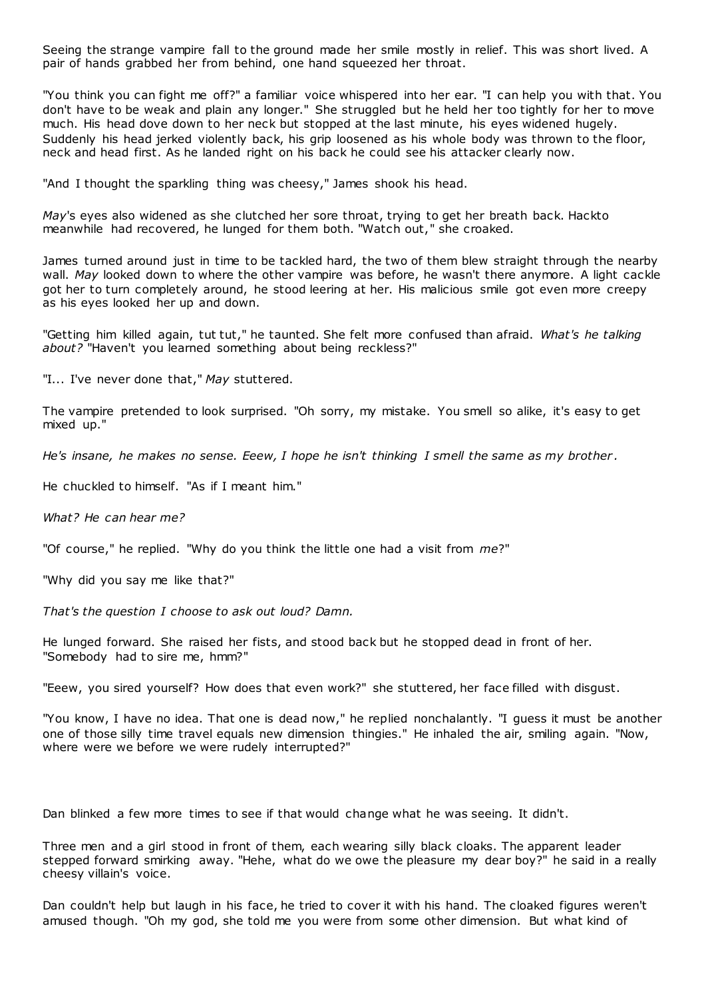Seeing the strange vampire fall to the ground made her smile mostly in relief. This was short lived. A pair of hands grabbed her from behind, one hand squeezed her throat.

"You think you can fight me off?" a familiar voice whispered into her ear. "I can help you with that. You don't have to be weak and plain any longer." She struggled but he held her too tightly for her to move much. His head dove down to her neck but stopped at the last minute, his eyes widened hugely. Suddenly his head jerked violently back, his grip loosened as his whole body was thrown to the floor, neck and head first. As he landed right on his back he could see his attacker clearly now.

"And I thought the sparkling thing was cheesy," James shook his head.

*May*'s eyes also widened as she clutched her sore throat, trying to get her breath back. Hackto meanwhile had recovered, he lunged for them both. "Watch out," she croaked.

James turned around just in time to be tackled hard, the two of them blew straight through the nearby wall. *May* looked down to where the other vampire was before, he wasn't there anymore. A light cackle got her to turn completely around, he stood leering at her. His malicious smile got even more creepy as his eyes looked her up and down.

"Getting him killed again, tut tut," he taunted. She felt more confused than afraid. *What's he talking about?* "Haven't you learned something about being reckless?"

"I... I've never done that," *May* stuttered.

The vampire pretended to look surprised. "Oh sorry, my mistake. You smell so alike, it's easy to get mixed up."

*He's insane, he makes no sense. Eeew, I hope he isn't thinking I smell the same as my brother .*

He chuckled to himself. "As if I meant him."

*What? He can hear me?*

"Of course," he replied. "Why do you think the little one had a visit from *me*?"

"Why did you say me like that?"

*That's the question I choose to ask out loud? Damn.*

He lunged forward. She raised her fists, and stood back but he stopped dead in front of her. "Somebody had to sire me, hmm?"

"Eeew, you sired yourself? How does that even work?" she stuttered, her face filled with disgust.

"You know, I have no idea. That one is dead now," he replied nonchalantly. "I guess it must be another one of those silly time travel equals new dimension thingies." He inhaled the air, smiling again. "Now, where were we before we were rudely interrupted?"

Dan blinked a few more times to see if that would change what he was seeing. It didn't.

Three men and a girl stood in front of them, each wearing silly black cloaks. The apparent leader stepped forward smirking away. "Hehe, what do we owe the pleasure my dear boy?" he said in a really cheesy villain's voice.

Dan couldn't help but laugh in his face, he tried to cover it with his hand. The cloaked figures weren't amused though. "Oh my god, she told me you were from some other dimension. But what kind of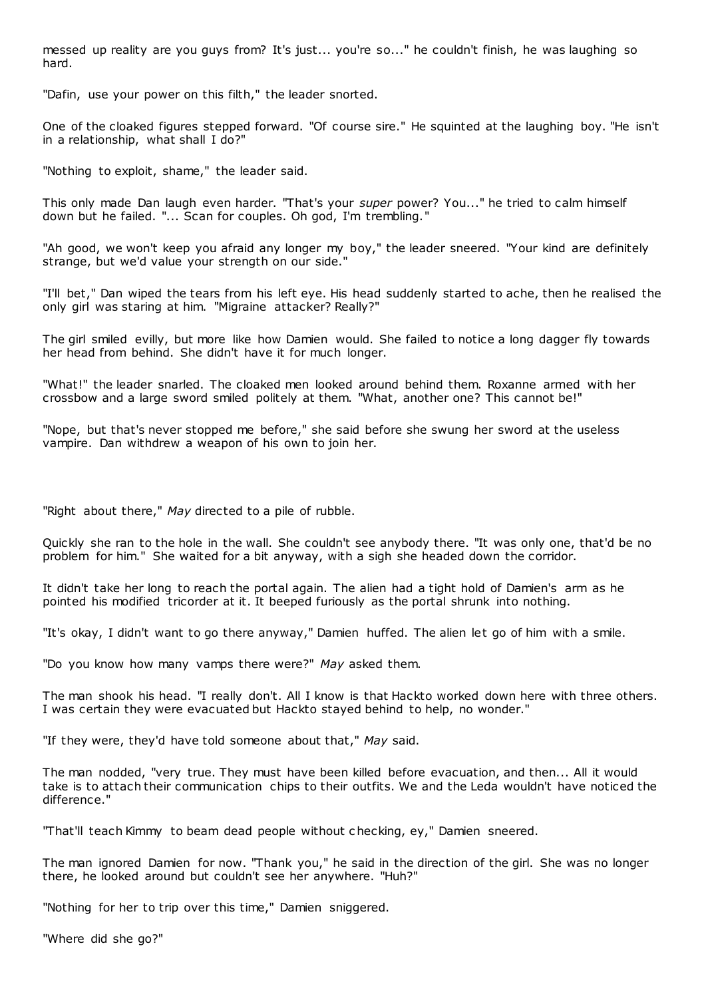messed up reality are you guys from? It's just... you're so..." he couldn't finish, he was laughing so hard.

"Dafin, use your power on this filth," the leader snorted.

One of the cloaked figures stepped forward. "Of course sire." He squinted at the laughing boy. "He isn't in a relationship, what shall I do?"

"Nothing to exploit, shame," the leader said.

This only made Dan laugh even harder. "That's your *super* power? You..." he tried to calm himself down but he failed. "... Scan for couples. Oh god, I'm trembling."

"Ah good, we won't keep you afraid any longer my boy," the leader sneered. "Your kind are definitely strange, but we'd value your strength on our side."

"I'll bet," Dan wiped the tears from his left eye. His head suddenly started to ache, then he realised the only girl was staring at him. "Migraine attacker? Really?"

The girl smiled evilly, but more like how Damien would. She failed to notice a long dagger fly towards her head from behind. She didn't have it for much longer.

"What!" the leader snarled. The cloaked men looked around behind them. Roxanne armed with her crossbow and a large sword smiled politely at them. "What, another one? This cannot be!"

"Nope, but that's never stopped me before," she said before she swung her sword at the useless vampire. Dan withdrew a weapon of his own to join her.

"Right about there," *May* directed to a pile of rubble.

Quickly she ran to the hole in the wall. She couldn't see anybody there. "It was only one, that'd be no problem for him." She waited for a bit anyway, with a sigh she headed down the corridor.

It didn't take her long to reach the portal again. The alien had a tight hold of Damien's arm as he pointed his modified tricorder at it. It beeped furiously as the portal shrunk into nothing.

"It's okay, I didn't want to go there anyway," Damien huffed. The alien let go of him with a smile.

"Do you know how many vamps there were?" *May* asked them.

The man shook his head. "I really don't. All I know is that Hackto worked down here with three others. I was certain they were evacuated but Hackto stayed behind to help, no wonder."

"If they were, they'd have told someone about that," *May* said.

The man nodded, "very true. They must have been killed before evacuation, and then... All it would take is to attach their communication chips to their outfits. We and the Leda wouldn't have noticed the difference."

"That'll teach Kimmy to beam dead people without c hecking, ey," Damien sneered.

The man ignored Damien for now. "Thank you," he said in the direction of the girl. She was no longer there, he looked around but couldn't see her anywhere. "Huh?"

"Nothing for her to trip over this time," Damien sniggered.

"Where did she go?"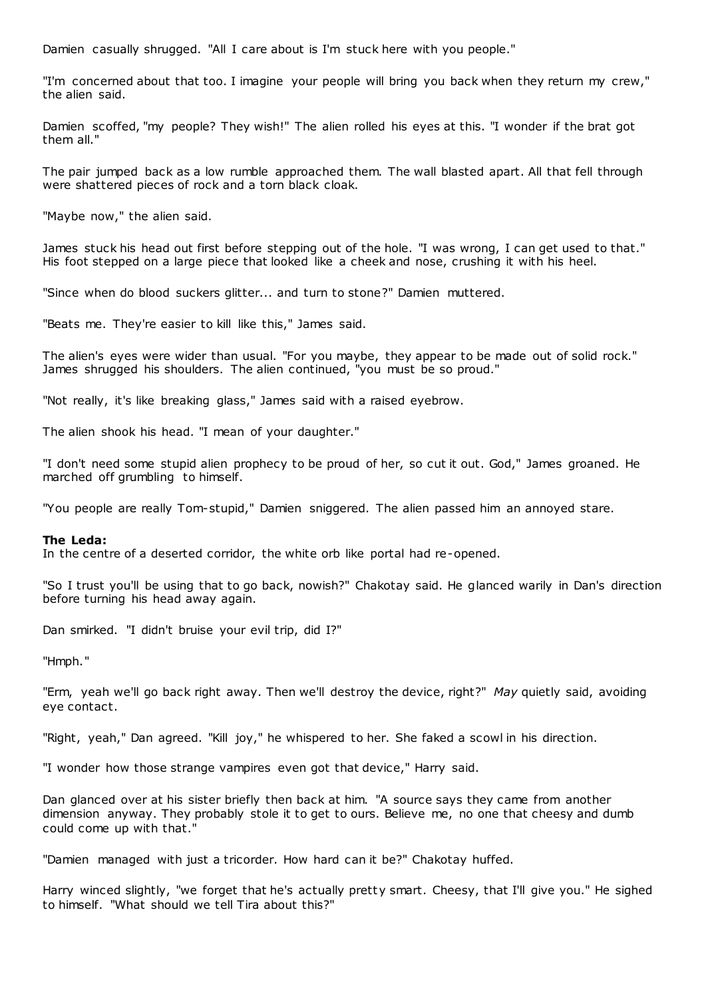Damien casually shrugged. "All I care about is I'm stuck here with you people."

"I'm concerned about that too. I imagine your people will bring you back when they return my crew," the alien said.

Damien scoffed, "my people? They wish!" The alien rolled his eyes at this. "I wonder if the brat got them all."

The pair jumped back as a low rumble approached them. The wall blasted apart. All that fell through were shattered pieces of rock and a torn black cloak.

"Maybe now," the alien said.

James stuck his head out first before stepping out of the hole. "I was wrong, I can get used to that." His foot stepped on a large piece that looked like a cheek and nose, crushing it with his heel.

"Since when do blood suckers glitter... and turn to stone?" Damien muttered.

"Beats me. They're easier to kill like this," James said.

The alien's eyes were wider than usual. "For you maybe, they appear to be made out of solid rock." James shrugged his shoulders. The alien continued, "you must be so proud."

"Not really, it's like breaking glass," James said with a raised eyebrow.

The alien shook his head. "I mean of your daughter."

"I don't need some stupid alien prophecy to be proud of her, so cut it out. God," James groaned. He marched off grumbling to himself.

"You people are really Tom-stupid," Damien sniggered. The alien passed him an annoyed stare.

#### **The Leda:**

In the centre of a deserted corridor, the white orb like portal had re-opened.

"So I trust you'll be using that to go back, nowish?" Chakotay said. He glanced warily in Dan's direction before turning his head away again.

Dan smirked. "I didn't bruise your evil trip, did I?"

"Hmph."

"Erm, yeah we'll go back right away. Then we'll destroy the device, right?" *May* quietly said, avoiding eye contact.

"Right, yeah," Dan agreed. "Kill joy," he whispered to her. She faked a scowl in his direction.

"I wonder how those strange vampires even got that device," Harry said.

Dan glanced over at his sister briefly then back at him. "A source says they came from another dimension anyway. They probably stole it to get to ours. Believe me, no one that cheesy and dumb could come up with that."

"Damien managed with just a tricorder. How hard can it be?" Chakotay huffed.

Harry winced slightly, "we forget that he's actually pretty smart. Cheesy, that I'll give you." He sighed to himself. "What should we tell Tira about this?"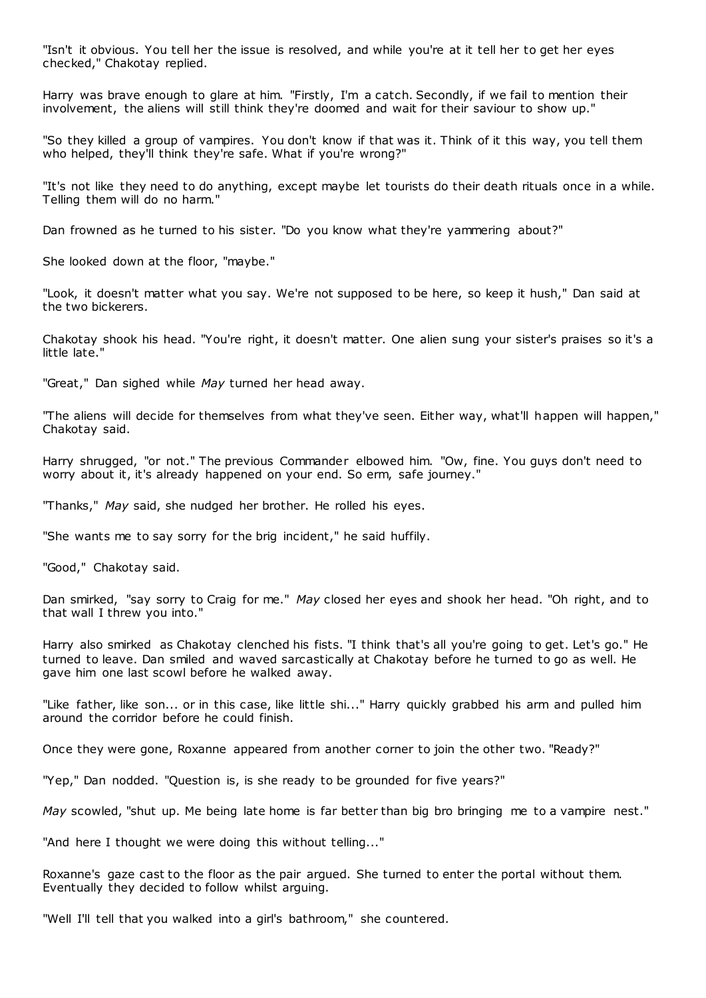"Isn't it obvious. You tell her the issue is resolved, and while you're at it tell her to get her eyes checked," Chakotay replied.

Harry was brave enough to glare at him. "Firstly, I'm a catch. Secondly, if we fail to mention their involvement, the aliens will still think they're doomed and wait for their saviour to show up."

"So they killed a group of vampires. You don't know if that was it. Think of it this way, you tell them who helped, they'll think they're safe. What if you're wrong?"

"It's not like they need to do anything, except maybe let tourists do their death rituals once in a while. Telling them will do no harm."

Dan frowned as he turned to his sister. "Do you know what they're yammering about?"

She looked down at the floor, "maybe."

"Look, it doesn't matter what you say. We're not supposed to be here, so keep it hush," Dan said at the two bickerers.

Chakotay shook his head. "You're right, it doesn't matter. One alien sung your sister's praises so it's a little late."

"Great," Dan sighed while *May* turned her head away.

"The aliens will decide for themselves from what they've seen. Either way, what'll happen will happen," Chakotay said.

Harry shrugged, "or not." The previous Commander elbowed him. "Ow, fine. You guys don't need to worry about it, it's already happened on your end. So erm, safe journey."

"Thanks," *May* said, she nudged her brother. He rolled his eyes.

"She wants me to say sorry for the brig incident," he said huffily.

"Good," Chakotay said.

Dan smirked, "say sorry to Craig for me." *May* closed her eyes and shook her head. "Oh right, and to that wall I threw you into."

Harry also smirked as Chakotay clenched his fists. "I think that's all you're going to get. Let's go." He turned to leave. Dan smiled and waved sarcastically at Chakotay before he turned to go as well. He gave him one last scowl before he walked away.

"Like father, like son... or in this case, like little shi..." Harry quickly grabbed his arm and pulled him around the corridor before he could finish.

Once they were gone, Roxanne appeared from another corner to join the other two. "Ready?"

"Yep," Dan nodded. "Question is, is she ready to be grounded for five years?"

*May* scowled, "shut up. Me being late home is far better than big bro bringing me to a vampire nest."

"And here I thought we were doing this without telling..."

Roxanne's gaze cast to the floor as the pair argued. She turned to enter the portal without them. Eventually they decided to follow whilst arguing.

"Well I'll tell that you walked into a girl's bathroom," she countered.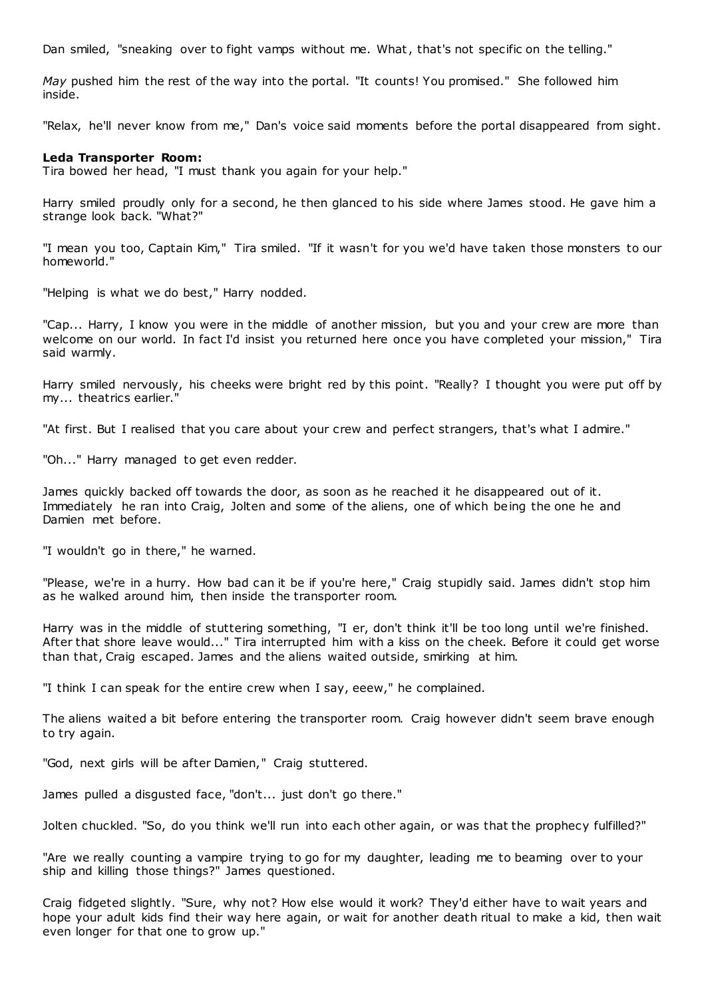Dan smiled, "sneaking over to fight vamps without me. What, that's not specific on the telling."

*May* pushed him the rest of the way into the portal. "It counts! You promised." She followed him inside.

"Relax, he'll never know from me," Dan's voice said moments before the portal disappeared from sight.

## **Leda Transporter Room:**

Tira bowed her head, "I must thank you again for your help."

Harry smiled proudly only for a second, he then glanced to his side where James stood. He gave him a strange look back. "What?"

"I mean you too, Captain Kim," Tira smiled. "If it wasn't for you we'd have taken those monsters to our homeworld."

"Helping is what we do best," Harry nodded.

"Cap... Harry, I know you were in the middle of another mission, but you and your crew are more than welcome on our world. In fact I'd insist you returned here once you have completed your mission," Tira said warmly.

Harry smiled nervously, his cheeks were bright red by this point. "Really? I thought you were put off by my... theatrics earlier.

"At first. But I realised that you care about your crew and perfect strangers, that's what I admire."

"Oh..." Harry managed to get even redder.

James quickly backed off towards the door, as soon as he reached it he disappeared out of it. Immediately he ran into Craig, Jolten and some of the aliens, one of which being the one he and Damien met before.

"I wouldn't go in there," he warned.

"Please, we're in a hurry. How bad can it be if you're here," Craig stupidly said. James didn't stop him as he walked around him, then inside the transporter room.

Harry was in the middle of stuttering something, "I er, don't think it'll be too long until we're finished. After that shore leave would..." Tira interrupted him with a kiss on the cheek. Before it could get worse than that, Craig escaped. James and the aliens waited outside, smirking at him.

"I think I can speak for the entire crew when I say, eeew," he complained.

The aliens waited a bit before entering the transporter room. Craig however didn't seem brave enough to try again.

"God, next girls will be after Damien," Craig stuttered.

James pulled a disgusted face, "don't... just don't go there."

Jolten chuckled. "So, do you think we'll run into each other again, or was that the prophecy fulfilled?"

"Are we really counting a vampire trying to go for my daughter, leading me to beaming over to your ship and killing those things?" James questioned.

Craig fidgeted slightly. "Sure, why not? How else would it work? They'd either have to wait years and hope your adult kids find their way here again, or wait for another death ritual to make a kid, then wait even longer for that one to grow up."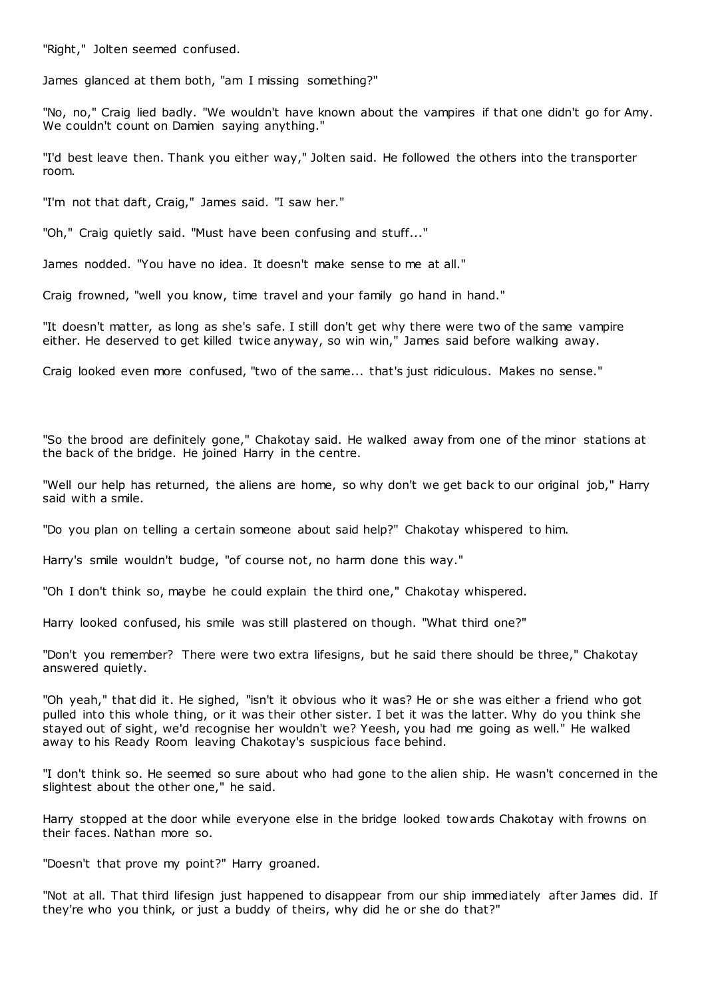"Right," Jolten seemed confused.

James glanced at them both, "am I missing something?"

"No, no," Craig lied badly. "We wouldn't have known about the vampires if that one didn't go for Amy. We couldn't count on Damien saying anything."

"I'd best leave then. Thank you either way," Jolten said. He followed the others into the transporter room.

"I'm not that daft, Craig," James said. "I saw her."

"Oh," Craig quietly said. "Must have been confusing and stuff..."

James nodded. "You have no idea. It doesn't make sense to me at all."

Craig frowned, "well you know, time travel and your family go hand in hand."

"It doesn't matter, as long as she's safe. I still don't get why there were two of the same vampire either. He deserved to get killed twice anyway, so win win," James said before walking away.

Craig looked even more confused, "two of the same... that's just ridiculous. Makes no sense."

"So the brood are definitely gone," Chakotay said. He walked away from one of the minor stations at the back of the bridge. He joined Harry in the centre.

"Well our help has returned, the aliens are home, so why don't we get back to our original job," Harry said with a smile.

"Do you plan on telling a certain someone about said help?" Chakotay whispered to him.

Harry's smile wouldn't budge, "of course not, no harm done this way."

"Oh I don't think so, maybe he could explain the third one," Chakotay whispered.

Harry looked confused, his smile was still plastered on though. "What third one?"

"Don't you remember? There were two extra lifesigns, but he said there should be three," Chakotay answered quietly.

"Oh yeah," that did it. He sighed, "isn't it obvious who it was? He or she was either a friend who got pulled into this whole thing, or it was their other sister. I bet it was the latter. Why do you think she stayed out of sight, we'd recognise her wouldn't we? Yeesh, you had me going as well." He walked away to his Ready Room leaving Chakotay's suspicious face behind.

"I don't think so. He seemed so sure about who had gone to the alien ship. He wasn't concerned in the slightest about the other one," he said.

Harry stopped at the door while everyone else in the bridge looked towards Chakotay with frowns on their faces. Nathan more so.

"Doesn't that prove my point?" Harry groaned.

"Not at all. That third lifesign just happened to disappear from our ship immediately after James did. If they're who you think, or just a buddy of theirs, why did he or she do that?"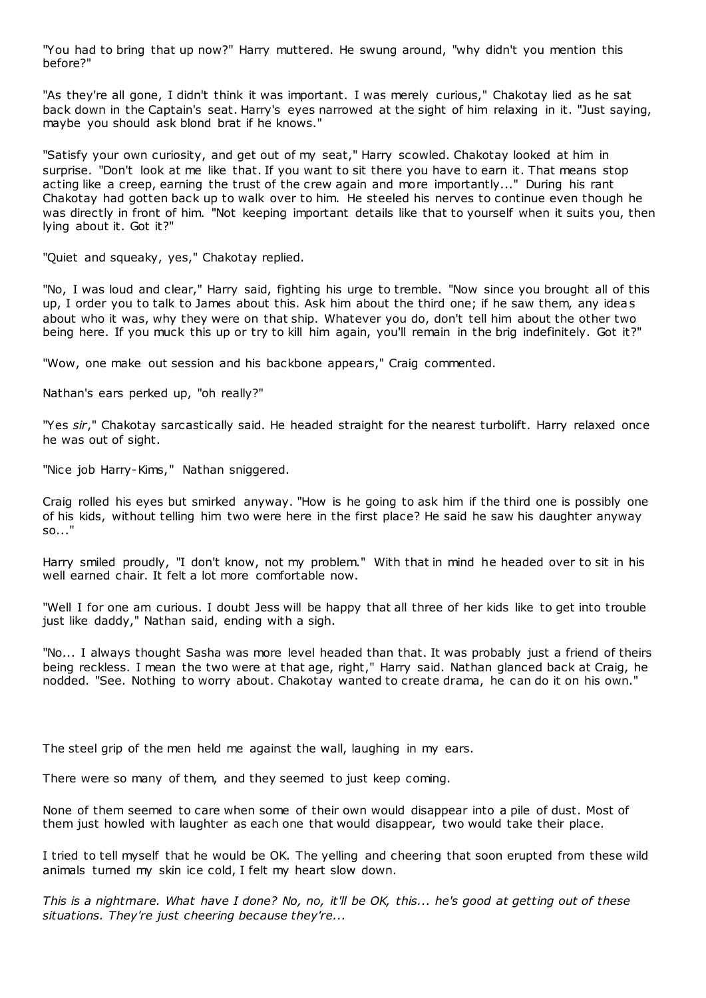"You had to bring that up now?" Harry muttered. He swung around, "why didn't you mention this before?"

"As they're all gone, I didn't think it was important. I was merely curious," Chakotay lied as he sat back down in the Captain's seat. Harry's eyes narrowed at the sight of him relaxing in it. "Just saying, maybe you should ask blond brat if he knows."

"Satisfy your own curiosity, and get out of my seat," Harry scowled. Chakotay looked at him in surprise. "Don't look at me like that. If you want to sit there you have to earn it. That means stop acting like a creep, earning the trust of the crew again and more importantly..." During his rant Chakotay had gotten back up to walk over to him. He steeled his nerves to continue even though he was directly in front of him. "Not keeping important details like that to yourself when it suits you, then lying about it. Got it?"

"Quiet and squeaky, yes," Chakotay replied.

"No, I was loud and clear," Harry said, fighting his urge to tremble. "Now since you brought all of this up, I order you to talk to James about this. Ask him about the third one; if he saw them, any ideas about who it was, why they were on that ship. Whatever you do, don't tell him about the other two being here. If you muck this up or try to kill him again, you'll remain in the brig indefinitely. Got it?"

"Wow, one make out session and his backbone appears," Craig commented.

Nathan's ears perked up, "oh really?"

"Yes *sir*," Chakotay sarcastically said. He headed straight for the nearest turbolift. Harry relaxed once he was out of sight.

"Nice job Harry-Kims," Nathan sniggered.

Craig rolled his eyes but smirked anyway. "How is he going to ask him if the third one is possibly one of his kids, without telling him two were here in the first place? He said he saw his daughter anyway so..."

Harry smiled proudly, "I don't know, not my problem." With that in mind he headed over to sit in his well earned chair. It felt a lot more comfortable now.

"Well I for one am curious. I doubt Jess will be happy that all three of her kids like to get into trouble just like daddy," Nathan said, ending with a sigh.

"No... I always thought Sasha was more level headed than that. It was probably just a friend of theirs being reckless. I mean the two were at that age, right," Harry said. Nathan glanced back at Craig, he nodded. "See. Nothing to worry about. Chakotay wanted to create drama, he can do it on his own."

The steel grip of the men held me against the wall, laughing in my ears.

There were so many of them, and they seemed to just keep coming.

None of them seemed to care when some of their own would disappear into a pile of dust. Most of them just howled with laughter as each one that would disappear, two would take their place.

I tried to tell myself that he would be OK. The yelling and cheering that soon erupted from these wild animals turned my skin ice cold, I felt my heart slow down.

*This is a nightmare. What have I done? No, no, it'll be OK, this... he's good at getting out of these situations. They're just cheering because they're...*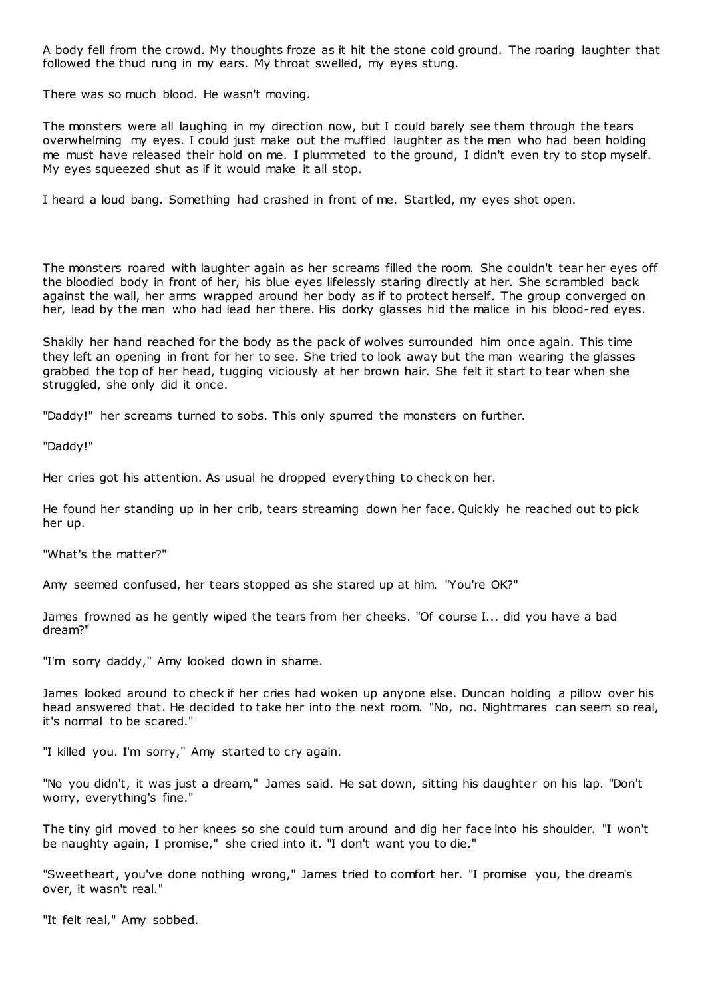A body fell from the crowd. My thoughts froze as it hit the stone cold ground. The roaring laughter that followed the thud rung in my ears. My throat swelled, my eyes stung.

There was so much blood. He wasn't moving.

The monsters were all laughing in my direction now, but I could barely see them through the tears overwhelming my eyes. I could just make out the muffled laughter as the men who had been holding me must have released their hold on me. I plummeted to the ground, I didn't even try to stop myself. My eyes squeezed shut as if it would make it all stop.

I heard a loud bang. Something had crashed in front of me. Startled, my eyes shot open.

The monsters roared with laughter again as her screams filled the room. She couldn't tear her eyes off the bloodied body in front of her, his blue eyes lifelessly staring directly at her. She scrambled back against the wall, her arms wrapped around her body as if to protect herself. The group converged on her, lead by the man who had lead her there. His dorky glasses hid the malice in his blood-red eyes.

Shakily her hand reached for the body as the pack of wolves surrounded him once again. This time they left an opening in front for her to see. She tried to look away but the man wearing the glasses grabbed the top of her head, tugging viciously at her brown hair. She felt it start to tear when she struggled, she only did it once.

"Daddy!" her screams turned to sobs. This only spurred the monsters on further.

"Daddy!"

Her cries got his attention. As usual he dropped everything to check on her.

He found her standing up in her crib, tears streaming down her face. Quickly he reached out to pick her up.

"What's the matter?"

Amy seemed confused, her tears stopped as she stared up at him. "You're OK?"

James frowned as he gently wiped the tears from her cheeks. "Of course I... did you have a bad dream?"

"I'm sorry daddy," Amy looked down in shame.

James looked around to check if her cries had woken up anyone else. Duncan holding a pillow over his head answered that. He decided to take her into the next room. "No, no. Nightmares can seem so real, it's normal to be scared."

"I killed you. I'm sorry," Amy started to cry again.

"No you didn't, it was just a dream," James said. He sat down, sitting his daughter on his lap. "Don't worry, everything's fine."

The tiny girl moved to her knees so she could turn around and dig her face into his shoulder. "I won't be naughty again, I promise," she cried into it. "I don't want you to die."

"Sweetheart, you've done nothing wrong," James tried to comfort her. "I promise you, the dream's over, it wasn't real."

"It felt real," Amy sobbed.